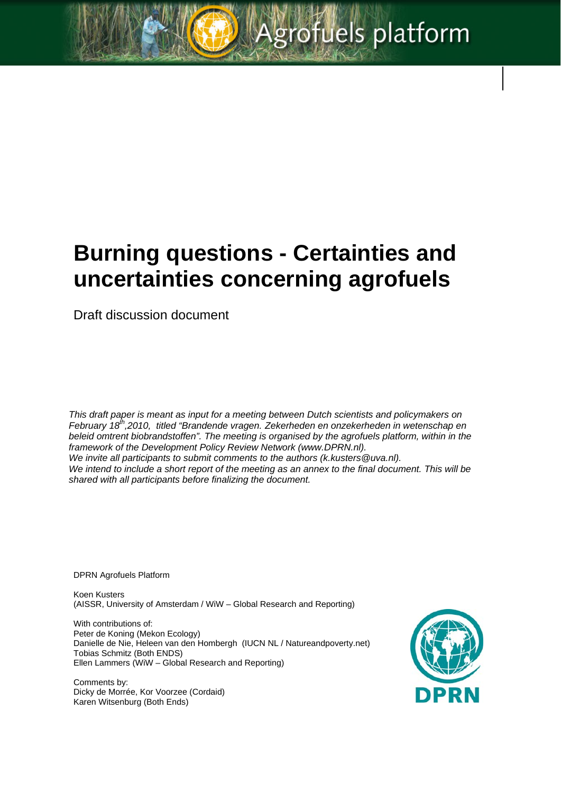grofuels platform

Draft discussion document

*This draft paper is meant as input for a meeting between Dutch scientists and policymakers on February 18th,2010, titled "Brandende vragen. Zekerheden en onzekerheden in wetenschap en beleid omtrent biobrandstoffen". The meeting is organised by the agrofuels platform, within in the*  framework of the Development Policy Review Network (www.DPRN.nl). *We invite all participants to submit comments to the authors (k.kusters@uva.nl). We intend to include a short report of the meeting as an annex to the final document. This will be shared with all participants before finalizing the document.* 

DPRN Agrofuels Platform

Koen Kusters (AISSR, University of Amsterdam / WiW – Global Research and Reporting)

With contributions of: Peter de Koning (Mekon Ecology) Danielle de Nie, Heleen van den Hombergh (IUCN NL / Natureandpoverty.net) Tobias Schmitz (Both ENDS) Ellen Lammers (WiW – Global Research and Reporting)

Comments by: Dicky de Morrée, Kor Voorzee (Cordaid) Karen Witsenburg (Both Ends)

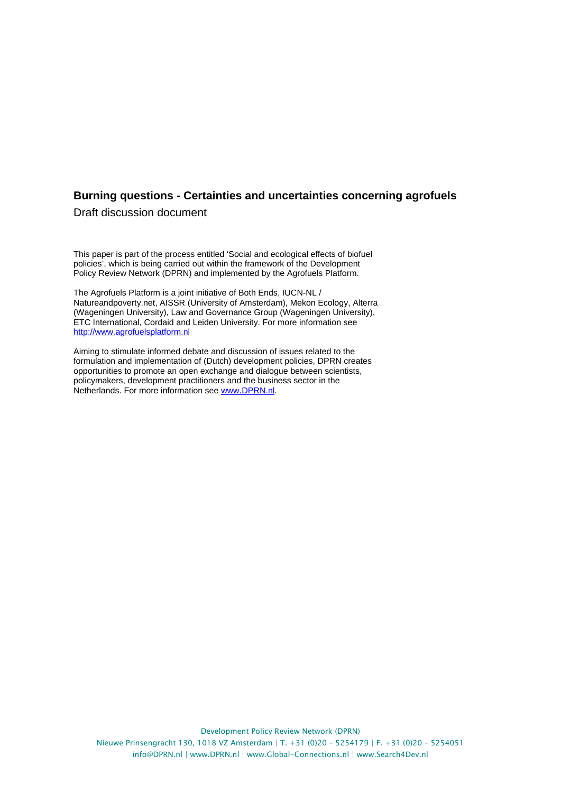Draft discussion document

This paper is part of the process entitled 'Social and ecological effects of biofuel policies', which is being carried out within the framework of the Development Policy Review Network (DPRN) and implemented by the Agrofuels Platform.

The Agrofuels Platform is a joint initiative of Both Ends, IUCN-NL / Natureandpoverty.net, AISSR (University of Amsterdam), Mekon Ecology, Alterra (Wageningen University), Law and Governance Group (Wageningen University), ETC International, Cordaid and Leiden University. For more information see http://www.agrofuelsplatform.nl

Aiming to stimulate informed debate and discussion of issues related to the formulation and implementation of (Dutch) development policies, DPRN creates opportunities to promote an open exchange and dialogue between scientists, policymakers, development practitioners and the business sector in the Netherlands. For more information see www.DPRN.nl.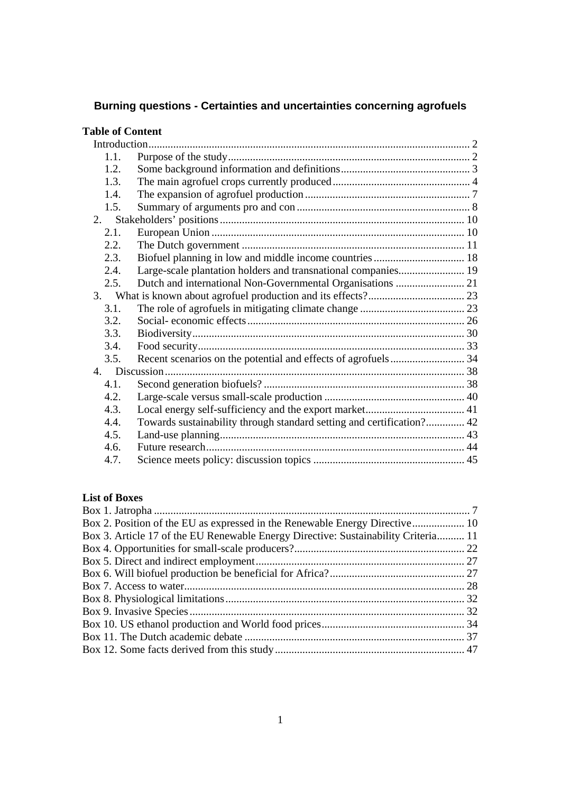| <b>Table of Content</b> |                                                                       |  |  |  |
|-------------------------|-----------------------------------------------------------------------|--|--|--|
|                         |                                                                       |  |  |  |
| 1.1.                    |                                                                       |  |  |  |
| 1.2                     |                                                                       |  |  |  |
| 1.3.                    |                                                                       |  |  |  |
| 1.4.                    |                                                                       |  |  |  |
| 1.5.                    |                                                                       |  |  |  |
| 2.                      |                                                                       |  |  |  |
| 2.1.                    |                                                                       |  |  |  |
| 2.2.                    |                                                                       |  |  |  |
| 2.3.                    |                                                                       |  |  |  |
| 2.4.                    | Large-scale plantation holders and transnational companies 19         |  |  |  |
| 2.5.                    |                                                                       |  |  |  |
|                         |                                                                       |  |  |  |
| 3.1.                    |                                                                       |  |  |  |
| 3.2.                    |                                                                       |  |  |  |
| 3.3.                    |                                                                       |  |  |  |
| 3.4.                    |                                                                       |  |  |  |
| 3.5.                    |                                                                       |  |  |  |
|                         |                                                                       |  |  |  |
| 4.1.                    |                                                                       |  |  |  |
| 4.2.                    |                                                                       |  |  |  |
| 4.3.                    |                                                                       |  |  |  |
| 4.4.                    | Towards sustainability through standard setting and certification? 42 |  |  |  |
| 4.5.                    |                                                                       |  |  |  |
| 4.6.                    |                                                                       |  |  |  |
| 4.7.                    |                                                                       |  |  |  |

# **List of Boxes**

| Box 3. Article 17 of the EU Renewable Energy Directive: Sustainability Criteria 11 |  |
|------------------------------------------------------------------------------------|--|
|                                                                                    |  |
|                                                                                    |  |
|                                                                                    |  |
|                                                                                    |  |
|                                                                                    |  |
|                                                                                    |  |
|                                                                                    |  |
|                                                                                    |  |
|                                                                                    |  |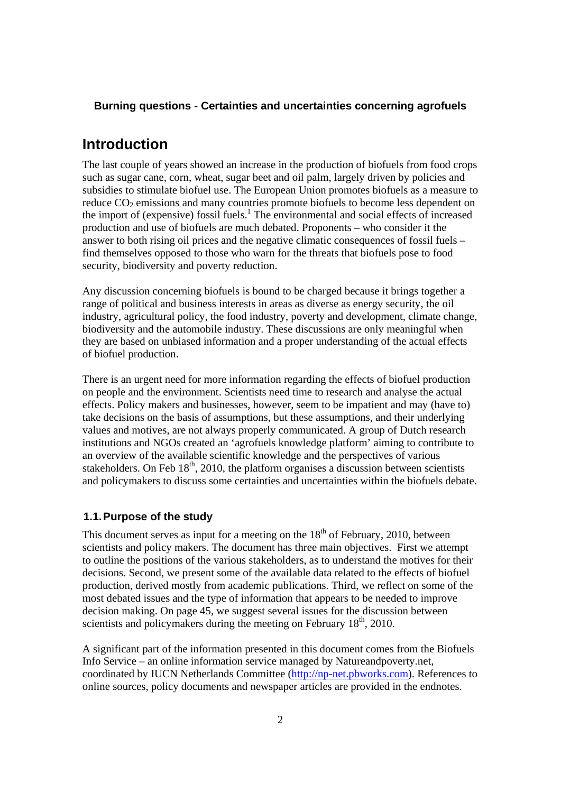# **Introduction**

The last couple of years showed an increase in the production of biofuels from food crops such as sugar cane, corn, wheat, sugar beet and oil palm, largely driven by policies and subsidies to stimulate biofuel use. The European Union promotes biofuels as a measure to reduce  $CO<sub>2</sub>$  emissions and many countries promote biofuels to become less dependent on the import of (expensive) fossil fuels.<sup>1</sup> The environmental and social effects of increased production and use of biofuels are much debated. Proponents – who consider it the answer to both rising oil prices and the negative climatic consequences of fossil fuels – find themselves opposed to those who warn for the threats that biofuels pose to food security, biodiversity and poverty reduction.

Any discussion concerning biofuels is bound to be charged because it brings together a range of political and business interests in areas as diverse as energy security, the oil industry, agricultural policy, the food industry, poverty and development, climate change, biodiversity and the automobile industry. These discussions are only meaningful when they are based on unbiased information and a proper understanding of the actual effects of biofuel production.

There is an urgent need for more information regarding the effects of biofuel production on people and the environment. Scientists need time to research and analyse the actual effects. Policy makers and businesses, however, seem to be impatient and may (have to) take decisions on the basis of assumptions, but these assumptions, and their underlying values and motives, are not always properly communicated. A group of Dutch research institutions and NGOs created an 'agrofuels knowledge platform' aiming to contribute to an overview of the available scientific knowledge and the perspectives of various stakeholders. On Feb  $18<sup>th</sup>$ , 2010, the platform organises a discussion between scientists and policymakers to discuss some certainties and uncertainties within the biofuels debate.

# **1.1. Purpose of the study**

This document serves as input for a meeting on the  $18<sup>th</sup>$  of February, 2010, between scientists and policy makers. The document has three main objectives. First we attempt to outline the positions of the various stakeholders, as to understand the motives for their decisions. Second, we present some of the available data related to the effects of biofuel production, derived mostly from academic publications. Third, we reflect on some of the most debated issues and the type of information that appears to be needed to improve decision making. On page 45, we suggest several issues for the discussion between scientists and policymakers during the meeting on February  $18<sup>th</sup>$ , 2010.

A significant part of the information presented in this document comes from the Biofuels Info Service – an online information service managed by Natureandpoverty.net, coordinated by IUCN Netherlands Committee (http://np-net.pbworks.com). References to online sources, policy documents and newspaper articles are provided in the endnotes.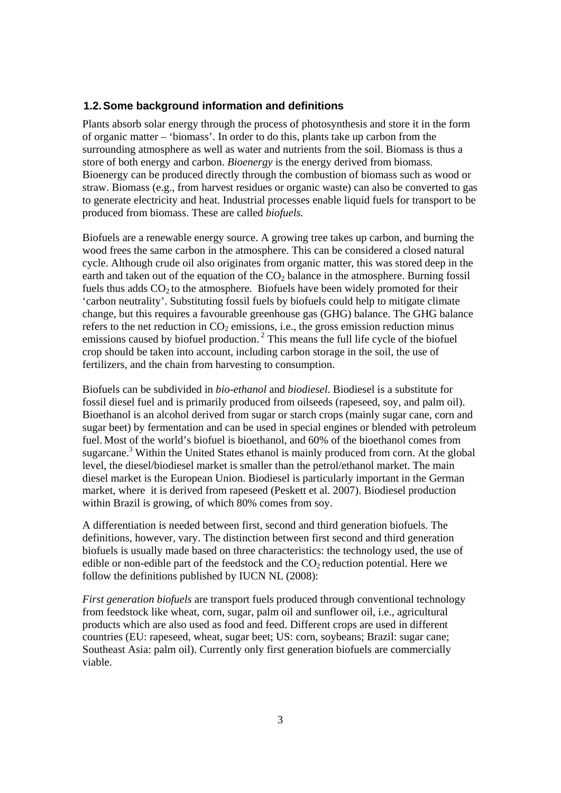### **1.2. Some background information and definitions**

Plants absorb solar energy through the process of photosynthesis and store it in the form of organic matter – 'biomass'. In order to do this, plants take up carbon from the surrounding atmosphere as well as water and nutrients from the soil. Biomass is thus a store of both energy and carbon. *Bioenergy* is the energy derived from biomass. Bioenergy can be produced directly through the combustion of biomass such as wood or straw. Biomass (e.g., from harvest residues or organic waste) can also be converted to gas to generate electricity and heat. Industrial processes enable liquid fuels for transport to be produced from biomass. These are called *biofuels.*

Biofuels are a renewable energy source. A growing tree takes up carbon, and burning the wood frees the same carbon in the atmosphere. This can be considered a closed natural cycle. Although crude oil also originates from organic matter, this was stored deep in the earth and taken out of the equation of the  $CO<sub>2</sub>$  balance in the atmosphere. Burning fossil fuels thus adds  $CO<sub>2</sub>$  to the atmosphere. Biofuels have been widely promoted for their 'carbon neutrality'. Substituting fossil fuels by biofuels could help to mitigate climate change, but this requires a favourable greenhouse gas (GHG) balance. The GHG balance refers to the net reduction in  $CO<sub>2</sub>$  emissions, i.e., the gross emission reduction minus emissions caused by biofuel production.<sup>2</sup> This means the full life cycle of the biofuel crop should be taken into account, including carbon storage in the soil, the use of fertilizers, and the chain from harvesting to consumption.

Biofuels can be subdivided in *bio-ethanol* and *biodiesel*. Biodiesel is a substitute for fossil diesel fuel and is primarily produced from oilseeds (rapeseed, soy, and palm oil). Bioethanol is an alcohol derived from sugar or starch crops (mainly sugar cane, corn and sugar beet) by fermentation and can be used in special engines or blended with petroleum fuel. Most of the world's biofuel is bioethanol, and 60% of the bioethanol comes from sugarcane.<sup>3</sup> Within the United States ethanol is mainly produced from corn. At the global level, the diesel/biodiesel market is smaller than the petrol/ethanol market. The main diesel market is the European Union. Biodiesel is particularly important in the German market, where it is derived from rapeseed (Peskett et al. 2007). Biodiesel production within Brazil is growing, of which 80% comes from soy.

A differentiation is needed between first, second and third generation biofuels. The definitions, however, vary. The distinction between first second and third generation biofuels is usually made based on three characteristics: the technology used, the use of edible or non-edible part of the feedstock and the  $CO<sub>2</sub>$  reduction potential. Here we follow the definitions published by IUCN NL (2008):

*First generation biofuels* are transport fuels produced through conventional technology from feedstock like wheat, corn, sugar, palm oil and sunflower oil, i.e., agricultural products which are also used as food and feed. Different crops are used in different countries (EU: rapeseed, wheat, sugar beet; US: corn, soybeans; Brazil: sugar cane; Southeast Asia: palm oil). Currently only first generation biofuels are commercially viable.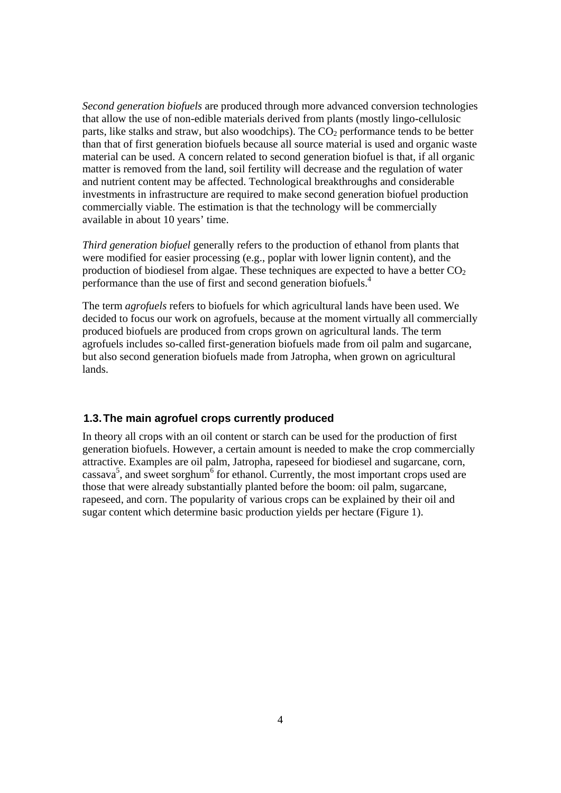*Second generation biofuels* are produced through more advanced conversion technologies that allow the use of non-edible materials derived from plants (mostly lingo-cellulosic parts, like stalks and straw, but also woodchips). The  $CO<sub>2</sub>$  performance tends to be better than that of first generation biofuels because all source material is used and organic waste material can be used. A concern related to second generation biofuel is that, if all organic matter is removed from the land, soil fertility will decrease and the regulation of water and nutrient content may be affected. Technological breakthroughs and considerable investments in infrastructure are required to make second generation biofuel production commercially viable. The estimation is that the technology will be commercially available in about 10 years' time.

*Third generation biofuel* generally refers to the production of ethanol from plants that were modified for easier processing (e.g., poplar with lower lignin content), and the production of biodiesel from algae. These techniques are expected to have a better  $CO<sub>2</sub>$ performance than the use of first and second generation biofuels.4

The term *agrofuels* refers to biofuels for which agricultural lands have been used. We decided to focus our work on agrofuels, because at the moment virtually all commercially produced biofuels are produced from crops grown on agricultural lands. The term agrofuels includes so-called first-generation biofuels made from oil palm and sugarcane, but also second generation biofuels made from Jatropha, when grown on agricultural lands.

# **1.3. The main agrofuel crops currently produced**

In theory all crops with an oil content or starch can be used for the production of first generation biofuels. However, a certain amount is needed to make the crop commercially attractive. Examples are oil palm, Jatropha, rapeseed for biodiesel and sugarcane, corn,  $\cos$ assava<sup>5</sup>, and sweet sorghum<sup>6</sup> for ethanol. Currently, the most important crops used are those that were already substantially planted before the boom: oil palm, sugarcane, rapeseed, and corn. The popularity of various crops can be explained by their oil and sugar content which determine basic production yields per hectare (Figure 1).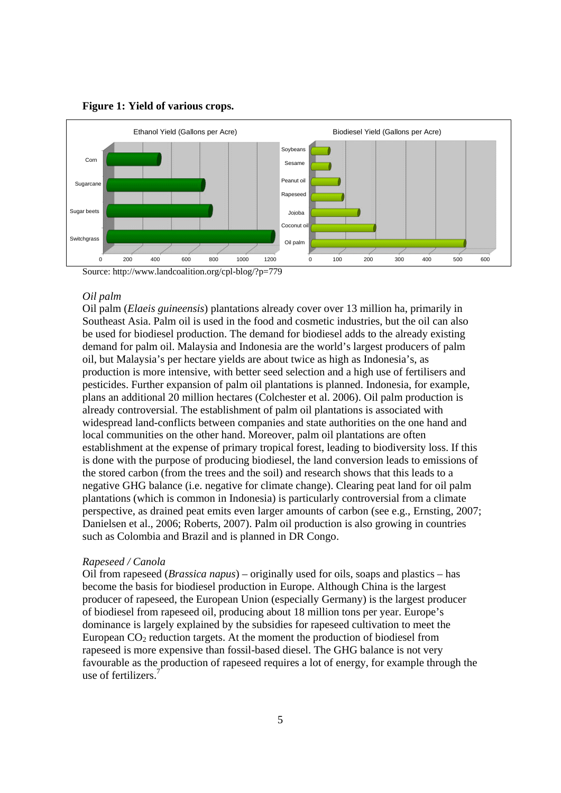

#### **Figure 1: Yield of various crops.**

Source: http://www.landcoalition.org/cpl-blog/?p=779

### *Oil palm*

Oil palm (*Elaeis guineensis*) plantations already cover over 13 million ha, primarily in Southeast Asia. Palm oil is used in the food and cosmetic industries, but the oil can also be used for biodiesel production. The demand for biodiesel adds to the already existing demand for palm oil. Malaysia and Indonesia are the world's largest producers of palm oil, but Malaysia's per hectare yields are about twice as high as Indonesia's, as production is more intensive, with better seed selection and a high use of fertilisers and pesticides. Further expansion of palm oil plantations is planned. Indonesia, for example, plans an additional 20 million hectares (Colchester et al. 2006). Oil palm production is already controversial. The establishment of palm oil plantations is associated with widespread land-conflicts between companies and state authorities on the one hand and local communities on the other hand. Moreover, palm oil plantations are often establishment at the expense of primary tropical forest, leading to biodiversity loss. If this is done with the purpose of producing biodiesel, the land conversion leads to emissions of the stored carbon (from the trees and the soil) and research shows that this leads to a negative GHG balance (i.e. negative for climate change). Clearing peat land for oil palm plantations (which is common in Indonesia) is particularly controversial from a climate perspective, as drained peat emits even larger amounts of carbon (see e.g., Ernsting, 2007; Danielsen et al., 2006; Roberts, 2007). Palm oil production is also growing in countries such as Colombia and Brazil and is planned in DR Congo.

### *Rapeseed / Canola*

Oil from rapeseed (*Brassica napus*) – originally used for oils, soaps and plastics – has become the basis for biodiesel production in Europe. Although China is the largest producer of rapeseed, the European Union (especially Germany) is the largest producer of biodiesel from rapeseed oil, producing about 18 million tons per year. Europe's dominance is largely explained by the subsidies for rapeseed cultivation to meet the European  $CO<sub>2</sub>$  reduction targets. At the moment the production of biodiesel from rapeseed is more expensive than fossil-based diesel. The GHG balance is not very favourable as the production of rapeseed requires a lot of energy, for example through the use of fertilizers<sup>7</sup>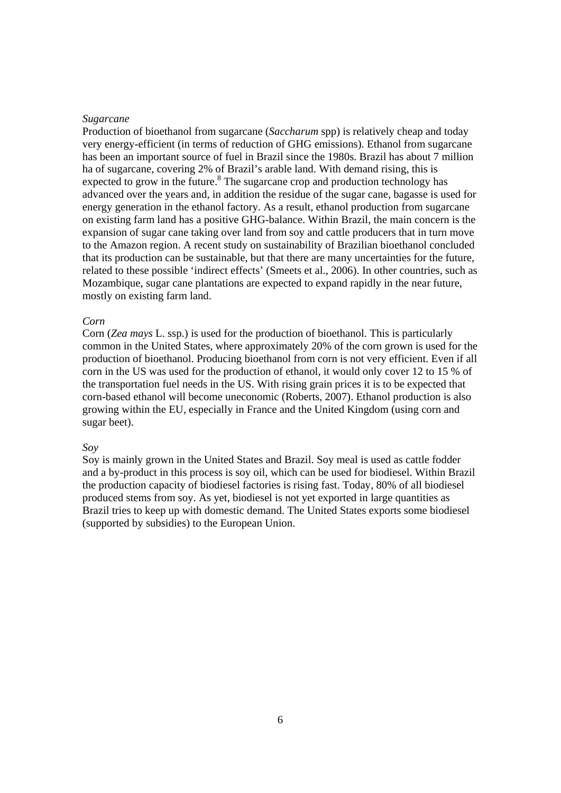### *Sugarcane*

Production of bioethanol from sugarcane (*Saccharum* spp) is relatively cheap and today very energy-efficient (in terms of reduction of GHG emissions). Ethanol from sugarcane has been an important source of fuel in Brazil since the 1980s. Brazil has about 7 million ha of sugarcane, covering 2% of Brazil's arable land. With demand rising, this is expected to grow in the future.<sup>8</sup> The sugarcane crop and production technology has advanced over the years and, in addition the residue of the sugar cane, bagasse is used for energy generation in the ethanol factory. As a result, ethanol production from sugarcane on existing farm land has a positive GHG-balance. Within Brazil, the main concern is the expansion of sugar cane taking over land from soy and cattle producers that in turn move to the Amazon region. A recent study on sustainability of Brazilian bioethanol concluded that its production can be sustainable, but that there are many uncertainties for the future, related to these possible 'indirect effects' (Smeets et al., 2006). In other countries, such as Mozambique, sugar cane plantations are expected to expand rapidly in the near future, mostly on existing farm land.

#### *Corn*

Corn (*Zea mays* L. ssp.) is used for the production of bioethanol. This is particularly common in the United States, where approximately 20% of the corn grown is used for the production of bioethanol. Producing bioethanol from corn is not very efficient. Even if all corn in the US was used for the production of ethanol, it would only cover 12 to 15 % of the transportation fuel needs in the US. With rising grain prices it is to be expected that corn-based ethanol will become uneconomic (Roberts, 2007). Ethanol production is also growing within the EU, especially in France and the United Kingdom (using corn and sugar beet).

### *Soy*

Soy is mainly grown in the United States and Brazil. Soy meal is used as cattle fodder and a by-product in this process is soy oil, which can be used for biodiesel. Within Brazil the production capacity of biodiesel factories is rising fast. Today, 80% of all biodiesel produced stems from soy. As yet, biodiesel is not yet exported in large quantities as Brazil tries to keep up with domestic demand. The United States exports some biodiesel (supported by subsidies) to the European Union.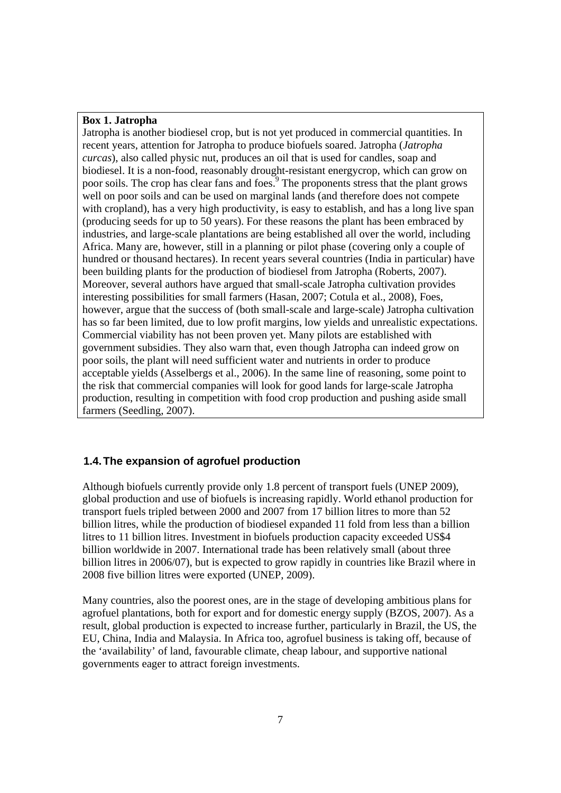### **Box 1. Jatropha**

Jatropha is another biodiesel crop, but is not yet produced in commercial quantities. In recent years, attention for Jatropha to produce biofuels soared. Jatropha (*Jatropha curcas*), also called physic nut, produces an oil that is used for candles, soap and biodiesel. It is a non-food, reasonably drought-resistant energycrop, which can grow on poor soils. The crop has clear fans and foes.<sup>9</sup> The proponents stress that the plant grows well on poor soils and can be used on marginal lands (and therefore does not compete with cropland), has a very high productivity, is easy to establish, and has a long live span (producing seeds for up to 50 years). For these reasons the plant has been embraced by industries, and large-scale plantations are being established all over the world, including Africa. Many are, however, still in a planning or pilot phase (covering only a couple of hundred or thousand hectares). In recent years several countries (India in particular) have been building plants for the production of biodiesel from Jatropha (Roberts, 2007). Moreover, several authors have argued that small-scale Jatropha cultivation provides interesting possibilities for small farmers (Hasan, 2007; Cotula et al., 2008), Foes, however, argue that the success of (both small-scale and large-scale) Jatropha cultivation has so far been limited, due to low profit margins, low yields and unrealistic expectations. Commercial viability has not been proven yet. Many pilots are established with government subsidies. They also warn that, even though Jatropha can indeed grow on poor soils, the plant will need sufficient water and nutrients in order to produce acceptable yields (Asselbergs et al., 2006). In the same line of reasoning, some point to the risk that commercial companies will look for good lands for large-scale Jatropha production, resulting in competition with food crop production and pushing aside small farmers (Seedling, 2007).

# **1.4. The expansion of agrofuel production**

Although biofuels currently provide only 1.8 percent of transport fuels (UNEP 2009), global production and use of biofuels is increasing rapidly. World ethanol production for transport fuels tripled between 2000 and 2007 from 17 billion litres to more than 52 billion litres, while the production of biodiesel expanded 11 fold from less than a billion litres to 11 billion litres. Investment in biofuels production capacity exceeded US\$4 billion worldwide in 2007. International trade has been relatively small (about three billion litres in 2006/07), but is expected to grow rapidly in countries like Brazil where in 2008 five billion litres were exported (UNEP, 2009).

Many countries, also the poorest ones, are in the stage of developing ambitious plans for agrofuel plantations, both for export and for domestic energy supply (BZOS, 2007). As a result, global production is expected to increase further, particularly in Brazil, the US, the EU, China, India and Malaysia. In Africa too, agrofuel business is taking off, because of the 'availability' of land, favourable climate, cheap labour, and supportive national governments eager to attract foreign investments.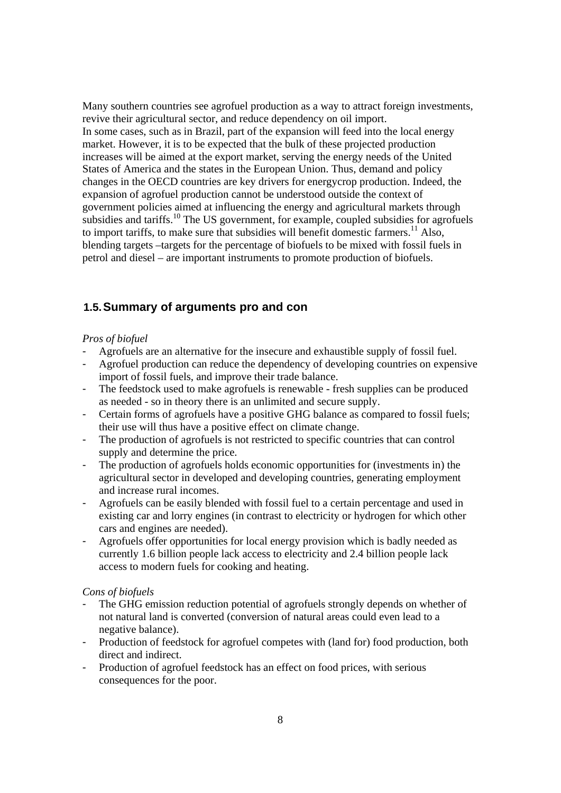Many southern countries see agrofuel production as a way to attract foreign investments, revive their agricultural sector, and reduce dependency on oil import. In some cases, such as in Brazil, part of the expansion will feed into the local energy market. However, it is to be expected that the bulk of these projected production increases will be aimed at the export market, serving the energy needs of the United States of America and the states in the European Union. Thus, demand and policy changes in the OECD countries are key drivers for energycrop production. Indeed, the expansion of agrofuel production cannot be understood outside the context of government policies aimed at influencing the energy and agricultural markets through subsidies and tariffs.<sup>10</sup> The US government, for example, coupled subsidies for agrofuels to import tariffs, to make sure that subsidies will benefit domestic farmers.<sup>11</sup> Also, blending targets –targets for the percentage of biofuels to be mixed with fossil fuels in petrol and diesel – are important instruments to promote production of biofuels.

# **1.5. Summary of arguments pro and con**

# *Pros of biofuel*

- Agrofuels are an alternative for the insecure and exhaustible supply of fossil fuel.
- Agrofuel production can reduce the dependency of developing countries on expensive import of fossil fuels, and improve their trade balance.
- The feedstock used to make agrofuels is renewable fresh supplies can be produced as needed - so in theory there is an unlimited and secure supply.
- Certain forms of agrofuels have a positive GHG balance as compared to fossil fuels; their use will thus have a positive effect on climate change.
- The production of agrofuels is not restricted to specific countries that can control supply and determine the price.
- The production of agrofuels holds economic opportunities for (investments in) the agricultural sector in developed and developing countries, generating employment and increase rural incomes.
- Agrofuels can be easily blended with fossil fuel to a certain percentage and used in existing car and lorry engines (in contrast to electricity or hydrogen for which other cars and engines are needed).
- Agrofuels offer opportunities for local energy provision which is badly needed as currently 1.6 billion people lack access to electricity and 2.4 billion people lack access to modern fuels for cooking and heating.

### *Cons of biofuels*

- The GHG emission reduction potential of agrofuels strongly depends on whether of not natural land is converted (conversion of natural areas could even lead to a negative balance).
- Production of feedstock for agrofuel competes with (land for) food production, both direct and indirect.
- Production of agrofuel feedstock has an effect on food prices, with serious consequences for the poor.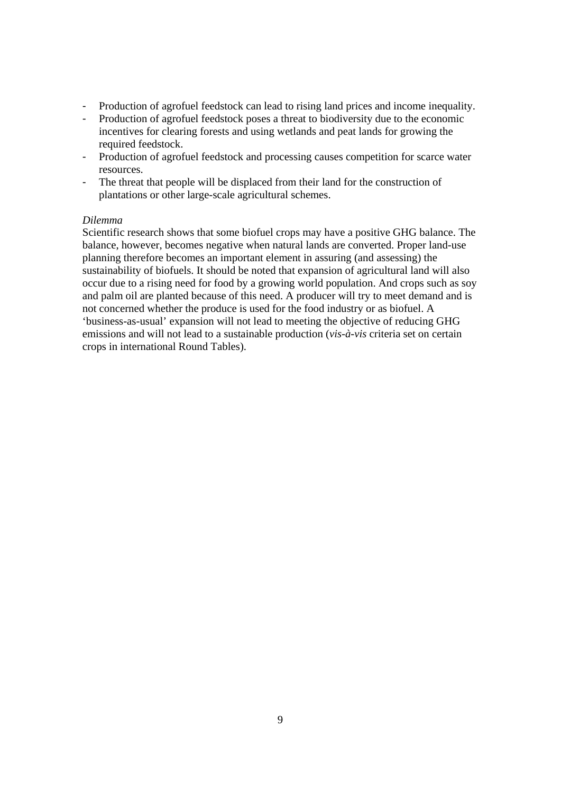- Production of agrofuel feedstock can lead to rising land prices and income inequality.
- Production of agrofuel feedstock poses a threat to biodiversity due to the economic incentives for clearing forests and using wetlands and peat lands for growing the required feedstock.
- Production of agrofuel feedstock and processing causes competition for scarce water resources.
- The threat that people will be displaced from their land for the construction of plantations or other large-scale agricultural schemes.

### *Dilemma*

Scientific research shows that some biofuel crops may have a positive GHG balance. The balance, however, becomes negative when natural lands are converted. Proper land-use planning therefore becomes an important element in assuring (and assessing) the sustainability of biofuels. It should be noted that expansion of agricultural land will also occur due to a rising need for food by a growing world population. And crops such as soy and palm oil are planted because of this need. A producer will try to meet demand and is not concerned whether the produce is used for the food industry or as biofuel. A 'business-as-usual' expansion will not lead to meeting the objective of reducing GHG emissions and will not lead to a sustainable production (*vis-à-vis* criteria set on certain crops in international Round Tables).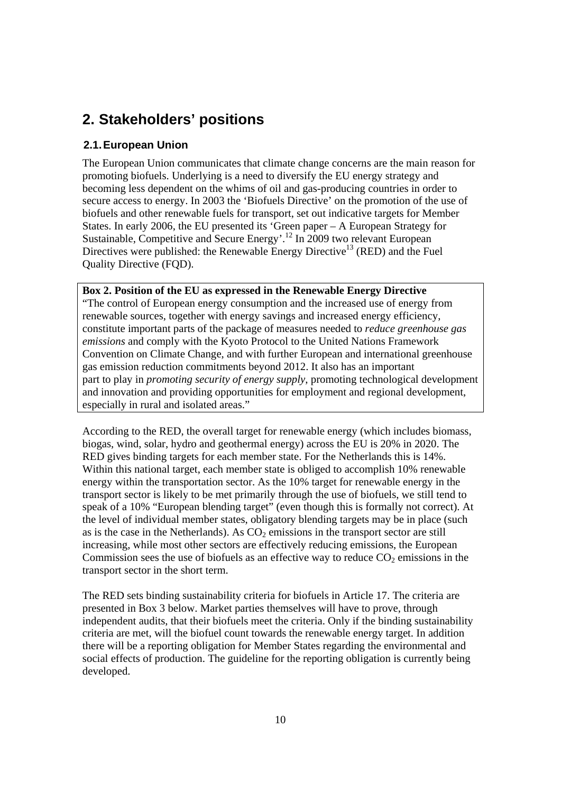# **2. Stakeholders' positions**

# **2.1. European Union**

The European Union communicates that climate change concerns are the main reason for promoting biofuels. Underlying is a need to diversify the EU energy strategy and becoming less dependent on the whims of oil and gas-producing countries in order to secure access to energy. In 2003 the 'Biofuels Directive' on the promotion of the use of biofuels and other renewable fuels for transport, set out indicative targets for Member States. In early 2006, the EU presented its 'Green paper – A European Strategy for Sustainable, Competitive and Secure Energy'.12 In 2009 two relevant European Directives were published: the Renewable Energy Directive<sup>13</sup> (RED) and the Fuel Quality Directive (FQD).

**Box 2. Position of the EU as expressed in the Renewable Energy Directive**  "The control of European energy consumption and the increased use of energy from renewable sources, together with energy savings and increased energy efficiency, constitute important parts of the package of measures needed to *reduce greenhouse gas emissions* and comply with the Kyoto Protocol to the United Nations Framework Convention on Climate Change, and with further European and international greenhouse gas emission reduction commitments beyond 2012. It also has an important part to play in *promoting security of energy supply*, promoting technological development and innovation and providing opportunities for employment and regional development, especially in rural and isolated areas."

According to the RED, the overall target for renewable energy (which includes biomass, biogas, wind, solar, hydro and geothermal energy) across the EU is 20% in 2020. The RED gives binding targets for each member state. For the Netherlands this is 14%. Within this national target, each member state is obliged to accomplish 10% renewable energy within the transportation sector. As the 10% target for renewable energy in the transport sector is likely to be met primarily through the use of biofuels, we still tend to speak of a 10% "European blending target" (even though this is formally not correct). At the level of individual member states, obligatory blending targets may be in place (such as is the case in the Netherlands). As  $CO<sub>2</sub>$  emissions in the transport sector are still increasing, while most other sectors are effectively reducing emissions, the European Commission sees the use of biofuels as an effective way to reduce  $CO<sub>2</sub>$  emissions in the transport sector in the short term.

The RED sets binding sustainability criteria for biofuels in Article 17. The criteria are presented in Box 3 below. Market parties themselves will have to prove, through independent audits, that their biofuels meet the criteria. Only if the binding sustainability criteria are met, will the biofuel count towards the renewable energy target. In addition there will be a reporting obligation for Member States regarding the environmental and social effects of production. The guideline for the reporting obligation is currently being developed.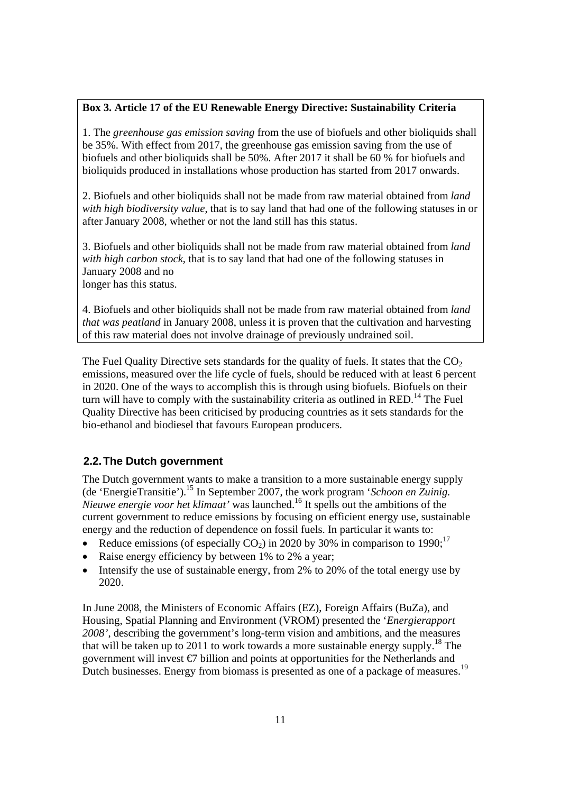# **Box 3. Article 17 of the EU Renewable Energy Directive: Sustainability Criteria**

1. The *greenhouse gas emission saving* from the use of biofuels and other bioliquids shall be 35%. With effect from 2017, the greenhouse gas emission saving from the use of biofuels and other bioliquids shall be 50%. After 2017 it shall be 60 % for biofuels and bioliquids produced in installations whose production has started from 2017 onwards.

2. Biofuels and other bioliquids shall not be made from raw material obtained from *land with high biodiversity value*, that is to say land that had one of the following statuses in or after January 2008, whether or not the land still has this status.

3. Biofuels and other bioliquids shall not be made from raw material obtained from *land with high carbon stock*, that is to say land that had one of the following statuses in January 2008 and no longer has this status.

4. Biofuels and other bioliquids shall not be made from raw material obtained from *land that was peatland* in January 2008, unless it is proven that the cultivation and harvesting of this raw material does not involve drainage of previously undrained soil.

The Fuel Quality Directive sets standards for the quality of fuels. It states that the  $CO<sub>2</sub>$ emissions, measured over the life cycle of fuels, should be reduced with at least 6 percent in 2020. One of the ways to accomplish this is through using biofuels. Biofuels on their turn will have to comply with the sustainability criteria as outlined in  $RED<sup>14</sup>$ . The Fuel Quality Directive has been criticised by producing countries as it sets standards for the bio-ethanol and biodiesel that favours European producers.

# **2.2. The Dutch government**

The Dutch government wants to make a transition to a more sustainable energy supply (de 'EnergieTransitie').15 In September 2007, the work program '*Schoon en Zuinig. Nieuwe energie voor het klimaat'* was launched.16 It spells out the ambitions of the current government to reduce emissions by focusing on efficient energy use, sustainable energy and the reduction of dependence on fossil fuels. In particular it wants to:

- Reduce emissions (of especially  $CO<sub>2</sub>$ ) in 2020 by 30% in comparison to 1990;<sup>17</sup>
- Raise energy efficiency by between 1% to 2% a year;
- Intensify the use of sustainable energy, from 2% to 20% of the total energy use by 2020.

In June 2008, the Ministers of Economic Affairs (EZ), Foreign Affairs (BuZa), and Housing, Spatial Planning and Environment (VROM) presented the '*Energierapport 2008'*, describing the government's long-term vision and ambitions, and the measures that will be taken up to 2011 to work towards a more sustainable energy supply.<sup>18</sup> The government will invest €7 billion and points at opportunities for the Netherlands and Dutch businesses. Energy from biomass is presented as one of a package of measures.<sup>19</sup>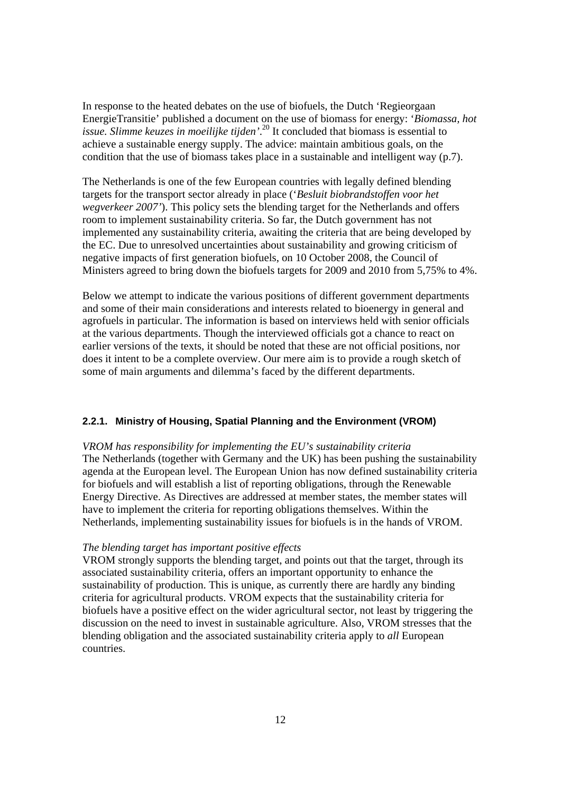In response to the heated debates on the use of biofuels, the Dutch 'Regieorgaan EnergieTransitie' published a document on the use of biomass for energy: '*Biomassa, hot issue. Slimme keuzes in moeilijke tijden'*. 20 It concluded that biomass is essential to achieve a sustainable energy supply. The advice: maintain ambitious goals, on the condition that the use of biomass takes place in a sustainable and intelligent way (p.7).

The Netherlands is one of the few European countries with legally defined blending targets for the transport sector already in place ('*Besluit biobrandstoffen voor het wegverkeer 2007'*). This policy sets the blending target for the Netherlands and offers room to implement sustainability criteria. So far, the Dutch government has not implemented any sustainability criteria, awaiting the criteria that are being developed by the EC. Due to unresolved uncertainties about sustainability and growing criticism of negative impacts of first generation biofuels, on 10 October 2008, the Council of Ministers agreed to bring down the biofuels targets for 2009 and 2010 from 5,75% to 4%.

Below we attempt to indicate the various positions of different government departments and some of their main considerations and interests related to bioenergy in general and agrofuels in particular. The information is based on interviews held with senior officials at the various departments. Though the interviewed officials got a chance to react on earlier versions of the texts, it should be noted that these are not official positions, nor does it intent to be a complete overview. Our mere aim is to provide a rough sketch of some of main arguments and dilemma's faced by the different departments.

# **2.2.1. Ministry of Housing, Spatial Planning and the Environment (VROM)**

#### *VROM has responsibility for implementing the EU's sustainability criteria*

The Netherlands (together with Germany and the UK) has been pushing the sustainability agenda at the European level. The European Union has now defined sustainability criteria for biofuels and will establish a list of reporting obligations, through the Renewable Energy Directive. As Directives are addressed at member states, the member states will have to implement the criteria for reporting obligations themselves. Within the Netherlands, implementing sustainability issues for biofuels is in the hands of VROM.

### *The blending target has important positive effects*

VROM strongly supports the blending target, and points out that the target, through its associated sustainability criteria, offers an important opportunity to enhance the sustainability of production. This is unique, as currently there are hardly any binding criteria for agricultural products. VROM expects that the sustainability criteria for biofuels have a positive effect on the wider agricultural sector, not least by triggering the discussion on the need to invest in sustainable agriculture. Also, VROM stresses that the blending obligation and the associated sustainability criteria apply to *all* European countries.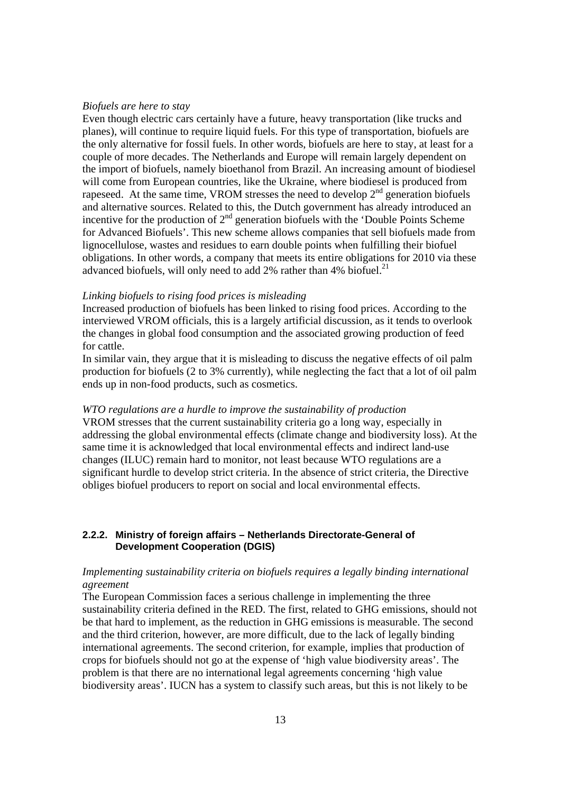### *Biofuels are here to stay*

Even though electric cars certainly have a future, heavy transportation (like trucks and planes), will continue to require liquid fuels. For this type of transportation, biofuels are the only alternative for fossil fuels. In other words, biofuels are here to stay, at least for a couple of more decades. The Netherlands and Europe will remain largely dependent on the import of biofuels, namely bioethanol from Brazil. An increasing amount of biodiesel will come from European countries, like the Ukraine, where biodiesel is produced from rapeseed. At the same time, VROM stresses the need to develop 2<sup>nd</sup> generation biofuels and alternative sources. Related to this, the Dutch government has already introduced an incentive for the production of  $2<sup>nd</sup>$  generation biofuels with the 'Double Points Scheme for Advanced Biofuels'. This new scheme allows companies that sell biofuels made from lignocellulose, wastes and residues to earn double points when fulfilling their biofuel obligations. In other words, a company that meets its entire obligations for 2010 via these advanced biofuels, will only need to add  $2\%$  rather than 4% biofuel.<sup>21</sup>

### *Linking biofuels to rising food prices is misleading*

Increased production of biofuels has been linked to rising food prices. According to the interviewed VROM officials, this is a largely artificial discussion, as it tends to overlook the changes in global food consumption and the associated growing production of feed for cattle.

In similar vain, they argue that it is misleading to discuss the negative effects of oil palm production for biofuels (2 to 3% currently), while neglecting the fact that a lot of oil palm ends up in non-food products, such as cosmetics.

#### *WTO regulations are a hurdle to improve the sustainability of production*

VROM stresses that the current sustainability criteria go a long way, especially in addressing the global environmental effects (climate change and biodiversity loss). At the same time it is acknowledged that local environmental effects and indirect land-use changes (ILUC) remain hard to monitor, not least because WTO regulations are a significant hurdle to develop strict criteria. In the absence of strict criteria, the Directive obliges biofuel producers to report on social and local environmental effects.

### **2.2.2. Ministry of foreign affairs – Netherlands Directorate-General of Development Cooperation (DGIS)**

### *Implementing sustainability criteria on biofuels requires a legally binding international agreement*

The European Commission faces a serious challenge in implementing the three sustainability criteria defined in the RED. The first, related to GHG emissions, should not be that hard to implement, as the reduction in GHG emissions is measurable. The second and the third criterion, however, are more difficult, due to the lack of legally binding international agreements. The second criterion, for example, implies that production of crops for biofuels should not go at the expense of 'high value biodiversity areas'. The problem is that there are no international legal agreements concerning 'high value biodiversity areas'. IUCN has a system to classify such areas, but this is not likely to be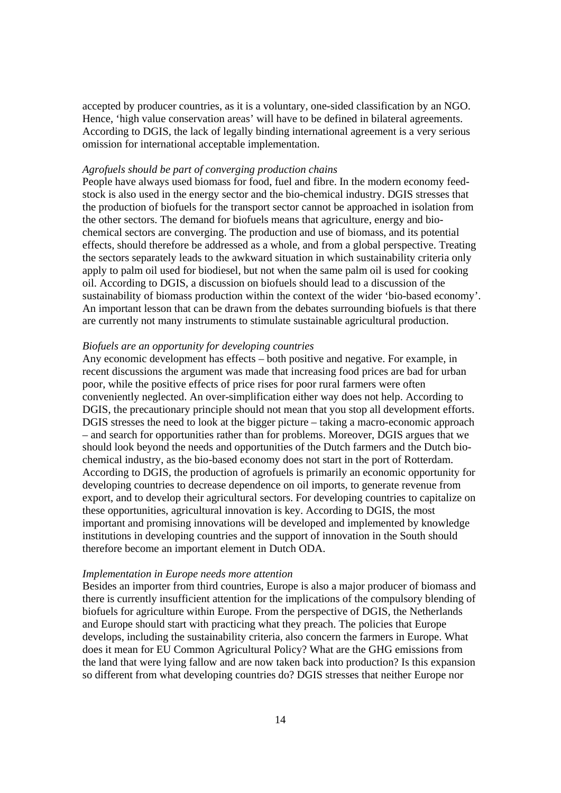accepted by producer countries, as it is a voluntary, one-sided classification by an NGO. Hence, 'high value conservation areas' will have to be defined in bilateral agreements. According to DGIS, the lack of legally binding international agreement is a very serious omission for international acceptable implementation.

### *Agrofuels should be part of converging production chains*

People have always used biomass for food, fuel and fibre. In the modern economy feedstock is also used in the energy sector and the bio-chemical industry. DGIS stresses that the production of biofuels for the transport sector cannot be approached in isolation from the other sectors. The demand for biofuels means that agriculture, energy and biochemical sectors are converging. The production and use of biomass, and its potential effects, should therefore be addressed as a whole, and from a global perspective. Treating the sectors separately leads to the awkward situation in which sustainability criteria only apply to palm oil used for biodiesel, but not when the same palm oil is used for cooking oil. According to DGIS, a discussion on biofuels should lead to a discussion of the sustainability of biomass production within the context of the wider 'bio-based economy'. An important lesson that can be drawn from the debates surrounding biofuels is that there are currently not many instruments to stimulate sustainable agricultural production.

### *Biofuels are an opportunity for developing countries*

Any economic development has effects – both positive and negative. For example, in recent discussions the argument was made that increasing food prices are bad for urban poor, while the positive effects of price rises for poor rural farmers were often conveniently neglected. An over-simplification either way does not help. According to DGIS, the precautionary principle should not mean that you stop all development efforts. DGIS stresses the need to look at the bigger picture – taking a macro-economic approach – and search for opportunities rather than for problems. Moreover, DGIS argues that we should look beyond the needs and opportunities of the Dutch farmers and the Dutch biochemical industry, as the bio-based economy does not start in the port of Rotterdam. According to DGIS, the production of agrofuels is primarily an economic opportunity for developing countries to decrease dependence on oil imports, to generate revenue from export, and to develop their agricultural sectors. For developing countries to capitalize on these opportunities, agricultural innovation is key. According to DGIS, the most important and promising innovations will be developed and implemented by knowledge institutions in developing countries and the support of innovation in the South should therefore become an important element in Dutch ODA.

### *Implementation in Europe needs more attention*

Besides an importer from third countries, Europe is also a major producer of biomass and there is currently insufficient attention for the implications of the compulsory blending of biofuels for agriculture within Europe. From the perspective of DGIS, the Netherlands and Europe should start with practicing what they preach. The policies that Europe develops, including the sustainability criteria, also concern the farmers in Europe. What does it mean for EU Common Agricultural Policy? What are the GHG emissions from the land that were lying fallow and are now taken back into production? Is this expansion so different from what developing countries do? DGIS stresses that neither Europe nor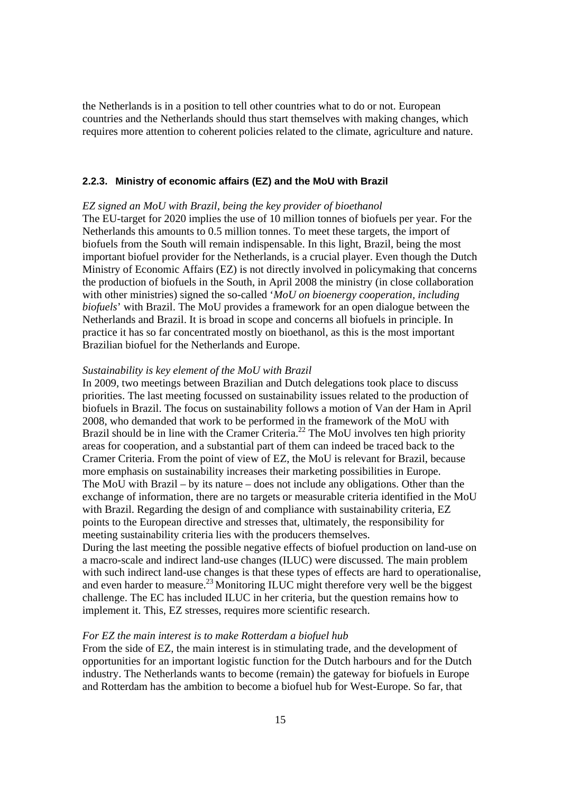the Netherlands is in a position to tell other countries what to do or not. European countries and the Netherlands should thus start themselves with making changes, which requires more attention to coherent policies related to the climate, agriculture and nature.

### **2.2.3. Ministry of economic affairs (EZ) and the MoU with Brazil**

# *EZ signed an MoU with Brazil, being the key provider of bioethanol*

The EU-target for 2020 implies the use of 10 million tonnes of biofuels per year. For the Netherlands this amounts to 0.5 million tonnes. To meet these targets, the import of biofuels from the South will remain indispensable. In this light, Brazil, being the most important biofuel provider for the Netherlands, is a crucial player. Even though the Dutch Ministry of Economic Affairs (EZ) is not directly involved in policymaking that concerns the production of biofuels in the South, in April 2008 the ministry (in close collaboration with other ministries) signed the so-called '*MoU on bioenergy cooperation, including biofuels*' with Brazil. The MoU provides a framework for an open dialogue between the Netherlands and Brazil. It is broad in scope and concerns all biofuels in principle. In practice it has so far concentrated mostly on bioethanol, as this is the most important Brazilian biofuel for the Netherlands and Europe.

### *Sustainability is key element of the MoU with Brazil*

In 2009, two meetings between Brazilian and Dutch delegations took place to discuss priorities. The last meeting focussed on sustainability issues related to the production of biofuels in Brazil. The focus on sustainability follows a motion of Van der Ham in April 2008, who demanded that work to be performed in the framework of the MoU with Brazil should be in line with the Cramer Criteria.<sup>22</sup> The MoU involves ten high priority areas for cooperation, and a substantial part of them can indeed be traced back to the Cramer Criteria. From the point of view of EZ, the MoU is relevant for Brazil, because more emphasis on sustainability increases their marketing possibilities in Europe. The MoU with Brazil – by its nature – does not include any obligations. Other than the exchange of information, there are no targets or measurable criteria identified in the MoU with Brazil. Regarding the design of and compliance with sustainability criteria, EZ points to the European directive and stresses that, ultimately, the responsibility for meeting sustainability criteria lies with the producers themselves.

During the last meeting the possible negative effects of biofuel production on land-use on a macro-scale and indirect land-use changes (ILUC) were discussed. The main problem with such indirect land-use changes is that these types of effects are hard to operationalise, and even harder to measure.<sup>23</sup> Monitoring ILUC might therefore very well be the biggest challenge. The EC has included ILUC in her criteria, but the question remains how to implement it. This, EZ stresses, requires more scientific research.

### *For EZ the main interest is to make Rotterdam a biofuel hub*

From the side of EZ, the main interest is in stimulating trade, and the development of opportunities for an important logistic function for the Dutch harbours and for the Dutch industry. The Netherlands wants to become (remain) the gateway for biofuels in Europe and Rotterdam has the ambition to become a biofuel hub for West-Europe. So far, that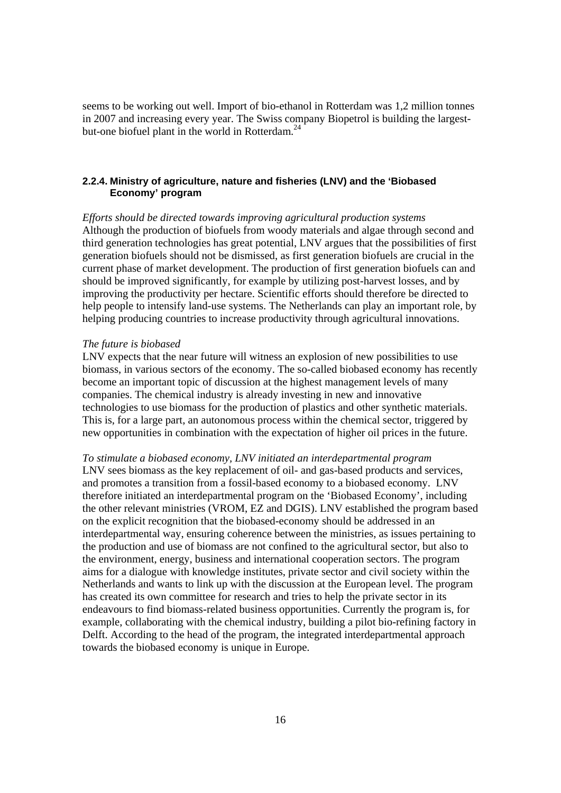seems to be working out well. Import of bio-ethanol in Rotterdam was 1,2 million tonnes in 2007 and increasing every year. The Swiss company Biopetrol is building the largestbut-one biofuel plant in the world in Rotterdam. $^{24}$ 

### **2.2.4. Ministry of agriculture, nature and fisheries (LNV) and the 'Biobased Economy' program**

*Efforts should be directed towards improving agricultural production systems*  Although the production of biofuels from woody materials and algae through second and third generation technologies has great potential, LNV argues that the possibilities of first generation biofuels should not be dismissed, as first generation biofuels are crucial in the current phase of market development. The production of first generation biofuels can and should be improved significantly, for example by utilizing post-harvest losses, and by improving the productivity per hectare. Scientific efforts should therefore be directed to help people to intensify land-use systems. The Netherlands can play an important role, by helping producing countries to increase productivity through agricultural innovations.

### *The future is biobased*

LNV expects that the near future will witness an explosion of new possibilities to use biomass, in various sectors of the economy. The so-called biobased economy has recently become an important topic of discussion at the highest management levels of many companies. The chemical industry is already investing in new and innovative technologies to use biomass for the production of plastics and other synthetic materials. This is, for a large part, an autonomous process within the chemical sector, triggered by new opportunities in combination with the expectation of higher oil prices in the future.

*To stimulate a biobased economy, LNV initiated an interdepartmental program*  LNV sees biomass as the key replacement of oil- and gas-based products and services, and promotes a transition from a fossil-based economy to a biobased economy. LNV therefore initiated an interdepartmental program on the 'Biobased Economy', including the other relevant ministries (VROM, EZ and DGIS). LNV established the program based on the explicit recognition that the biobased-economy should be addressed in an interdepartmental way, ensuring coherence between the ministries, as issues pertaining to the production and use of biomass are not confined to the agricultural sector, but also to the environment, energy, business and international cooperation sectors. The program aims for a dialogue with knowledge institutes, private sector and civil society within the Netherlands and wants to link up with the discussion at the European level. The program has created its own committee for research and tries to help the private sector in its endeavours to find biomass-related business opportunities. Currently the program is, for example, collaborating with the chemical industry, building a pilot bio-refining factory in Delft. According to the head of the program, the integrated interdepartmental approach towards the biobased economy is unique in Europe.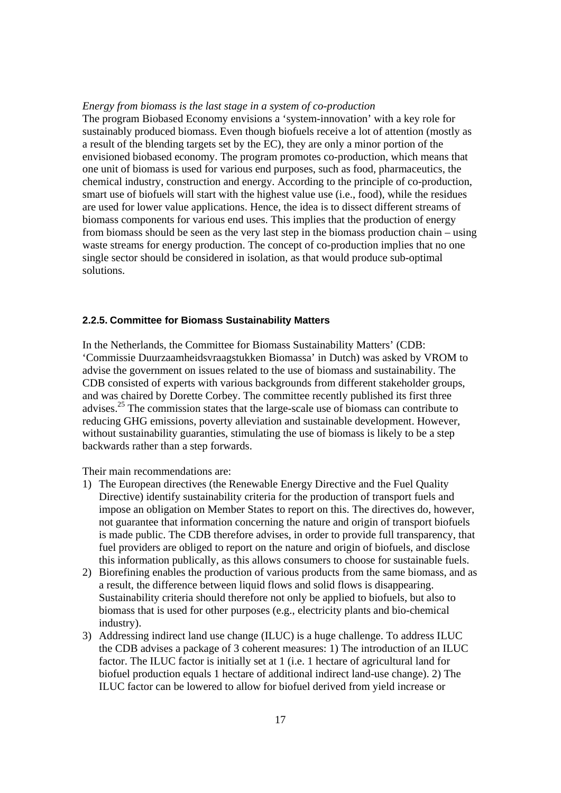#### *Energy from biomass is the last stage in a system of co-production*

The program Biobased Economy envisions a 'system-innovation' with a key role for sustainably produced biomass. Even though biofuels receive a lot of attention (mostly as a result of the blending targets set by the EC), they are only a minor portion of the envisioned biobased economy. The program promotes co-production, which means that one unit of biomass is used for various end purposes, such as food, pharmaceutics, the chemical industry, construction and energy. According to the principle of co-production, smart use of biofuels will start with the highest value use (i.e., food), while the residues are used for lower value applications. Hence, the idea is to dissect different streams of biomass components for various end uses. This implies that the production of energy from biomass should be seen as the very last step in the biomass production chain – using waste streams for energy production. The concept of co-production implies that no one single sector should be considered in isolation, as that would produce sub-optimal solutions.

### **2.2.5. Committee for Biomass Sustainability Matters**

In the Netherlands, the Committee for Biomass Sustainability Matters' (CDB: 'Commissie Duurzaamheidsvraagstukken Biomassa' in Dutch) was asked by VROM to advise the government on issues related to the use of biomass and sustainability. The CDB consisted of experts with various backgrounds from different stakeholder groups, and was chaired by Dorette Corbey. The committee recently published its first three advises.25 The commission states that the large-scale use of biomass can contribute to reducing GHG emissions, poverty alleviation and sustainable development. However, without sustainability guaranties, stimulating the use of biomass is likely to be a step backwards rather than a step forwards.

Their main recommendations are:

- 1) The European directives (the Renewable Energy Directive and the Fuel Quality Directive) identify sustainability criteria for the production of transport fuels and impose an obligation on Member States to report on this. The directives do, however, not guarantee that information concerning the nature and origin of transport biofuels is made public. The CDB therefore advises, in order to provide full transparency, that fuel providers are obliged to report on the nature and origin of biofuels, and disclose this information publically, as this allows consumers to choose for sustainable fuels.
- 2) Biorefining enables the production of various products from the same biomass, and as a result, the difference between liquid flows and solid flows is disappearing. Sustainability criteria should therefore not only be applied to biofuels, but also to biomass that is used for other purposes (e.g., electricity plants and bio-chemical industry).
- 3) Addressing indirect land use change (ILUC) is a huge challenge. To address ILUC the CDB advises a package of 3 coherent measures: 1) The introduction of an ILUC factor. The ILUC factor is initially set at 1 (i.e. 1 hectare of agricultural land for biofuel production equals 1 hectare of additional indirect land-use change). 2) The ILUC factor can be lowered to allow for biofuel derived from yield increase or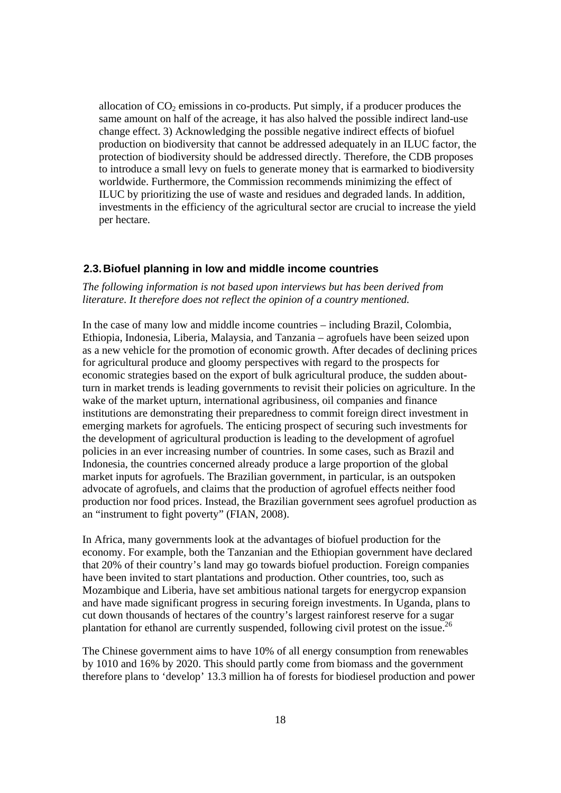allocation of  $CO<sub>2</sub>$  emissions in co-products. Put simply, if a producer produces the same amount on half of the acreage, it has also halved the possible indirect land-use change effect. 3) Acknowledging the possible negative indirect effects of biofuel production on biodiversity that cannot be addressed adequately in an ILUC factor, the protection of biodiversity should be addressed directly. Therefore, the CDB proposes to introduce a small levy on fuels to generate money that is earmarked to biodiversity worldwide. Furthermore, the Commission recommends minimizing the effect of ILUC by prioritizing the use of waste and residues and degraded lands. In addition, investments in the efficiency of the agricultural sector are crucial to increase the yield per hectare.

### **2.3. Biofuel planning in low and middle income countries**

*The following information is not based upon interviews but has been derived from literature. It therefore does not reflect the opinion of a country mentioned.* 

In the case of many low and middle income countries – including Brazil, Colombia, Ethiopia, Indonesia, Liberia, Malaysia, and Tanzania – agrofuels have been seized upon as a new vehicle for the promotion of economic growth. After decades of declining prices for agricultural produce and gloomy perspectives with regard to the prospects for economic strategies based on the export of bulk agricultural produce, the sudden aboutturn in market trends is leading governments to revisit their policies on agriculture. In the wake of the market upturn, international agribusiness, oil companies and finance institutions are demonstrating their preparedness to commit foreign direct investment in emerging markets for agrofuels. The enticing prospect of securing such investments for the development of agricultural production is leading to the development of agrofuel policies in an ever increasing number of countries. In some cases, such as Brazil and Indonesia, the countries concerned already produce a large proportion of the global market inputs for agrofuels. The Brazilian government, in particular, is an outspoken advocate of agrofuels, and claims that the production of agrofuel effects neither food production nor food prices. Instead, the Brazilian government sees agrofuel production as an "instrument to fight poverty" (FIAN, 2008).

In Africa, many governments look at the advantages of biofuel production for the economy. For example, both the Tanzanian and the Ethiopian government have declared that 20% of their country's land may go towards biofuel production. Foreign companies have been invited to start plantations and production. Other countries, too, such as Mozambique and Liberia, have set ambitious national targets for energycrop expansion and have made significant progress in securing foreign investments. In Uganda, plans to cut down thousands of hectares of the country's largest rainforest reserve for a sugar plantation for ethanol are currently suspended, following civil protest on the issue.<sup>26</sup>

The Chinese government aims to have 10% of all energy consumption from renewables by 1010 and 16% by 2020. This should partly come from biomass and the government therefore plans to 'develop' 13.3 million ha of forests for biodiesel production and power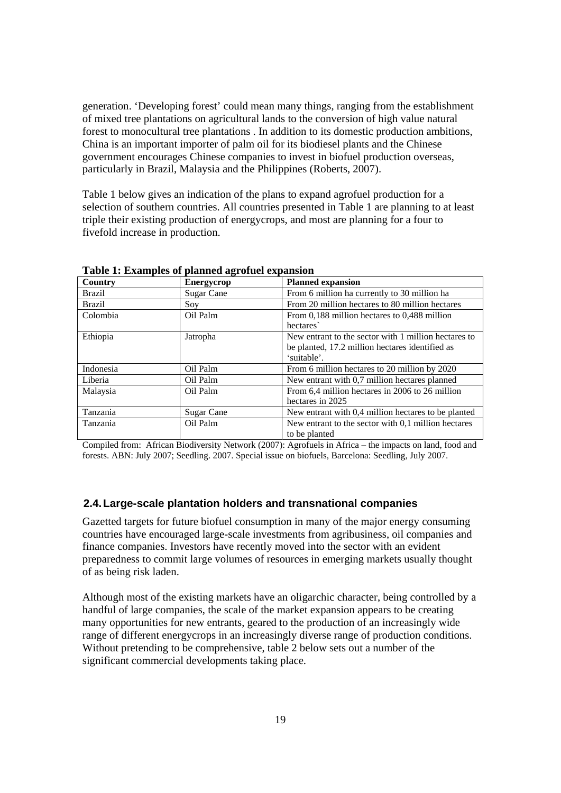generation. 'Developing forest' could mean many things, ranging from the establishment of mixed tree plantations on agricultural lands to the conversion of high value natural forest to monocultural tree plantations . In addition to its domestic production ambitions, China is an important importer of palm oil for its biodiesel plants and the Chinese government encourages Chinese companies to invest in biofuel production overseas, particularly in Brazil, Malaysia and the Philippines (Roberts, 2007).

Table 1 below gives an indication of the plans to expand agrofuel production for a selection of southern countries. All countries presented in Table 1 are planning to at least triple their existing production of energycrops, and most are planning for a four to fivefold increase in production.

| Table 1. Examples of planned agroited expansion |                   |                                                      |  |  |
|-------------------------------------------------|-------------------|------------------------------------------------------|--|--|
| Country                                         | <b>Energycrop</b> | <b>Planned expansion</b>                             |  |  |
| <b>Brazil</b>                                   | Sugar Cane        | From 6 million ha currently to 30 million ha         |  |  |
| <b>Brazil</b>                                   | Soy               | From 20 million hectares to 80 million hectares      |  |  |
| Colombia                                        | Oil Palm          | From 0.188 million hectares to 0.488 million         |  |  |
|                                                 |                   | hectares                                             |  |  |
| Ethiopia                                        | Jatropha          | New entrant to the sector with 1 million hectares to |  |  |
|                                                 |                   | be planted, 17.2 million hectares identified as      |  |  |
|                                                 |                   | 'suitable'.                                          |  |  |
| Indonesia                                       | Oil Palm          | From 6 million hectares to 20 million by 2020        |  |  |
| Liberia                                         | Oil Palm          | New entrant with 0.7 million hectares planned        |  |  |
| Malaysia                                        | Oil Palm          | From 6,4 million hectares in 2006 to 26 million      |  |  |
|                                                 |                   | hectares in 2025                                     |  |  |
| Tanzania                                        | Sugar Cane        | New entrant with 0,4 million hectares to be planted  |  |  |
| <b>Tanzania</b>                                 | Oil Palm          | New entrant to the sector with 0,1 million hectares  |  |  |
|                                                 |                   | to be planted                                        |  |  |

**Table 1: Examples of planned agrofuel expansion**

Compiled from: African Biodiversity Network (2007): Agrofuels in Africa – the impacts on land, food and forests. ABN: July 2007; Seedling. 2007. Special issue on biofuels, Barcelona: Seedling, July 2007.

### **2.4. Large-scale plantation holders and transnational companies**

Gazetted targets for future biofuel consumption in many of the major energy consuming countries have encouraged large-scale investments from agribusiness, oil companies and finance companies. Investors have recently moved into the sector with an evident preparedness to commit large volumes of resources in emerging markets usually thought of as being risk laden.

Although most of the existing markets have an oligarchic character, being controlled by a handful of large companies, the scale of the market expansion appears to be creating many opportunities for new entrants, geared to the production of an increasingly wide range of different energycrops in an increasingly diverse range of production conditions. Without pretending to be comprehensive, table 2 below sets out a number of the significant commercial developments taking place.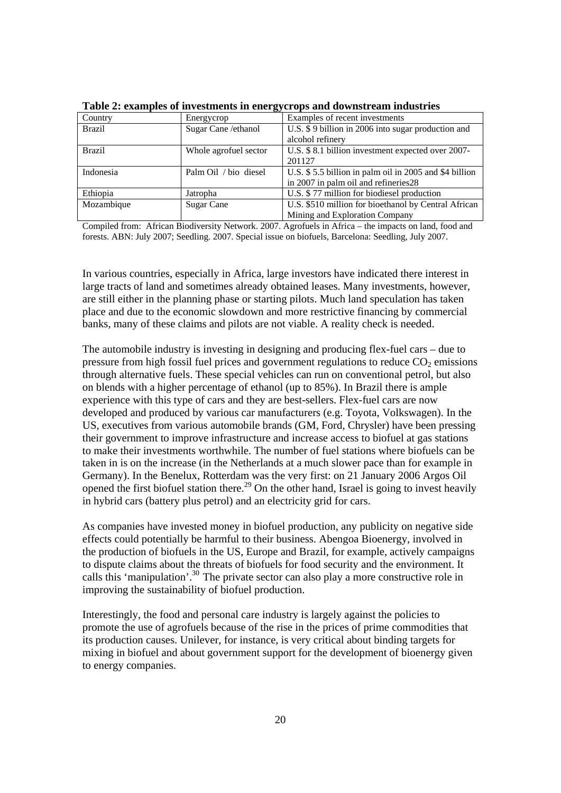| Country       | Energycrop            | Examples of recent investments                         |
|---------------|-----------------------|--------------------------------------------------------|
| <b>Brazil</b> | Sugar Cane /ethanol   | U.S. \$9 billion in 2006 into sugar production and     |
|               |                       | alcohol refinery                                       |
| <b>Brazil</b> | Whole agrofuel sector | U.S. \$ 8.1 billion investment expected over 2007-     |
|               |                       | 201127                                                 |
| Indonesia     | Palm Oil / bio diesel | U.S. \$5.5 billion in palm oil in 2005 and \$4 billion |
|               |                       | in 2007 in palm oil and refineries 28                  |
| Ethiopia      | Jatropha              | U.S. \$77 million for biodiesel production             |
| Mozambique    | Sugar Cane            | U.S. \$510 million for bioethanol by Central African   |
|               |                       | Mining and Exploration Company                         |

**Table 2: examples of investments in energycrops and downstream industries**

Compiled from: African Biodiversity Network. 2007. Agrofuels in Africa – the impacts on land, food and forests. ABN: July 2007; Seedling. 2007. Special issue on biofuels, Barcelona: Seedling, July 2007.

In various countries, especially in Africa, large investors have indicated there interest in large tracts of land and sometimes already obtained leases. Many investments, however, are still either in the planning phase or starting pilots. Much land speculation has taken place and due to the economic slowdown and more restrictive financing by commercial banks, many of these claims and pilots are not viable. A reality check is needed.

The automobile industry is investing in designing and producing flex-fuel cars – due to pressure from high fossil fuel prices and government regulations to reduce  $CO<sub>2</sub>$  emissions through alternative fuels. These special vehicles can run on conventional petrol, but also on blends with a higher percentage of ethanol (up to 85%). In Brazil there is ample experience with this type of cars and they are best-sellers. Flex-fuel cars are now developed and produced by various car manufacturers (e.g. Toyota, Volkswagen). In the US, executives from various automobile brands (GM, Ford, Chrysler) have been pressing their government to improve infrastructure and increase access to biofuel at gas stations to make their investments worthwhile. The number of fuel stations where biofuels can be taken in is on the increase (in the Netherlands at a much slower pace than for example in Germany). In the Benelux, Rotterdam was the very first: on 21 January 2006 Argos Oil opened the first biofuel station there.<sup>29</sup> On the other hand, Israel is going to invest heavily in hybrid cars (battery plus petrol) and an electricity grid for cars.

As companies have invested money in biofuel production, any publicity on negative side effects could potentially be harmful to their business. Abengoa Bioenergy, involved in the production of biofuels in the US, Europe and Brazil, for example, actively campaigns to dispute claims about the threats of biofuels for food security and the environment. It calls this 'manipulation'.30 The private sector can also play a more constructive role in improving the sustainability of biofuel production.

Interestingly, the food and personal care industry is largely against the policies to promote the use of agrofuels because of the rise in the prices of prime commodities that its production causes. Unilever, for instance, is very critical about binding targets for mixing in biofuel and about government support for the development of bioenergy given to energy companies.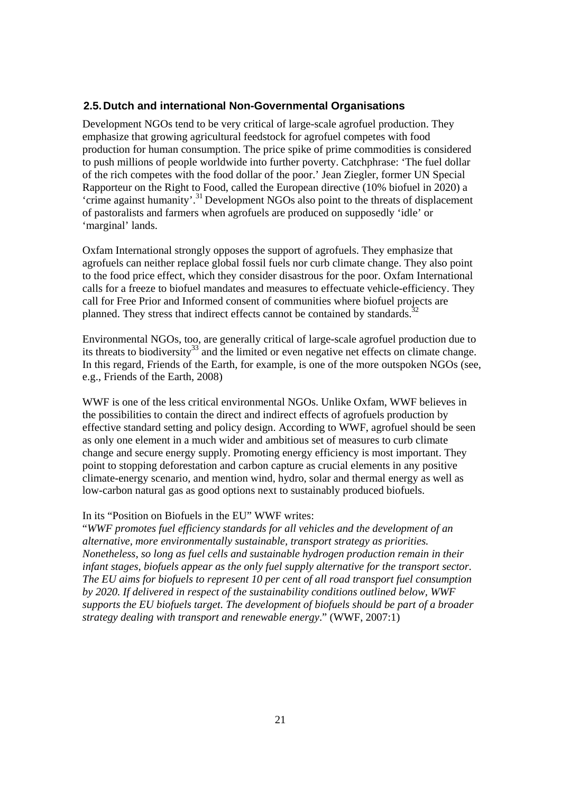# **2.5. Dutch and international Non-Governmental Organisations**

Development NGOs tend to be very critical of large-scale agrofuel production. They emphasize that growing agricultural feedstock for agrofuel competes with food production for human consumption. The price spike of prime commodities is considered to push millions of people worldwide into further poverty. Catchphrase: 'The fuel dollar of the rich competes with the food dollar of the poor.' Jean Ziegler, former UN Special Rapporteur on the Right to Food, called the European directive (10% biofuel in 2020) a 'crime against humanity'.31 Development NGOs also point to the threats of displacement of pastoralists and farmers when agrofuels are produced on supposedly 'idle' or 'marginal' lands.

Oxfam International strongly opposes the support of agrofuels. They emphasize that agrofuels can neither replace global fossil fuels nor curb climate change. They also point to the food price effect, which they consider disastrous for the poor. Oxfam International calls for a freeze to biofuel mandates and measures to effectuate vehicle-efficiency. They call for Free Prior and Informed consent of communities where biofuel projects are planned. They stress that indirect effects cannot be contained by standards.<sup>3</sup>

Environmental NGOs, too, are generally critical of large-scale agrofuel production due to its threats to biodiversity<sup>33</sup> and the limited or even negative net effects on climate change. In this regard, Friends of the Earth, for example, is one of the more outspoken NGOs (see, e.g., Friends of the Earth, 2008)

WWF is one of the less critical environmental NGOs. Unlike Oxfam, WWF believes in the possibilities to contain the direct and indirect effects of agrofuels production by effective standard setting and policy design. According to WWF, agrofuel should be seen as only one element in a much wider and ambitious set of measures to curb climate change and secure energy supply. Promoting energy efficiency is most important. They point to stopping deforestation and carbon capture as crucial elements in any positive climate-energy scenario, and mention wind, hydro, solar and thermal energy as well as low-carbon natural gas as good options next to sustainably produced biofuels.

### In its "Position on Biofuels in the EU" WWF writes:

"*WWF promotes fuel efficiency standards for all vehicles and the development of an alternative, more environmentally sustainable, transport strategy as priorities. Nonetheless, so long as fuel cells and sustainable hydrogen production remain in their infant stages, biofuels appear as the only fuel supply alternative for the transport sector. The EU aims for biofuels to represent 10 per cent of all road transport fuel consumption by 2020. If delivered in respect of the sustainability conditions outlined below, WWF supports the EU biofuels target. The development of biofuels should be part of a broader strategy dealing with transport and renewable energy*." (WWF, 2007:1)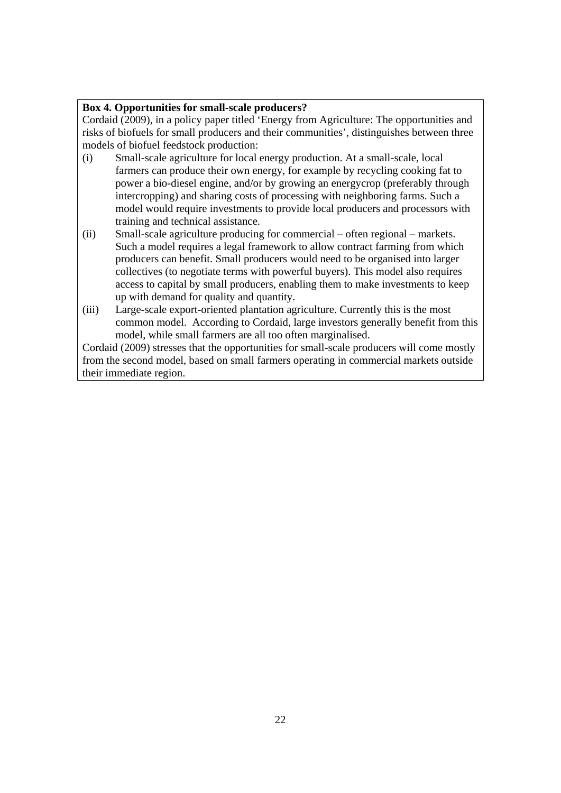# **Box 4. Opportunities for small-scale producers?**

Cordaid (2009), in a policy paper titled 'Energy from Agriculture: The opportunities and risks of biofuels for small producers and their communities', distinguishes between three models of biofuel feedstock production:

- (i) Small-scale agriculture for local energy production. At a small-scale, local farmers can produce their own energy, for example by recycling cooking fat to power a bio-diesel engine, and/or by growing an energycrop (preferably through intercropping) and sharing costs of processing with neighboring farms. Such a model would require investments to provide local producers and processors with training and technical assistance.
- (ii) Small-scale agriculture producing for commercial often regional markets. Such a model requires a legal framework to allow contract farming from which producers can benefit. Small producers would need to be organised into larger collectives (to negotiate terms with powerful buyers). This model also requires access to capital by small producers, enabling them to make investments to keep up with demand for quality and quantity.
- (iii) Large-scale export-oriented plantation agriculture. Currently this is the most common model. According to Cordaid, large investors generally benefit from this model, while small farmers are all too often marginalised.

Cordaid (2009) stresses that the opportunities for small-scale producers will come mostly from the second model, based on small farmers operating in commercial markets outside their immediate region.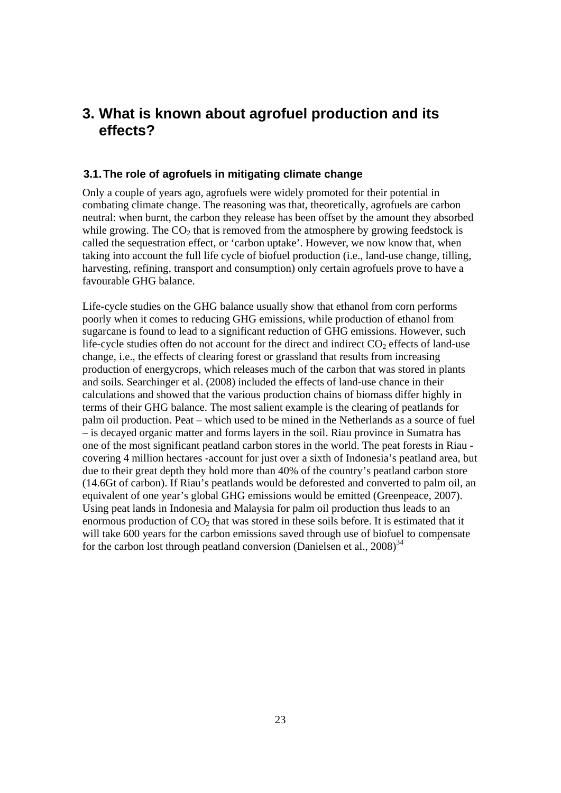# **3. What is known about agrofuel production and its effects?**

### **3.1. The role of agrofuels in mitigating climate change**

Only a couple of years ago, agrofuels were widely promoted for their potential in combating climate change. The reasoning was that, theoretically, agrofuels are carbon neutral: when burnt, the carbon they release has been offset by the amount they absorbed while growing. The  $CO<sub>2</sub>$  that is removed from the atmosphere by growing feedstock is called the sequestration effect, or 'carbon uptake'. However, we now know that, when taking into account the full life cycle of biofuel production (i.e., land-use change, tilling, harvesting, refining, transport and consumption) only certain agrofuels prove to have a favourable GHG balance.

Life-cycle studies on the GHG balance usually show that ethanol from corn performs poorly when it comes to reducing GHG emissions, while production of ethanol from sugarcane is found to lead to a significant reduction of GHG emissions. However, such life-cycle studies often do not account for the direct and indirect  $CO<sub>2</sub>$  effects of land-use change, i.e., the effects of clearing forest or grassland that results from increasing production of energycrops, which releases much of the carbon that was stored in plants and soils. Searchinger et al. (2008) included the effects of land-use chance in their calculations and showed that the various production chains of biomass differ highly in terms of their GHG balance. The most salient example is the clearing of peatlands for palm oil production. Peat – which used to be mined in the Netherlands as a source of fuel – is decayed organic matter and forms layers in the soil. Riau province in Sumatra has one of the most significant peatland carbon stores in the world. The peat forests in Riau covering 4 million hectares -account for just over a sixth of Indonesia's peatland area, but due to their great depth they hold more than 40% of the country's peatland carbon store (14.6Gt of carbon). If Riau's peatlands would be deforested and converted to palm oil, an equivalent of one year's global GHG emissions would be emitted (Greenpeace, 2007). Using peat lands in Indonesia and Malaysia for palm oil production thus leads to an enormous production of  $CO<sub>2</sub>$  that was stored in these soils before. It is estimated that it will take 600 years for the carbon emissions saved through use of biofuel to compensate for the carbon lost through peatland conversion (Danielsen et al.,  $2008$ )<sup>34</sup>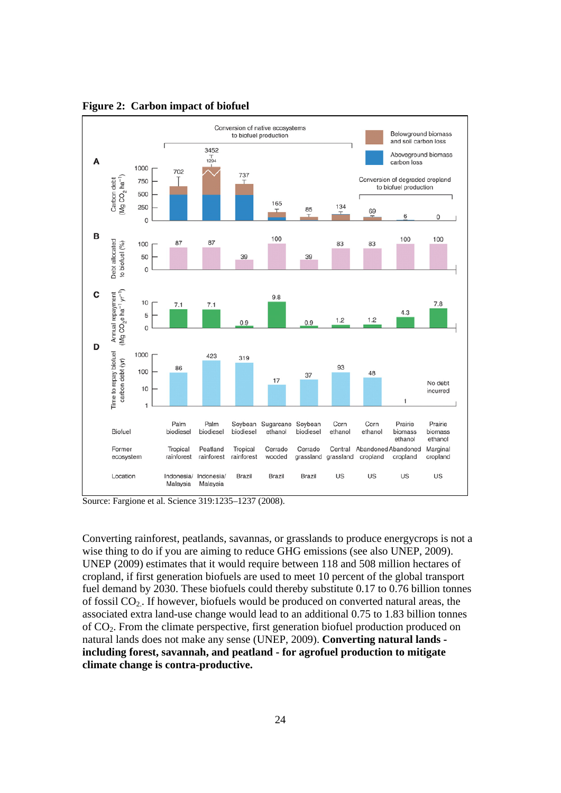

**Figure 2: Carbon impact of biofuel**

Source: Fargione et al. Science 319:1235–1237 (2008).

Converting rainforest, peatlands, savannas, or grasslands to produce energycrops is not a wise thing to do if you are aiming to reduce GHG emissions (see also UNEP, 2009). UNEP (2009) estimates that it would require between 118 and 508 million hectares of cropland, if first generation biofuels are used to meet 10 percent of the global transport fuel demand by 2030. These biofuels could thereby substitute 0.17 to 0.76 billion tonnes of fossil CO2.. If however, biofuels would be produced on converted natural areas, the associated extra land-use change would lead to an additional 0.75 to 1.83 billion tonnes of CO2. From the climate perspective, first generation biofuel production produced on natural lands does not make any sense (UNEP, 2009). **Converting natural lands including forest, savannah, and peatland - for agrofuel production to mitigate climate change is contra-productive.**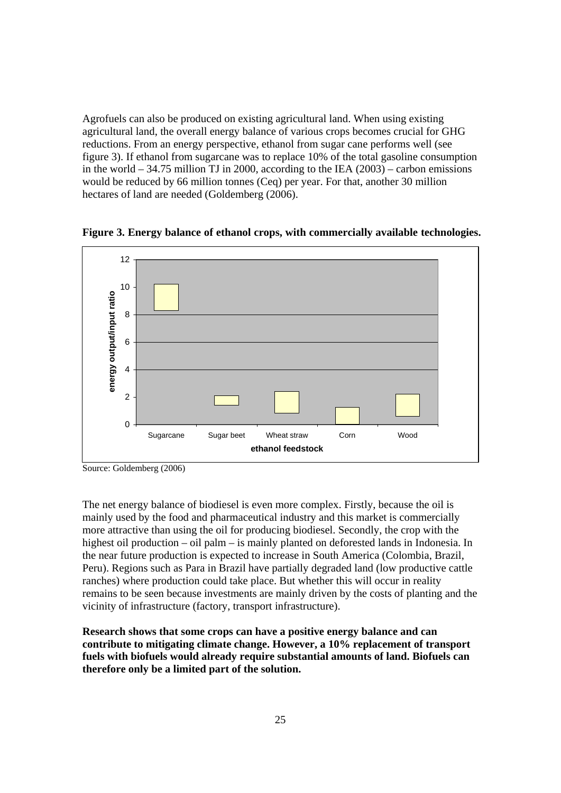Agrofuels can also be produced on existing agricultural land. When using existing agricultural land, the overall energy balance of various crops becomes crucial for GHG reductions. From an energy perspective, ethanol from sugar cane performs well (see figure 3). If ethanol from sugarcane was to replace 10% of the total gasoline consumption in the world – 34.75 million TJ in 2000, according to the IEA (2003) – carbon emissions would be reduced by 66 million tonnes (Ceq) per year. For that, another 30 million hectares of land are needed (Goldemberg (2006).



**Figure 3. Energy balance of ethanol crops, with commercially available technologies.** 

The net energy balance of biodiesel is even more complex. Firstly, because the oil is mainly used by the food and pharmaceutical industry and this market is commercially more attractive than using the oil for producing biodiesel. Secondly, the crop with the highest oil production – oil palm – is mainly planted on deforested lands in Indonesia. In the near future production is expected to increase in South America (Colombia, Brazil, Peru). Regions such as Para in Brazil have partially degraded land (low productive cattle ranches) where production could take place. But whether this will occur in reality remains to be seen because investments are mainly driven by the costs of planting and the vicinity of infrastructure (factory, transport infrastructure).

**Research shows that some crops can have a positive energy balance and can contribute to mitigating climate change. However, a 10% replacement of transport fuels with biofuels would already require substantial amounts of land. Biofuels can therefore only be a limited part of the solution.** 

Source: Goldemberg (2006)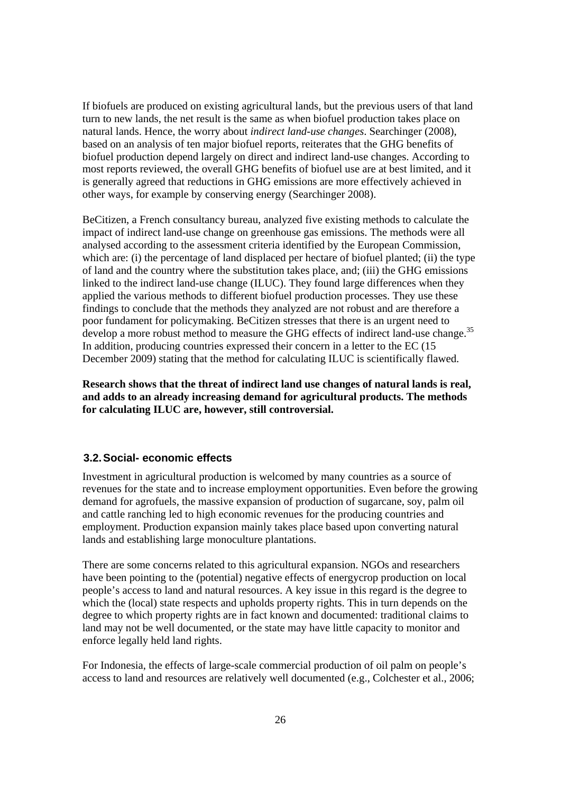If biofuels are produced on existing agricultural lands, but the previous users of that land turn to new lands, the net result is the same as when biofuel production takes place on natural lands. Hence, the worry about *indirect land-use changes*. Searchinger (2008), based on an analysis of ten major biofuel reports, reiterates that the GHG benefits of biofuel production depend largely on direct and indirect land-use changes. According to most reports reviewed, the overall GHG benefits of biofuel use are at best limited, and it is generally agreed that reductions in GHG emissions are more effectively achieved in other ways, for example by conserving energy (Searchinger 2008).

BeCitizen, a French consultancy bureau, analyzed five existing methods to calculate the impact of indirect land-use change on greenhouse gas emissions. The methods were all analysed according to the assessment criteria identified by the European Commission, which are: (i) the percentage of land displaced per hectare of biofuel planted; (ii) the type of land and the country where the substitution takes place, and; (iii) the GHG emissions linked to the indirect land-use change (ILUC). They found large differences when they applied the various methods to different biofuel production processes. They use these findings to conclude that the methods they analyzed are not robust and are therefore a poor fundament for policymaking. BeCitizen stresses that there is an urgent need to develop a more robust method to measure the GHG effects of indirect land-use change.<sup>35</sup> In addition, producing countries expressed their concern in a letter to the EC (15 December 2009) stating that the method for calculating ILUC is scientifically flawed.

**Research shows that the threat of indirect land use changes of natural lands is real, and adds to an already increasing demand for agricultural products. The methods for calculating ILUC are, however, still controversial.** 

# **3.2. Social- economic effects**

Investment in agricultural production is welcomed by many countries as a source of revenues for the state and to increase employment opportunities. Even before the growing demand for agrofuels, the massive expansion of production of sugarcane, soy, palm oil and cattle ranching led to high economic revenues for the producing countries and employment. Production expansion mainly takes place based upon converting natural lands and establishing large monoculture plantations.

There are some concerns related to this agricultural expansion. NGOs and researchers have been pointing to the (potential) negative effects of energycrop production on local people's access to land and natural resources. A key issue in this regard is the degree to which the (local) state respects and upholds property rights. This in turn depends on the degree to which property rights are in fact known and documented: traditional claims to land may not be well documented, or the state may have little capacity to monitor and enforce legally held land rights.

For Indonesia, the effects of large-scale commercial production of oil palm on people's access to land and resources are relatively well documented (e.g., Colchester et al., 2006;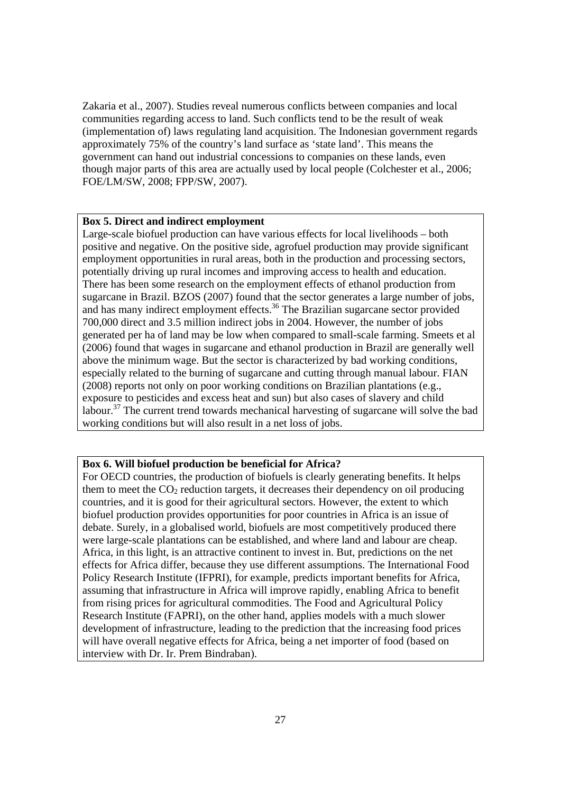Zakaria et al., 2007). Studies reveal numerous conflicts between companies and local communities regarding access to land. Such conflicts tend to be the result of weak (implementation of) laws regulating land acquisition. The Indonesian government regards approximately 75% of the country's land surface as 'state land'. This means the government can hand out industrial concessions to companies on these lands, even though major parts of this area are actually used by local people (Colchester et al., 2006; FOE/LM/SW, 2008; FPP/SW, 2007).

### **Box 5. Direct and indirect employment**

Large-scale biofuel production can have various effects for local livelihoods – both positive and negative. On the positive side, agrofuel production may provide significant employment opportunities in rural areas, both in the production and processing sectors, potentially driving up rural incomes and improving access to health and education. There has been some research on the employment effects of ethanol production from sugarcane in Brazil. BZOS (2007) found that the sector generates a large number of jobs, and has many indirect employment effects.<sup>36</sup> The Brazilian sugarcane sector provided 700,000 direct and 3.5 million indirect jobs in 2004. However, the number of jobs generated per ha of land may be low when compared to small-scale farming. Smeets et al (2006) found that wages in sugarcane and ethanol production in Brazil are generally well above the minimum wage. But the sector is characterized by bad working conditions, especially related to the burning of sugarcane and cutting through manual labour. FIAN (2008) reports not only on poor working conditions on Brazilian plantations (e.g., exposure to pesticides and excess heat and sun) but also cases of slavery and child labour.<sup>37</sup> The current trend towards mechanical harvesting of sugarcane will solve the bad working conditions but will also result in a net loss of jobs.

### **Box 6. Will biofuel production be beneficial for Africa?**

For OECD countries, the production of biofuels is clearly generating benefits. It helps them to meet the  $CO<sub>2</sub>$  reduction targets, it decreases their dependency on oil producing countries, and it is good for their agricultural sectors. However, the extent to which biofuel production provides opportunities for poor countries in Africa is an issue of debate. Surely, in a globalised world, biofuels are most competitively produced there were large-scale plantations can be established, and where land and labour are cheap. Africa, in this light, is an attractive continent to invest in. But, predictions on the net effects for Africa differ, because they use different assumptions. The International Food Policy Research Institute (IFPRI), for example, predicts important benefits for Africa, assuming that infrastructure in Africa will improve rapidly, enabling Africa to benefit from rising prices for agricultural commodities. The Food and Agricultural Policy Research Institute (FAPRI), on the other hand, applies models with a much slower development of infrastructure, leading to the prediction that the increasing food prices will have overall negative effects for Africa, being a net importer of food (based on interview with Dr. Ir. Prem Bindraban).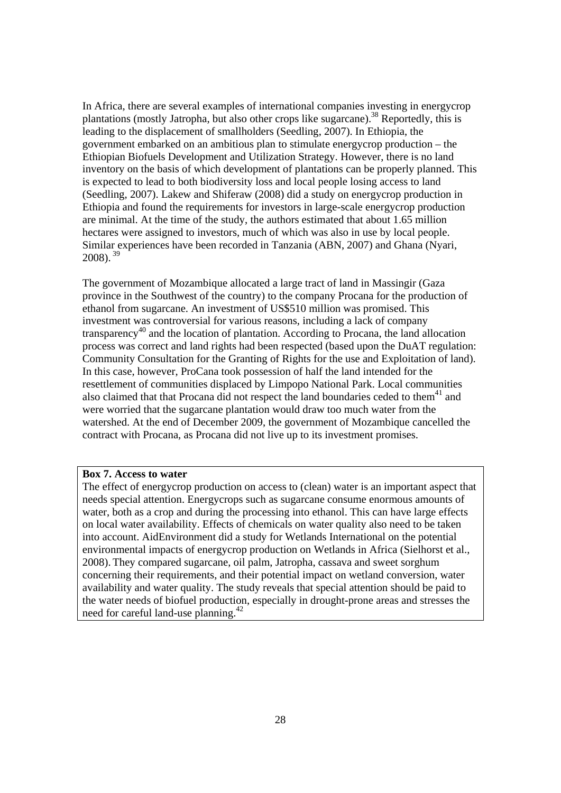In Africa, there are several examples of international companies investing in energycrop plantations (mostly Jatropha, but also other crops like sugarcane).<sup>38</sup> Reportedly, this is leading to the displacement of smallholders (Seedling, 2007). In Ethiopia, the government embarked on an ambitious plan to stimulate energycrop production – the Ethiopian Biofuels Development and Utilization Strategy. However, there is no land inventory on the basis of which development of plantations can be properly planned. This is expected to lead to both biodiversity loss and local people losing access to land (Seedling, 2007). Lakew and Shiferaw (2008) did a study on energycrop production in Ethiopia and found the requirements for investors in large-scale energycrop production are minimal. At the time of the study, the authors estimated that about 1.65 million hectares were assigned to investors, much of which was also in use by local people. Similar experiences have been recorded in Tanzania (ABN, 2007) and Ghana (Nyari, 2008).<sup>39</sup>

The government of Mozambique allocated a large tract of land in Massingir (Gaza province in the Southwest of the country) to the company Procana for the production of ethanol from sugarcane. An investment of US\$510 million was promised. This investment was controversial for various reasons, including a lack of company transparency<sup>40</sup> and the location of plantation. According to Procana, the land allocation process was correct and land rights had been respected (based upon the DuAT regulation: Community Consultation for the Granting of Rights for the use and Exploitation of land). In this case, however, ProCana took possession of half the land intended for the resettlement of communities displaced by Limpopo National Park. Local communities also claimed that that Procana did not respect the land boundaries ceded to them<sup>41</sup> and were worried that the sugarcane plantation would draw too much water from the watershed. At the end of December 2009, the government of Mozambique cancelled the contract with Procana, as Procana did not live up to its investment promises.

### **Box 7. Access to water**

The effect of energycrop production on access to (clean) water is an important aspect that needs special attention. Energycrops such as sugarcane consume enormous amounts of water, both as a crop and during the processing into ethanol. This can have large effects on local water availability. Effects of chemicals on water quality also need to be taken into account. AidEnvironment did a study for Wetlands International on the potential environmental impacts of energycrop production on Wetlands in Africa (Sielhorst et al., 2008). They compared sugarcane, oil palm, Jatropha, cassava and sweet sorghum concerning their requirements, and their potential impact on wetland conversion, water availability and water quality. The study reveals that special attention should be paid to the water needs of biofuel production, especially in drought-prone areas and stresses the need for careful land-use planning.42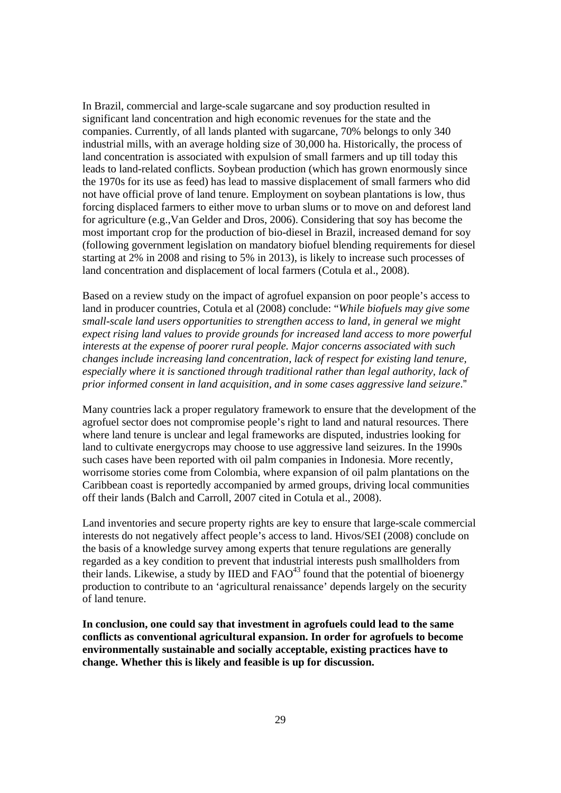In Brazil, commercial and large-scale sugarcane and soy production resulted in significant land concentration and high economic revenues for the state and the companies. Currently, of all lands planted with sugarcane, 70% belongs to only 340 industrial mills, with an average holding size of 30,000 ha. Historically, the process of land concentration is associated with expulsion of small farmers and up till today this leads to land-related conflicts. Soybean production (which has grown enormously since the 1970s for its use as feed) has lead to massive displacement of small farmers who did not have official prove of land tenure. Employment on soybean plantations is low, thus forcing displaced farmers to either move to urban slums or to move on and deforest land for agriculture (e.g.,Van Gelder and Dros, 2006). Considering that soy has become the most important crop for the production of bio-diesel in Brazil, increased demand for soy (following government legislation on mandatory biofuel blending requirements for diesel starting at 2% in 2008 and rising to 5% in 2013), is likely to increase such processes of land concentration and displacement of local farmers (Cotula et al., 2008).

Based on a review study on the impact of agrofuel expansion on poor people's access to land in producer countries, Cotula et al (2008) conclude: "*While biofuels may give some small-scale land users opportunities to strengthen access to land, in general we might expect rising land values to provide grounds for increased land access to more powerful interests at the expense of poorer rural people. Major concerns associated with such changes include increasing land concentration, lack of respect for existing land tenure, especially where it is sanctioned through traditional rather than legal authority, lack of prior informed consent in land acquisition, and in some cases aggressive land seizure*."

Many countries lack a proper regulatory framework to ensure that the development of the agrofuel sector does not compromise people's right to land and natural resources. There where land tenure is unclear and legal frameworks are disputed, industries looking for land to cultivate energycrops may choose to use aggressive land seizures. In the 1990s such cases have been reported with oil palm companies in Indonesia. More recently, worrisome stories come from Colombia, where expansion of oil palm plantations on the Caribbean coast is reportedly accompanied by armed groups, driving local communities off their lands (Balch and Carroll, 2007 cited in Cotula et al., 2008).

Land inventories and secure property rights are key to ensure that large-scale commercial interests do not negatively affect people's access to land. Hivos/SEI (2008) conclude on the basis of a knowledge survey among experts that tenure regulations are generally regarded as a key condition to prevent that industrial interests push smallholders from their lands. Likewise, a study by IIED and  $FAO^{43}$  found that the potential of bioenergy production to contribute to an 'agricultural renaissance' depends largely on the security of land tenure.

**In conclusion, one could say that investment in agrofuels could lead to the same conflicts as conventional agricultural expansion. In order for agrofuels to become environmentally sustainable and socially acceptable, existing practices have to change. Whether this is likely and feasible is up for discussion.**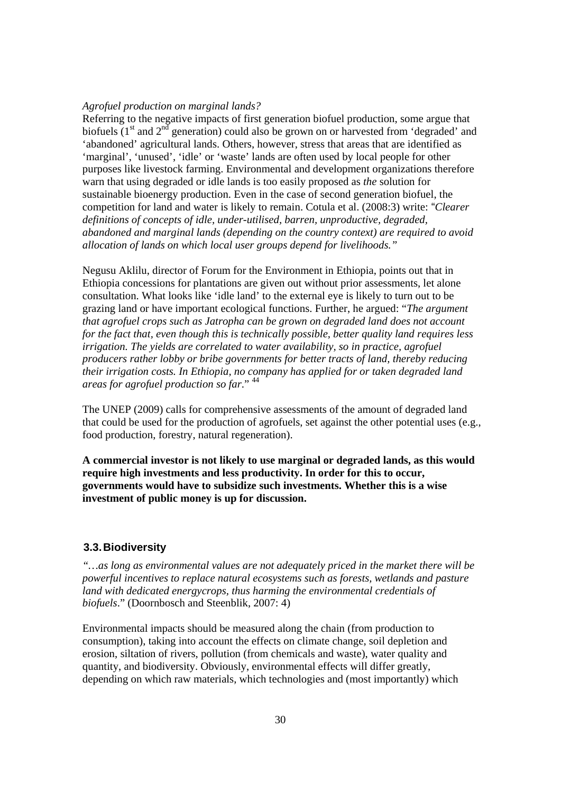### *Agrofuel production on marginal lands?*

Referring to the negative impacts of first generation biofuel production, some argue that biofuels  $(1<sup>st</sup>$  and  $2<sup>nd</sup>$  generation) could also be grown on or harvested from 'degraded' and 'abandoned' agricultural lands. Others, however, stress that areas that are identified as 'marginal', 'unused', 'idle' or 'waste' lands are often used by local people for other purposes like livestock farming. Environmental and development organizations therefore warn that using degraded or idle lands is too easily proposed as *the* solution for sustainable bioenergy production. Even in the case of second generation biofuel, the competition for land and water is likely to remain. Cotula et al. (2008:3) write: "*Clearer definitions of concepts of idle, under-utilised, barren, unproductive, degraded, abandoned and marginal lands (depending on the country context) are required to avoid allocation of lands on which local user groups depend for livelihoods."* 

Negusu Aklilu, director of Forum for the Environment in Ethiopia, points out that in Ethiopia concessions for plantations are given out without prior assessments, let alone consultation. What looks like 'idle land' to the external eye is likely to turn out to be grazing land or have important ecological functions. Further, he argued: "*The argument that agrofuel crops such as Jatropha can be grown on degraded land does not account for the fact that, even though this is technically possible, better quality land requires less irrigation. The yields are correlated to water availability, so in practice, agrofuel producers rather lobby or bribe governments for better tracts of land, thereby reducing their irrigation costs. In Ethiopia, no company has applied for or taken degraded land areas for agrofuel production so far*." <sup>44</sup>

The UNEP (2009) calls for comprehensive assessments of the amount of degraded land that could be used for the production of agrofuels, set against the other potential uses (e.g., food production, forestry, natural regeneration).

**A commercial investor is not likely to use marginal or degraded lands, as this would require high investments and less productivity. In order for this to occur, governments would have to subsidize such investments. Whether this is a wise investment of public money is up for discussion.** 

### **3.3. Biodiversity**

*"…as long as environmental values are not adequately priced in the market there will be powerful incentives to replace natural ecosystems such as forests, wetlands and pasture land with dedicated energycrops, thus harming the environmental credentials of biofuels*." (Doornbosch and Steenblik, 2007: 4)

Environmental impacts should be measured along the chain (from production to consumption), taking into account the effects on climate change, soil depletion and erosion, siltation of rivers, pollution (from chemicals and waste), water quality and quantity, and biodiversity. Obviously, environmental effects will differ greatly, depending on which raw materials, which technologies and (most importantly) which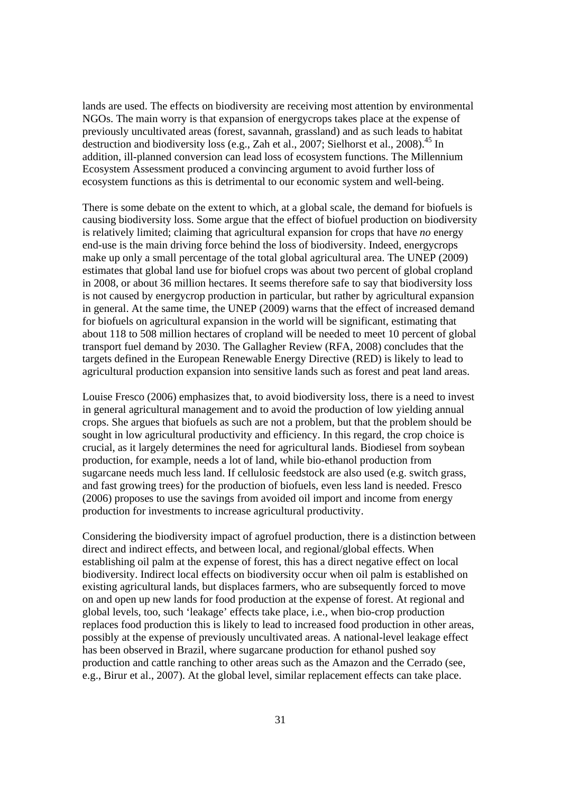lands are used. The effects on biodiversity are receiving most attention by environmental NGOs. The main worry is that expansion of energycrops takes place at the expense of previously uncultivated areas (forest, savannah, grassland) and as such leads to habitat destruction and biodiversity loss (e.g., Zah et al., 2007; Sielhorst et al., 2008).<sup>45</sup> In addition, ill-planned conversion can lead loss of ecosystem functions. The Millennium Ecosystem Assessment produced a convincing argument to avoid further loss of ecosystem functions as this is detrimental to our economic system and well-being.

There is some debate on the extent to which, at a global scale, the demand for biofuels is causing biodiversity loss. Some argue that the effect of biofuel production on biodiversity is relatively limited; claiming that agricultural expansion for crops that have *no* energy end-use is the main driving force behind the loss of biodiversity. Indeed, energycrops make up only a small percentage of the total global agricultural area. The UNEP (2009) estimates that global land use for biofuel crops was about two percent of global cropland in 2008, or about 36 million hectares. It seems therefore safe to say that biodiversity loss is not caused by energycrop production in particular, but rather by agricultural expansion in general. At the same time, the UNEP (2009) warns that the effect of increased demand for biofuels on agricultural expansion in the world will be significant, estimating that about 118 to 508 million hectares of cropland will be needed to meet 10 percent of global transport fuel demand by 2030. The Gallagher Review (RFA, 2008) concludes that the targets defined in the European Renewable Energy Directive (RED) is likely to lead to agricultural production expansion into sensitive lands such as forest and peat land areas.

Louise Fresco (2006) emphasizes that, to avoid biodiversity loss, there is a need to invest in general agricultural management and to avoid the production of low yielding annual crops. She argues that biofuels as such are not a problem, but that the problem should be sought in low agricultural productivity and efficiency. In this regard, the crop choice is crucial, as it largely determines the need for agricultural lands. Biodiesel from soybean production, for example, needs a lot of land, while bio-ethanol production from sugarcane needs much less land. If cellulosic feedstock are also used (e.g. switch grass, and fast growing trees) for the production of biofuels, even less land is needed. Fresco (2006) proposes to use the savings from avoided oil import and income from energy production for investments to increase agricultural productivity.

Considering the biodiversity impact of agrofuel production, there is a distinction between direct and indirect effects, and between local, and regional/global effects. When establishing oil palm at the expense of forest, this has a direct negative effect on local biodiversity. Indirect local effects on biodiversity occur when oil palm is established on existing agricultural lands, but displaces farmers, who are subsequently forced to move on and open up new lands for food production at the expense of forest. At regional and global levels, too, such 'leakage' effects take place, i.e., when bio-crop production replaces food production this is likely to lead to increased food production in other areas, possibly at the expense of previously uncultivated areas. A national-level leakage effect has been observed in Brazil, where sugarcane production for ethanol pushed soy production and cattle ranching to other areas such as the Amazon and the Cerrado (see, e.g., Birur et al., 2007). At the global level, similar replacement effects can take place.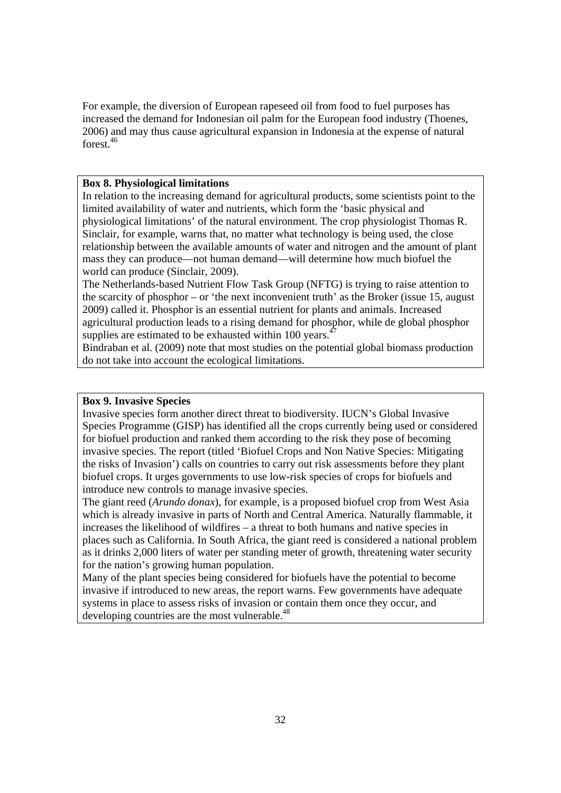For example, the diversion of European rapeseed oil from food to fuel purposes has increased the demand for Indonesian oil palm for the European food industry (Thoenes, 2006) and may thus cause agricultural expansion in Indonesia at the expense of natural forest<sup>46</sup>

### **Box 8. Physiological limitations**

In relation to the increasing demand for agricultural products, some scientists point to the limited availability of water and nutrients, which form the 'basic physical and physiological limitations' of the natural environment. The crop physiologist Thomas R. Sinclair, for example, warns that, no matter what technology is being used, the close relationship between the available amounts of water and nitrogen and the amount of plant mass they can produce—not human demand—will determine how much biofuel the world can produce (Sinclair, 2009).

The Netherlands-based Nutrient Flow Task Group (NFTG) is trying to raise attention to the scarcity of phosphor – or 'the next inconvenient truth' as the Broker (issue 15, august 2009) called it. Phosphor is an essential nutrient for plants and animals. Increased agricultural production leads to a rising demand for phosphor, while de global phosphor supplies are estimated to be exhausted within 100 years.<sup>4</sup>

Bindraban et al. (2009) note that most studies on the potential global biomass production do not take into account the ecological limitations.

### **Box 9. Invasive Species**

Invasive species form another direct threat to biodiversity. IUCN's Global Invasive Species Programme (GISP) has identified all the crops currently being used or considered for biofuel production and ranked them according to the risk they pose of becoming invasive species. The report (titled 'Biofuel Crops and Non Native Species: Mitigating the risks of Invasion') calls on countries to carry out risk assessments before they plant biofuel crops. It urges governments to use low-risk species of crops for biofuels and introduce new controls to manage invasive species.

The giant reed (*Arundo donax*), for example, is a proposed biofuel crop from West Asia which is already invasive in parts of North and Central America. Naturally flammable, it increases the likelihood of wildfires – a threat to both humans and native species in places such as California. In South Africa, the giant reed is considered a national problem as it drinks 2,000 liters of water per standing meter of growth, threatening water security for the nation's growing human population.

Many of the plant species being considered for biofuels have the potential to become invasive if introduced to new areas, the report warns. Few governments have adequate systems in place to assess risks of invasion or contain them once they occur, and developing countries are the most vulnerable.<sup>48</sup>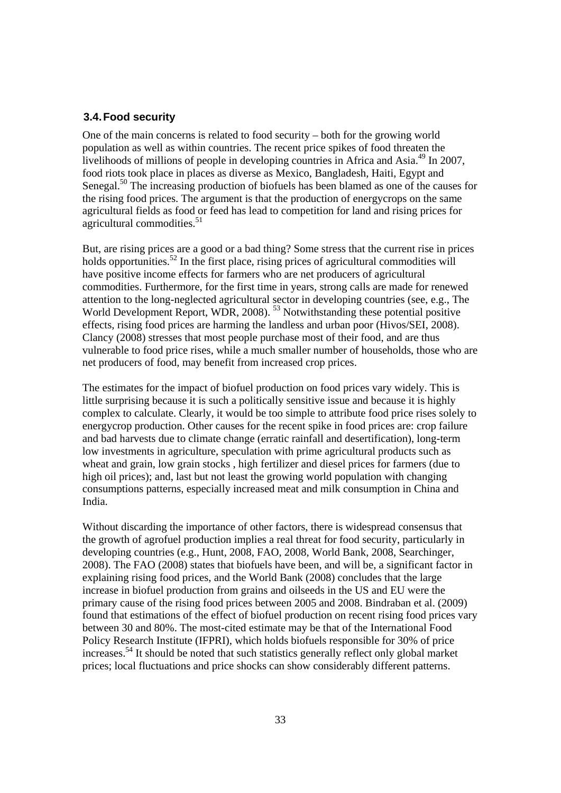### **3.4. Food security**

One of the main concerns is related to food security – both for the growing world population as well as within countries. The recent price spikes of food threaten the livelihoods of millions of people in developing countries in Africa and Asia.<sup>49</sup> In 2007, food riots took place in places as diverse as Mexico, Bangladesh, Haiti, Egypt and Senegal.<sup>50</sup> The increasing production of biofuels has been blamed as one of the causes for the rising food prices. The argument is that the production of energycrops on the same agricultural fields as food or feed has lead to competition for land and rising prices for agricultural commodities.<sup>51</sup>

But, are rising prices are a good or a bad thing? Some stress that the current rise in prices holds opportunities.<sup>52</sup> In the first place, rising prices of agricultural commodities will have positive income effects for farmers who are net producers of agricultural commodities. Furthermore, for the first time in years, strong calls are made for renewed attention to the long-neglected agricultural sector in developing countries (see, e.g., The World Development Report, WDR, 2008).<sup>53</sup> Notwithstanding these potential positive effects, rising food prices are harming the landless and urban poor (Hivos/SEI, 2008). Clancy (2008) stresses that most people purchase most of their food, and are thus vulnerable to food price rises, while a much smaller number of households, those who are net producers of food, may benefit from increased crop prices.

The estimates for the impact of biofuel production on food prices vary widely. This is little surprising because it is such a politically sensitive issue and because it is highly complex to calculate. Clearly, it would be too simple to attribute food price rises solely to energycrop production. Other causes for the recent spike in food prices are: crop failure and bad harvests due to climate change (erratic rainfall and desertification), long-term low investments in agriculture, speculation with prime agricultural products such as wheat and grain, low grain stocks , high fertilizer and diesel prices for farmers (due to high oil prices); and, last but not least the growing world population with changing consumptions patterns, especially increased meat and milk consumption in China and India.

Without discarding the importance of other factors, there is widespread consensus that the growth of agrofuel production implies a real threat for food security, particularly in developing countries (e.g., Hunt, 2008, FAO, 2008, World Bank, 2008, Searchinger, 2008). The FAO (2008) states that biofuels have been, and will be, a significant factor in explaining rising food prices, and the World Bank (2008) concludes that the large increase in biofuel production from grains and oilseeds in the US and EU were the primary cause of the rising food prices between 2005 and 2008. Bindraban et al. (2009) found that estimations of the effect of biofuel production on recent rising food prices vary between 30 and 80%. The most-cited estimate may be that of the International Food Policy Research Institute (IFPRI), which holds biofuels responsible for 30% of price increases.54 It should be noted that such statistics generally reflect only global market prices; local fluctuations and price shocks can show considerably different patterns.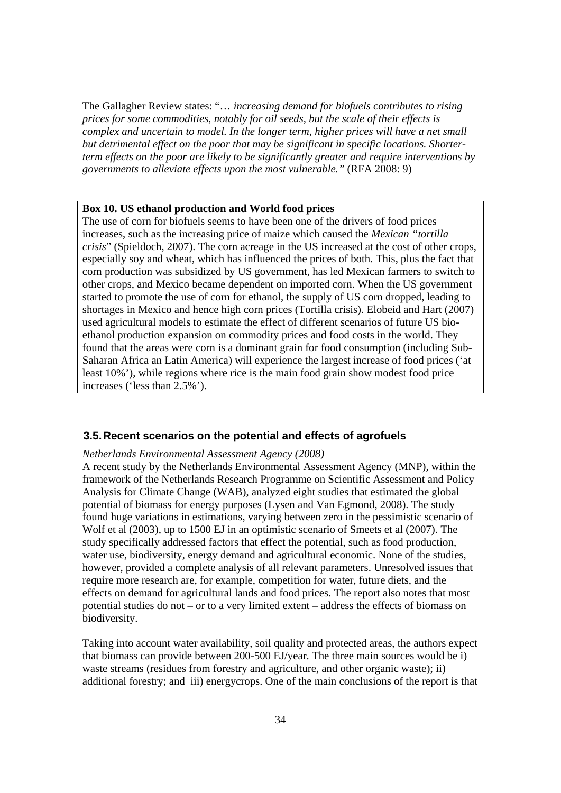The Gallagher Review states: "… *increasing demand for biofuels contributes to rising prices for some commodities, notably for oil seeds, but the scale of their effects is complex and uncertain to model. In the longer term, higher prices will have a net small but detrimental effect on the poor that may be significant in specific locations. Shorterterm effects on the poor are likely to be significantly greater and require interventions by governments to alleviate effects upon the most vulnerable."* (RFA 2008: 9)

#### **Box 10. US ethanol production and World food prices**

The use of corn for biofuels seems to have been one of the drivers of food prices increases, such as the increasing price of maize which caused the *Mexican "tortilla crisis*" (Spieldoch, 2007). The corn acreage in the US increased at the cost of other crops, especially soy and wheat, which has influenced the prices of both. This, plus the fact that corn production was subsidized by US government, has led Mexican farmers to switch to other crops, and Mexico became dependent on imported corn. When the US government started to promote the use of corn for ethanol, the supply of US corn dropped, leading to shortages in Mexico and hence high corn prices (Tortilla crisis). Elobeid and Hart (2007) used agricultural models to estimate the effect of different scenarios of future US bioethanol production expansion on commodity prices and food costs in the world. They found that the areas were corn is a dominant grain for food consumption (including Sub-Saharan Africa an Latin America) will experience the largest increase of food prices ('at least 10%'), while regions where rice is the main food grain show modest food price increases ('less than 2.5%').

### **3.5. Recent scenarios on the potential and effects of agrofuels**

### *Netherlands Environmental Assessment Agency (2008)*

A recent study by the Netherlands Environmental Assessment Agency (MNP)*,* within the framework of the Netherlands Research Programme on Scientific Assessment and Policy Analysis for Climate Change (WAB), analyzed eight studies that estimated the global potential of biomass for energy purposes (Lysen and Van Egmond, 2008). The study found huge variations in estimations, varying between zero in the pessimistic scenario of Wolf et al (2003), up to 1500 EJ in an optimistic scenario of Smeets et al (2007). The study specifically addressed factors that effect the potential, such as food production, water use, biodiversity, energy demand and agricultural economic. None of the studies, however, provided a complete analysis of all relevant parameters. Unresolved issues that require more research are, for example, competition for water, future diets, and the effects on demand for agricultural lands and food prices. The report also notes that most potential studies do not – or to a very limited extent – address the effects of biomass on biodiversity.

Taking into account water availability, soil quality and protected areas, the authors expect that biomass can provide between 200-500 EJ/year. The three main sources would be i) waste streams (residues from forestry and agriculture, and other organic waste); ii) additional forestry; and iii) energycrops. One of the main conclusions of the report is that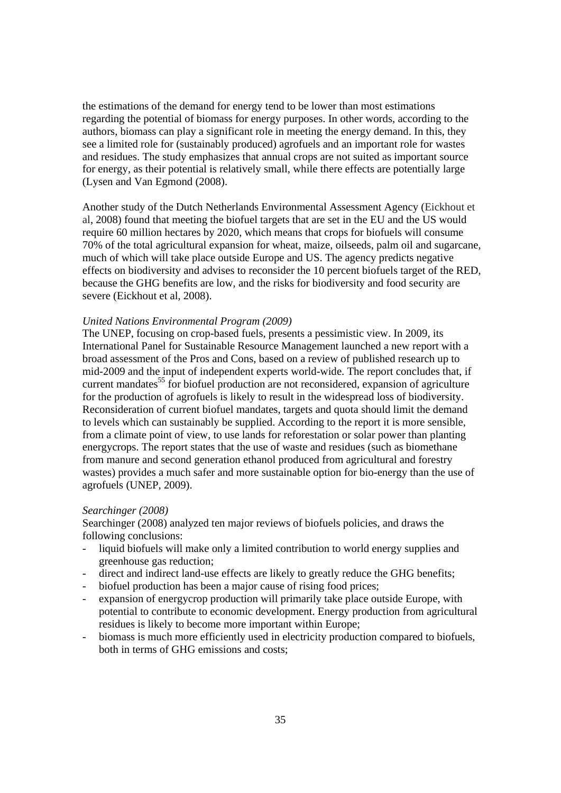the estimations of the demand for energy tend to be lower than most estimations regarding the potential of biomass for energy purposes. In other words, according to the authors, biomass can play a significant role in meeting the energy demand. In this, they see a limited role for (sustainably produced) agrofuels and an important role for wastes and residues. The study emphasizes that annual crops are not suited as important source for energy, as their potential is relatively small, while there effects are potentially large (Lysen and Van Egmond (2008).

Another study of the Dutch Netherlands Environmental Assessment Agency (Eickhout et al, 2008) found that meeting the biofuel targets that are set in the EU and the US would require 60 million hectares by 2020, which means that crops for biofuels will consume 70% of the total agricultural expansion for wheat, maize, oilseeds, palm oil and sugarcane, much of which will take place outside Europe and US. The agency predicts negative effects on biodiversity and advises to reconsider the 10 percent biofuels target of the RED, because the GHG benefits are low, and the risks for biodiversity and food security are severe (Eickhout et al, 2008).

### *United Nations Environmental Program (2009)*

The UNEP, focusing on crop-based fuels, presents a pessimistic view. In 2009, its International Panel for Sustainable Resource Management launched a new report with a broad assessment of the Pros and Cons, based on a review of published research up to mid-2009 and the input of independent experts world-wide. The report concludes that, if current mandates<sup>55</sup> for biofuel production are not reconsidered, expansion of agriculture for the production of agrofuels is likely to result in the widespread loss of biodiversity. Reconsideration of current biofuel mandates, targets and quota should limit the demand to levels which can sustainably be supplied. According to the report it is more sensible, from a climate point of view, to use lands for reforestation or solar power than planting energycrops. The report states that the use of waste and residues (such as biomethane from manure and second generation ethanol produced from agricultural and forestry wastes) provides a much safer and more sustainable option for bio-energy than the use of agrofuels (UNEP, 2009).

### *Searchinger (2008)*

Searchinger (2008) analyzed ten major reviews of biofuels policies, and draws the following conclusions:

- liquid biofuels will make only a limited contribution to world energy supplies and greenhouse gas reduction;
- direct and indirect land-use effects are likely to greatly reduce the GHG benefits;
- biofuel production has been a major cause of rising food prices;
- expansion of energycrop production will primarily take place outside Europe, with potential to contribute to economic development. Energy production from agricultural residues is likely to become more important within Europe;
- biomass is much more efficiently used in electricity production compared to biofuels, both in terms of GHG emissions and costs;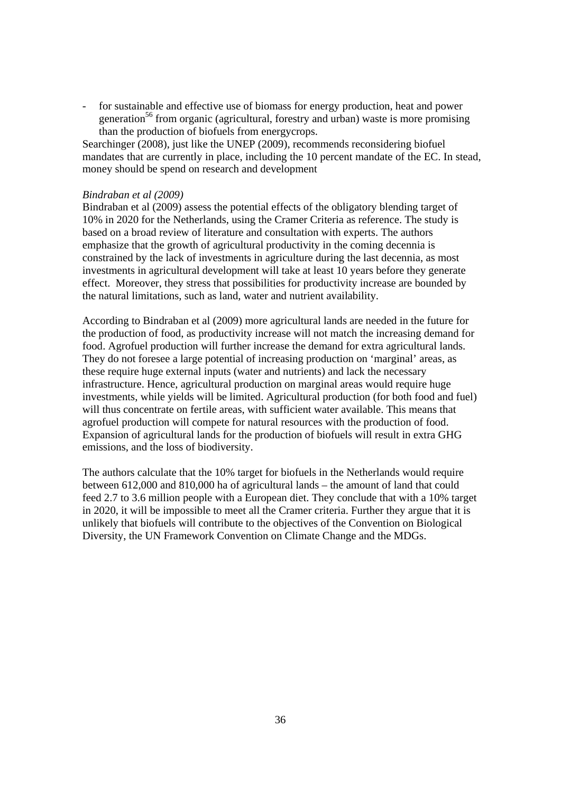for sustainable and effective use of biomass for energy production, heat and power generation<sup>56</sup> from organic (agricultural, forestry and urban) waste is more promising than the production of biofuels from energycrops.

Searchinger (2008), just like the UNEP (2009), recommends reconsidering biofuel mandates that are currently in place, including the 10 percent mandate of the EC. In stead, money should be spend on research and development

### *Bindraban et al (2009)*

Bindraban et al (2009) assess the potential effects of the obligatory blending target of 10% in 2020 for the Netherlands, using the Cramer Criteria as reference. The study is based on a broad review of literature and consultation with experts. The authors emphasize that the growth of agricultural productivity in the coming decennia is constrained by the lack of investments in agriculture during the last decennia, as most investments in agricultural development will take at least 10 years before they generate effect. Moreover, they stress that possibilities for productivity increase are bounded by the natural limitations, such as land, water and nutrient availability.

According to Bindraban et al (2009) more agricultural lands are needed in the future for the production of food, as productivity increase will not match the increasing demand for food. Agrofuel production will further increase the demand for extra agricultural lands. They do not foresee a large potential of increasing production on 'marginal' areas, as these require huge external inputs (water and nutrients) and lack the necessary infrastructure. Hence, agricultural production on marginal areas would require huge investments, while yields will be limited. Agricultural production (for both food and fuel) will thus concentrate on fertile areas, with sufficient water available. This means that agrofuel production will compete for natural resources with the production of food. Expansion of agricultural lands for the production of biofuels will result in extra GHG emissions, and the loss of biodiversity.

The authors calculate that the 10% target for biofuels in the Netherlands would require between 612,000 and 810,000 ha of agricultural lands – the amount of land that could feed 2.7 to 3.6 million people with a European diet. They conclude that with a 10% target in 2020, it will be impossible to meet all the Cramer criteria. Further they argue that it is unlikely that biofuels will contribute to the objectives of the Convention on Biological Diversity, the UN Framework Convention on Climate Change and the MDGs.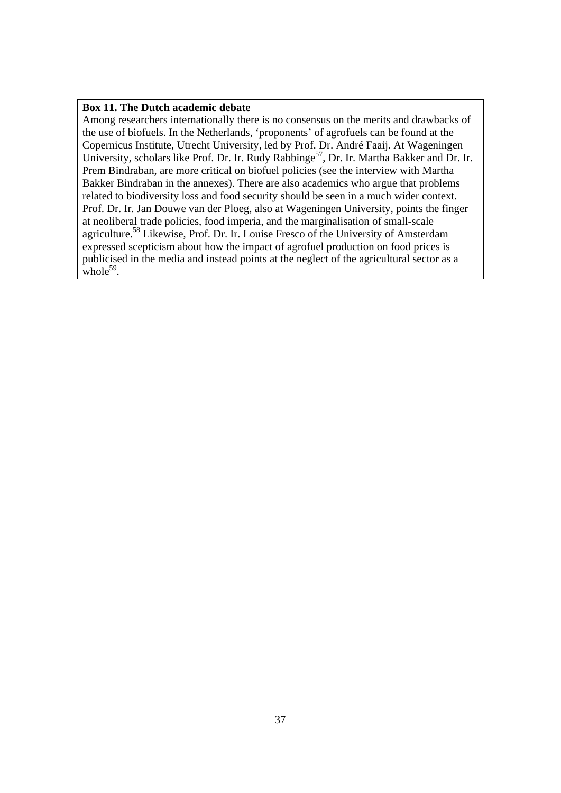### **Box 11. The Dutch academic debate**

Among researchers internationally there is no consensus on the merits and drawbacks of the use of biofuels. In the Netherlands, 'proponents' of agrofuels can be found at the Copernicus Institute, Utrecht University, led by Prof. Dr. André Faaij. At Wageningen University, scholars like Prof. Dr. Ir. Rudy Rabbinge<sup>57</sup>, Dr. Ir. Martha Bakker and Dr. Ir. Prem Bindraban, are more critical on biofuel policies (see the interview with Martha Bakker Bindraban in the annexes). There are also academics who argue that problems related to biodiversity loss and food security should be seen in a much wider context. Prof. Dr. Ir. Jan Douwe van der Ploeg, also at Wageningen University, points the finger at neoliberal trade policies, food imperia, and the marginalisation of small-scale agriculture.58 Likewise, Prof. Dr. Ir. Louise Fresco of the University of Amsterdam expressed scepticism about how the impact of agrofuel production on food prices is publicised in the media and instead points at the neglect of the agricultural sector as a whole $59$ .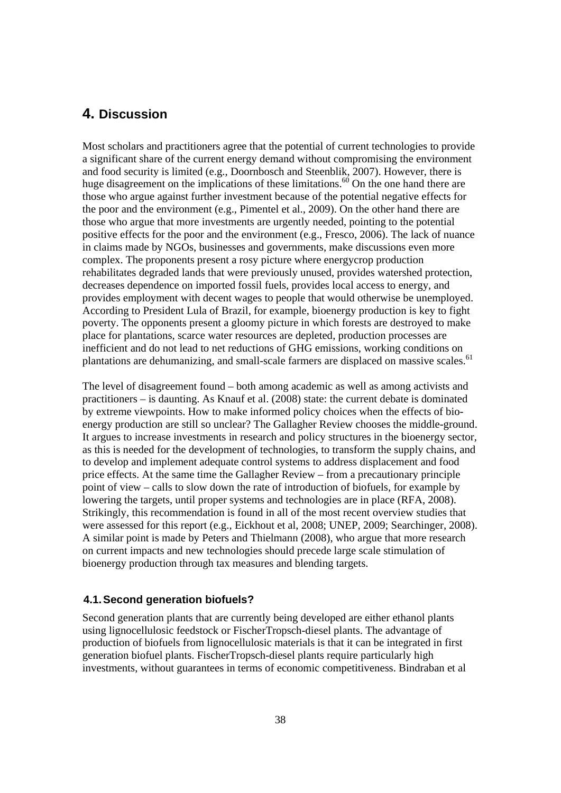# **4. Discussion**

Most scholars and practitioners agree that the potential of current technologies to provide a significant share of the current energy demand without compromising the environment and food security is limited (e.g., Doornbosch and Steenblik, 2007). However, there is huge disagreement on the implications of these limitations.<sup>60</sup> On the one hand there are those who argue against further investment because of the potential negative effects for the poor and the environment (e.g., Pimentel et al., 2009). On the other hand there are those who argue that more investments are urgently needed, pointing to the potential positive effects for the poor and the environment (e.g., Fresco, 2006). The lack of nuance in claims made by NGOs, businesses and governments, make discussions even more complex. The proponents present a rosy picture where energycrop production rehabilitates degraded lands that were previously unused, provides watershed protection, decreases dependence on imported fossil fuels, provides local access to energy, and provides employment with decent wages to people that would otherwise be unemployed. According to President Lula of Brazil, for example, bioenergy production is key to fight poverty. The opponents present a gloomy picture in which forests are destroyed to make place for plantations, scarce water resources are depleted, production processes are inefficient and do not lead to net reductions of GHG emissions, working conditions on plantations are dehumanizing, and small-scale farmers are displaced on massive scales.<sup>61</sup>

The level of disagreement found – both among academic as well as among activists and practitioners – is daunting. As Knauf et al. (2008) state: the current debate is dominated by extreme viewpoints. How to make informed policy choices when the effects of bioenergy production are still so unclear? The Gallagher Review chooses the middle-ground. It argues to increase investments in research and policy structures in the bioenergy sector, as this is needed for the development of technologies, to transform the supply chains, and to develop and implement adequate control systems to address displacement and food price effects. At the same time the Gallagher Review – from a precautionary principle point of view – calls to slow down the rate of introduction of biofuels, for example by lowering the targets, until proper systems and technologies are in place (RFA, 2008). Strikingly, this recommendation is found in all of the most recent overview studies that were assessed for this report (e.g., Eickhout et al, 2008; UNEP, 2009; Searchinger, 2008). A similar point is made by Peters and Thielmann (2008), who argue that more research on current impacts and new technologies should precede large scale stimulation of bioenergy production through tax measures and blending targets.

### **4.1. Second generation biofuels?**

Second generation plants that are currently being developed are either ethanol plants using lignocellulosic feedstock or FischerTropsch-diesel plants. The advantage of production of biofuels from lignocellulosic materials is that it can be integrated in first generation biofuel plants. FischerTropsch-diesel plants require particularly high investments, without guarantees in terms of economic competitiveness. Bindraban et al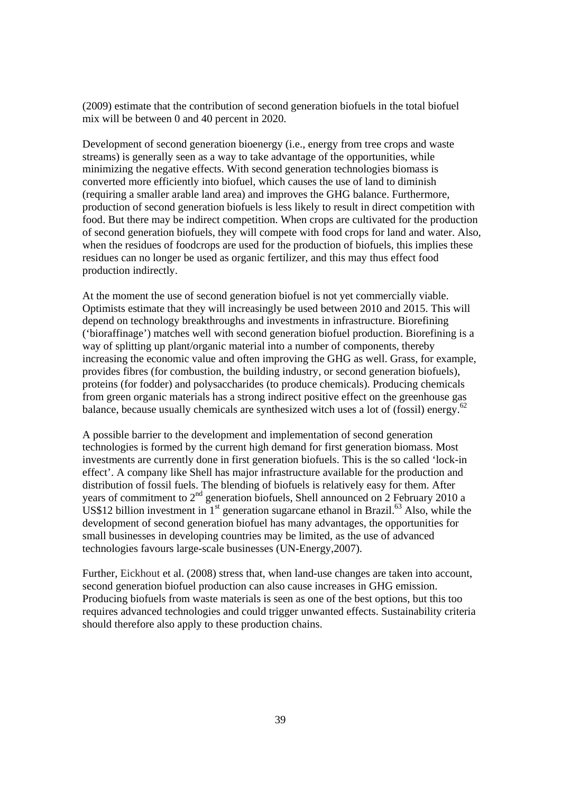(2009) estimate that the contribution of second generation biofuels in the total biofuel mix will be between 0 and 40 percent in 2020.

Development of second generation bioenergy (i.e., energy from tree crops and waste streams) is generally seen as a way to take advantage of the opportunities, while minimizing the negative effects. With second generation technologies biomass is converted more efficiently into biofuel, which causes the use of land to diminish (requiring a smaller arable land area) and improves the GHG balance. Furthermore, production of second generation biofuels is less likely to result in direct competition with food. But there may be indirect competition. When crops are cultivated for the production of second generation biofuels, they will compete with food crops for land and water. Also, when the residues of foodcrops are used for the production of biofuels, this implies these residues can no longer be used as organic fertilizer, and this may thus effect food production indirectly.

At the moment the use of second generation biofuel is not yet commercially viable. Optimists estimate that they will increasingly be used between 2010 and 2015. This will depend on technology breakthroughs and investments in infrastructure. Biorefining ('bioraffinage') matches well with second generation biofuel production. Biorefining is a way of splitting up plant/organic material into a number of components, thereby increasing the economic value and often improving the GHG as well. Grass, for example, provides fibres (for combustion, the building industry, or second generation biofuels), proteins (for fodder) and polysaccharides (to produce chemicals). Producing chemicals from green organic materials has a strong indirect positive effect on the greenhouse gas balance, because usually chemicals are synthesized witch uses a lot of (fossil) energy.<sup>62</sup>

A possible barrier to the development and implementation of second generation technologies is formed by the current high demand for first generation biomass. Most investments are currently done in first generation biofuels. This is the so called 'lock-in effect'. A company like Shell has major infrastructure available for the production and distribution of fossil fuels. The blending of biofuels is relatively easy for them. After years of commitment to  $2<sup>nd</sup>$  generation biofuels, Shell announced on 2 February 2010 a US\$12 billion investment in  $1<sup>st</sup>$  generation sugarcane ethanol in Brazil.<sup>63</sup> Also, while the development of second generation biofuel has many advantages, the opportunities for small businesses in developing countries may be limited, as the use of advanced technologies favours large-scale businesses (UN-Energy,2007).

Further, Eickhout et al. (2008) stress that, when land-use changes are taken into account, second generation biofuel production can also cause increases in GHG emission. Producing biofuels from waste materials is seen as one of the best options, but this too requires advanced technologies and could trigger unwanted effects. Sustainability criteria should therefore also apply to these production chains.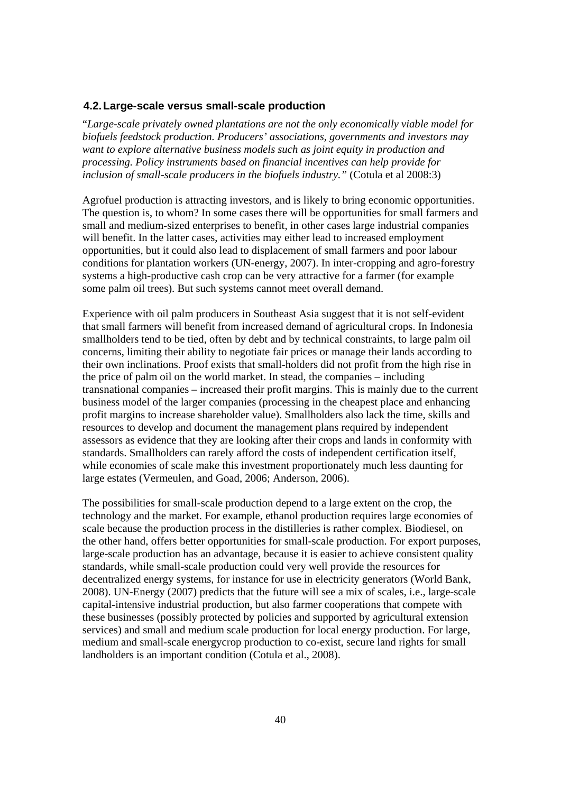### **4.2. Large-scale versus small-scale production**

"*Large-scale privately owned plantations are not the only economically viable model for biofuels feedstock production. Producers' associations, governments and investors may want to explore alternative business models such as joint equity in production and processing. Policy instruments based on financial incentives can help provide for inclusion of small-scale producers in the biofuels industry."* (Cotula et al 2008:3)

Agrofuel production is attracting investors, and is likely to bring economic opportunities. The question is, to whom? In some cases there will be opportunities for small farmers and small and medium-sized enterprises to benefit, in other cases large industrial companies will benefit. In the latter cases, activities may either lead to increased employment opportunities, but it could also lead to displacement of small farmers and poor labour conditions for plantation workers (UN-energy, 2007). In inter-cropping and agro-forestry systems a high-productive cash crop can be very attractive for a farmer (for example some palm oil trees). But such systems cannot meet overall demand.

Experience with oil palm producers in Southeast Asia suggest that it is not self-evident that small farmers will benefit from increased demand of agricultural crops. In Indonesia smallholders tend to be tied, often by debt and by technical constraints, to large palm oil concerns, limiting their ability to negotiate fair prices or manage their lands according to their own inclinations. Proof exists that small-holders did not profit from the high rise in the price of palm oil on the world market. In stead, the companies – including transnational companies – increased their profit margins. This is mainly due to the current business model of the larger companies (processing in the cheapest place and enhancing profit margins to increase shareholder value). Smallholders also lack the time, skills and resources to develop and document the management plans required by independent assessors as evidence that they are looking after their crops and lands in conformity with standards. Smallholders can rarely afford the costs of independent certification itself, while economies of scale make this investment proportionately much less daunting for large estates (Vermeulen, and Goad, 2006; Anderson, 2006).

The possibilities for small-scale production depend to a large extent on the crop, the technology and the market. For example, ethanol production requires large economies of scale because the production process in the distilleries is rather complex. Biodiesel, on the other hand, offers better opportunities for small-scale production. For export purposes, large-scale production has an advantage, because it is easier to achieve consistent quality standards, while small-scale production could very well provide the resources for decentralized energy systems, for instance for use in electricity generators (World Bank, 2008). UN-Energy (2007) predicts that the future will see a mix of scales, i.e., large-scale capital-intensive industrial production, but also farmer cooperations that compete with these businesses (possibly protected by policies and supported by agricultural extension services) and small and medium scale production for local energy production. For large, medium and small-scale energycrop production to co-exist, secure land rights for small landholders is an important condition (Cotula et al., 2008).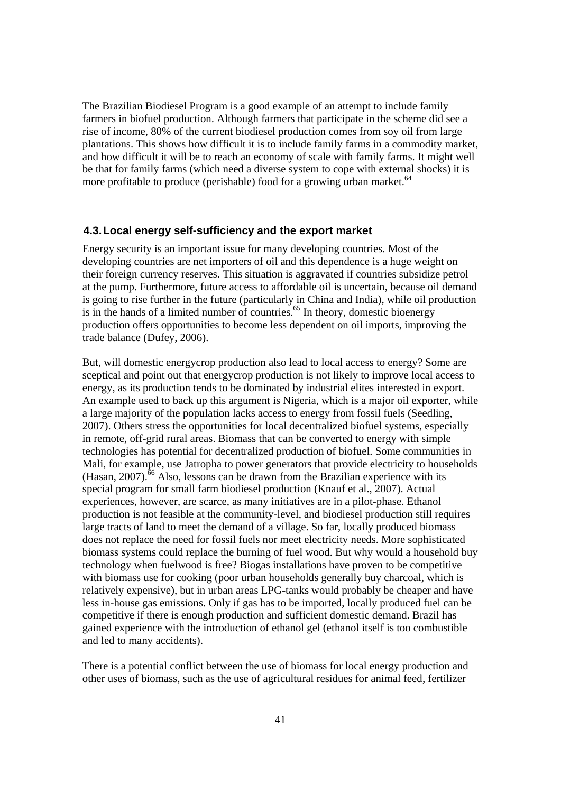The Brazilian Biodiesel Program is a good example of an attempt to include family farmers in biofuel production. Although farmers that participate in the scheme did see a rise of income, 80% of the current biodiesel production comes from soy oil from large plantations. This shows how difficult it is to include family farms in a commodity market, and how difficult it will be to reach an economy of scale with family farms. It might well be that for family farms (which need a diverse system to cope with external shocks) it is more profitable to produce (perishable) food for a growing urban market. $64$ 

### **4.3. Local energy self-sufficiency and the export market**

Energy security is an important issue for many developing countries. Most of the developing countries are net importers of oil and this dependence is a huge weight on their foreign currency reserves. This situation is aggravated if countries subsidize petrol at the pump. Furthermore, future access to affordable oil is uncertain, because oil demand is going to rise further in the future (particularly in China and India), while oil production is in the hands of a limited number of countries.<sup>65</sup> In theory, domestic bioenergy production offers opportunities to become less dependent on oil imports, improving the trade balance (Dufey, 2006).

But, will domestic energycrop production also lead to local access to energy? Some are sceptical and point out that energycrop production is not likely to improve local access to energy, as its production tends to be dominated by industrial elites interested in export. An example used to back up this argument is Nigeria, which is a major oil exporter, while a large majority of the population lacks access to energy from fossil fuels (Seedling, 2007). Others stress the opportunities for local decentralized biofuel systems, especially in remote, off-grid rural areas. Biomass that can be converted to energy with simple technologies has potential for decentralized production of biofuel. Some communities in Mali, for example, use Jatropha to power generators that provide electricity to households  $(Hasan, 2007)$ <sup>.66</sup> Also, lessons can be drawn from the Brazilian experience with its special program for small farm biodiesel production (Knauf et al., 2007). Actual experiences, however, are scarce, as many initiatives are in a pilot-phase. Ethanol production is not feasible at the community-level, and biodiesel production still requires large tracts of land to meet the demand of a village. So far, locally produced biomass does not replace the need for fossil fuels nor meet electricity needs. More sophisticated biomass systems could replace the burning of fuel wood. But why would a household buy technology when fuelwood is free? Biogas installations have proven to be competitive with biomass use for cooking (poor urban households generally buy charcoal, which is relatively expensive), but in urban areas LPG-tanks would probably be cheaper and have less in-house gas emissions. Only if gas has to be imported, locally produced fuel can be competitive if there is enough production and sufficient domestic demand. Brazil has gained experience with the introduction of ethanol gel (ethanol itself is too combustible and led to many accidents).

There is a potential conflict between the use of biomass for local energy production and other uses of biomass, such as the use of agricultural residues for animal feed, fertilizer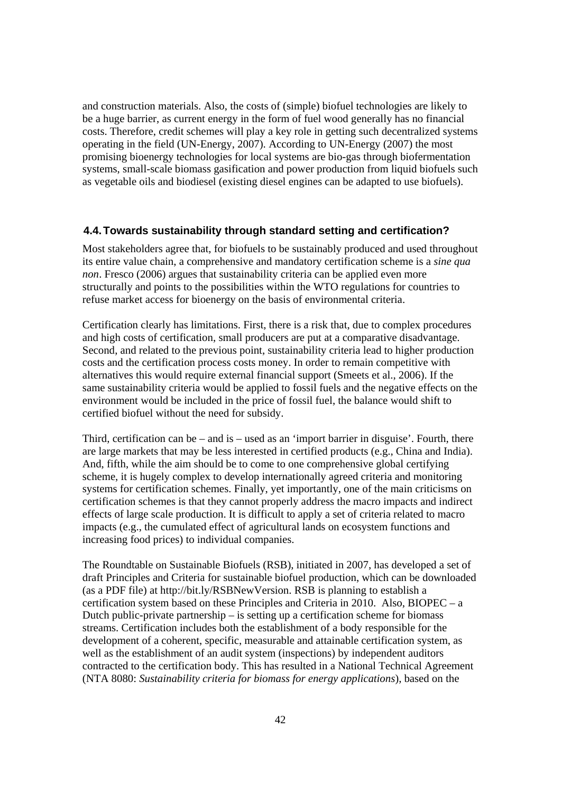and construction materials. Also, the costs of (simple) biofuel technologies are likely to be a huge barrier, as current energy in the form of fuel wood generally has no financial costs. Therefore, credit schemes will play a key role in getting such decentralized systems operating in the field (UN-Energy, 2007). According to UN-Energy (2007) the most promising bioenergy technologies for local systems are bio-gas through biofermentation systems, small-scale biomass gasification and power production from liquid biofuels such as vegetable oils and biodiesel (existing diesel engines can be adapted to use biofuels).

### **4.4. Towards sustainability through standard setting and certification?**

Most stakeholders agree that, for biofuels to be sustainably produced and used throughout its entire value chain, a comprehensive and mandatory certification scheme is a *sine qua non*. Fresco (2006) argues that sustainability criteria can be applied even more structurally and points to the possibilities within the WTO regulations for countries to refuse market access for bioenergy on the basis of environmental criteria.

Certification clearly has limitations. First, there is a risk that, due to complex procedures and high costs of certification, small producers are put at a comparative disadvantage. Second, and related to the previous point, sustainability criteria lead to higher production costs and the certification process costs money. In order to remain competitive with alternatives this would require external financial support (Smeets et al., 2006). If the same sustainability criteria would be applied to fossil fuels and the negative effects on the environment would be included in the price of fossil fuel, the balance would shift to certified biofuel without the need for subsidy.

Third, certification can be – and is – used as an 'import barrier in disguise'. Fourth, there are large markets that may be less interested in certified products (e.g., China and India). And, fifth, while the aim should be to come to one comprehensive global certifying scheme, it is hugely complex to develop internationally agreed criteria and monitoring systems for certification schemes. Finally, yet importantly, one of the main criticisms on certification schemes is that they cannot properly address the macro impacts and indirect effects of large scale production. It is difficult to apply a set of criteria related to macro impacts (e.g., the cumulated effect of agricultural lands on ecosystem functions and increasing food prices) to individual companies.

The Roundtable on Sustainable Biofuels (RSB), initiated in 2007, has developed a set of draft Principles and Criteria for sustainable biofuel production, which can be downloaded (as a PDF file) at http://bit.ly/RSBNewVersion. RSB is planning to establish a certification system based on these Principles and Criteria in 2010. Also, BIOPEC – a Dutch public-private partnership  $-$  is setting up a certification scheme for biomass streams. Certification includes both the establishment of a body responsible for the development of a coherent, specific, measurable and attainable certification system, as well as the establishment of an audit system (inspections) by independent auditors contracted to the certification body. This has resulted in a National Technical Agreement (NTA 8080: *Sustainability criteria for biomass for energy applications*), based on the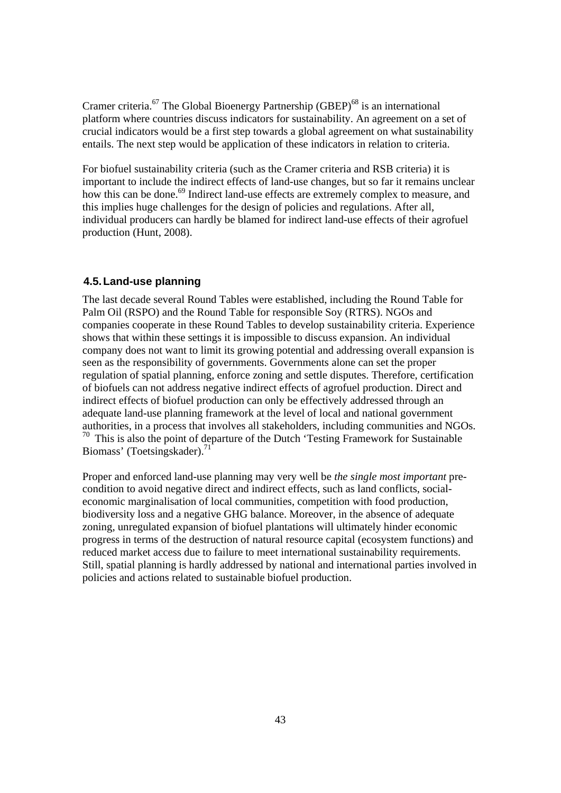Cramer criteria.<sup>67</sup> The Global Bioenergy Partnership (GBEP)<sup>68</sup> is an international platform where countries discuss indicators for sustainability. An agreement on a set of crucial indicators would be a first step towards a global agreement on what sustainability entails. The next step would be application of these indicators in relation to criteria.

For biofuel sustainability criteria (such as the Cramer criteria and RSB criteria) it is important to include the indirect effects of land-use changes, but so far it remains unclear how this can be done.<sup>69</sup> Indirect land-use effects are extremely complex to measure, and this implies huge challenges for the design of policies and regulations. After all, individual producers can hardly be blamed for indirect land-use effects of their agrofuel production (Hunt, 2008).

### **4.5. Land-use planning**

The last decade several Round Tables were established, including the Round Table for Palm Oil (RSPO) and the Round Table for responsible Soy (RTRS). NGOs and companies cooperate in these Round Tables to develop sustainability criteria. Experience shows that within these settings it is impossible to discuss expansion. An individual company does not want to limit its growing potential and addressing overall expansion is seen as the responsibility of governments. Governments alone can set the proper regulation of spatial planning, enforce zoning and settle disputes. Therefore, certification of biofuels can not address negative indirect effects of agrofuel production. Direct and indirect effects of biofuel production can only be effectively addressed through an adequate land-use planning framework at the level of local and national government authorities, in a process that involves all stakeholders, including communities and NGOs.  $70$  This is also the point of departure of the Dutch 'Testing Framework for Sustainable Biomass' (Toetsingskader).<sup>71</sup>

Proper and enforced land-use planning may very well be *the single most important* precondition to avoid negative direct and indirect effects, such as land conflicts, socialeconomic marginalisation of local communities, competition with food production, biodiversity loss and a negative GHG balance. Moreover, in the absence of adequate zoning, unregulated expansion of biofuel plantations will ultimately hinder economic progress in terms of the destruction of natural resource capital (ecosystem functions) and reduced market access due to failure to meet international sustainability requirements. Still, spatial planning is hardly addressed by national and international parties involved in policies and actions related to sustainable biofuel production.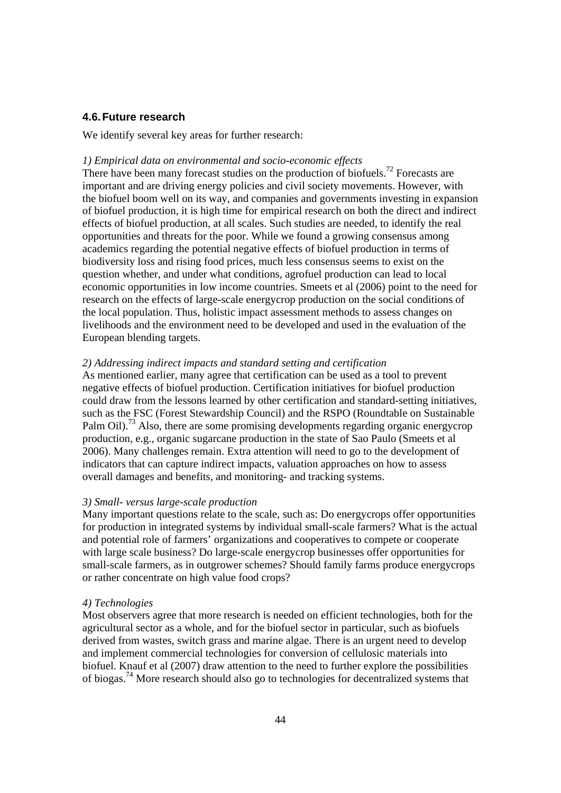### **4.6. Future research**

We identify several key areas for further research:

### *1) Empirical data on environmental and socio-economic effects*

There have been many forecast studies on the production of biofuels.<sup>72</sup> Forecasts are important and are driving energy policies and civil society movements. However, with the biofuel boom well on its way, and companies and governments investing in expansion of biofuel production, it is high time for empirical research on both the direct and indirect effects of biofuel production, at all scales. Such studies are needed, to identify the real opportunities and threats for the poor. While we found a growing consensus among academics regarding the potential negative effects of biofuel production in terms of biodiversity loss and rising food prices, much less consensus seems to exist on the question whether, and under what conditions, agrofuel production can lead to local economic opportunities in low income countries. Smeets et al (2006) point to the need for research on the effects of large-scale energycrop production on the social conditions of the local population. Thus, holistic impact assessment methods to assess changes on livelihoods and the environment need to be developed and used in the evaluation of the European blending targets.

### *2) Addressing indirect impacts and standard setting and certification*

As mentioned earlier, many agree that certification can be used as a tool to prevent negative effects of biofuel production. Certification initiatives for biofuel production could draw from the lessons learned by other certification and standard-setting initiatives, such as the FSC (Forest Stewardship Council) and the RSPO (Roundtable on Sustainable Palm Oil).<sup>73</sup> Also, there are some promising developments regarding organic energycrop production, e.g., organic sugarcane production in the state of Sao Paulo (Smeets et al 2006). Many challenges remain. Extra attention will need to go to the development of indicators that can capture indirect impacts, valuation approaches on how to assess overall damages and benefits, and monitoring- and tracking systems.

### *3) Small- versus large-scale production*

Many important questions relate to the scale, such as: Do energycrops offer opportunities for production in integrated systems by individual small-scale farmers? What is the actual and potential role of farmers' organizations and cooperatives to compete or cooperate with large scale business? Do large-scale energycrop businesses offer opportunities for small-scale farmers, as in outgrower schemes? Should family farms produce energycrops or rather concentrate on high value food crops?

### *4) Technologies*

Most observers agree that more research is needed on efficient technologies, both for the agricultural sector as a whole, and for the biofuel sector in particular, such as biofuels derived from wastes, switch grass and marine algae. There is an urgent need to develop and implement commercial technologies for conversion of cellulosic materials into biofuel. Knauf et al (2007) draw attention to the need to further explore the possibilities of biogas.74 More research should also go to technologies for decentralized systems that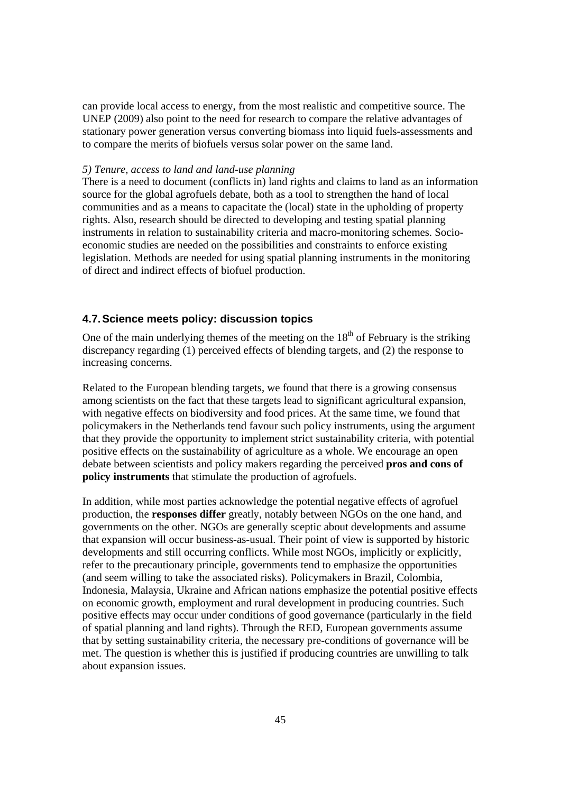can provide local access to energy, from the most realistic and competitive source. The UNEP (2009) also point to the need for research to compare the relative advantages of stationary power generation versus converting biomass into liquid fuels-assessments and to compare the merits of biofuels versus solar power on the same land.

### *5) Tenure, access to land and land-use planning*

There is a need to document (conflicts in) land rights and claims to land as an information source for the global agrofuels debate, both as a tool to strengthen the hand of local communities and as a means to capacitate the (local) state in the upholding of property rights. Also, research should be directed to developing and testing spatial planning instruments in relation to sustainability criteria and macro-monitoring schemes. Socioeconomic studies are needed on the possibilities and constraints to enforce existing legislation. Methods are needed for using spatial planning instruments in the monitoring of direct and indirect effects of biofuel production.

### **4.7. Science meets policy: discussion topics**

One of the main underlying themes of the meeting on the  $18<sup>th</sup>$  of February is the striking discrepancy regarding (1) perceived effects of blending targets, and (2) the response to increasing concerns.

Related to the European blending targets, we found that there is a growing consensus among scientists on the fact that these targets lead to significant agricultural expansion, with negative effects on biodiversity and food prices. At the same time, we found that policymakers in the Netherlands tend favour such policy instruments, using the argument that they provide the opportunity to implement strict sustainability criteria, with potential positive effects on the sustainability of agriculture as a whole. We encourage an open debate between scientists and policy makers regarding the perceived **pros and cons of policy instruments** that stimulate the production of agrofuels.

In addition, while most parties acknowledge the potential negative effects of agrofuel production, the **responses differ** greatly, notably between NGOs on the one hand, and governments on the other. NGOs are generally sceptic about developments and assume that expansion will occur business-as-usual. Their point of view is supported by historic developments and still occurring conflicts. While most NGOs, implicitly or explicitly, refer to the precautionary principle, governments tend to emphasize the opportunities (and seem willing to take the associated risks). Policymakers in Brazil, Colombia, Indonesia, Malaysia, Ukraine and African nations emphasize the potential positive effects on economic growth, employment and rural development in producing countries. Such positive effects may occur under conditions of good governance (particularly in the field of spatial planning and land rights). Through the RED, European governments assume that by setting sustainability criteria, the necessary pre-conditions of governance will be met. The question is whether this is justified if producing countries are unwilling to talk about expansion issues.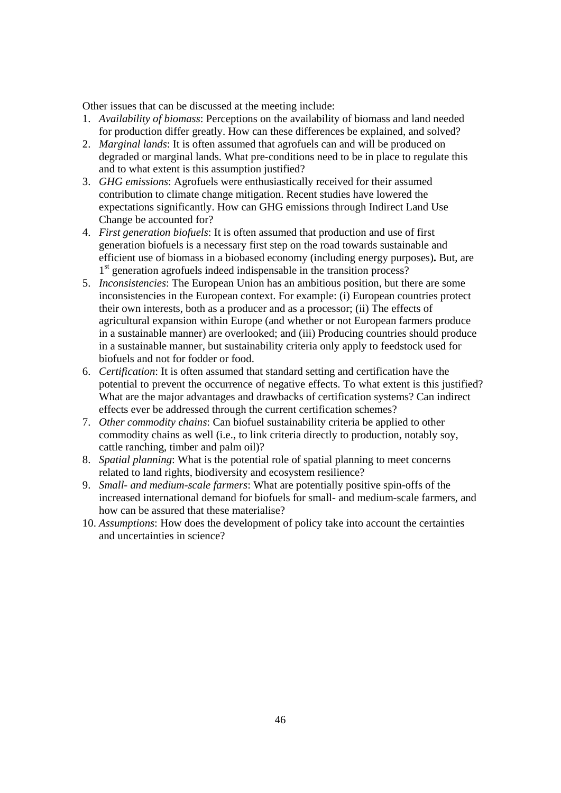Other issues that can be discussed at the meeting include:

- 1. *Availability of biomass*: Perceptions on the availability of biomass and land needed for production differ greatly. How can these differences be explained, and solved?
- 2. *Marginal lands*: It is often assumed that agrofuels can and will be produced on degraded or marginal lands. What pre-conditions need to be in place to regulate this and to what extent is this assumption justified?
- 3. *GHG emissions*: Agrofuels were enthusiastically received for their assumed contribution to climate change mitigation. Recent studies have lowered the expectations significantly. How can GHG emissions through Indirect Land Use Change be accounted for?
- 4. *First generation biofuels*: It is often assumed that production and use of first generation biofuels is a necessary first step on the road towards sustainable and efficient use of biomass in a biobased economy (including energy purposes)**.** But, are 1<sup>st</sup> generation agrofuels indeed indispensable in the transition process?
- 5. *Inconsistencies*: The European Union has an ambitious position, but there are some inconsistencies in the European context. For example: (i) European countries protect their own interests, both as a producer and as a processor; (ii) The effects of agricultural expansion within Europe (and whether or not European farmers produce in a sustainable manner) are overlooked; and (iii) Producing countries should produce in a sustainable manner, but sustainability criteria only apply to feedstock used for biofuels and not for fodder or food.
- 6. *Certification*: It is often assumed that standard setting and certification have the potential to prevent the occurrence of negative effects. To what extent is this justified? What are the major advantages and drawbacks of certification systems? Can indirect effects ever be addressed through the current certification schemes?
- 7. *Other commodity chains*: Can biofuel sustainability criteria be applied to other commodity chains as well (i.e., to link criteria directly to production, notably soy, cattle ranching, timber and palm oil)?
- 8. *Spatial planning*: What is the potential role of spatial planning to meet concerns related to land rights, biodiversity and ecosystem resilience?
- 9. *Small- and medium-scale farmers*: What are potentially positive spin-offs of the increased international demand for biofuels for small- and medium-scale farmers, and how can be assured that these materialise?
- 10. *Assumptions*: How does the development of policy take into account the certainties and uncertainties in science?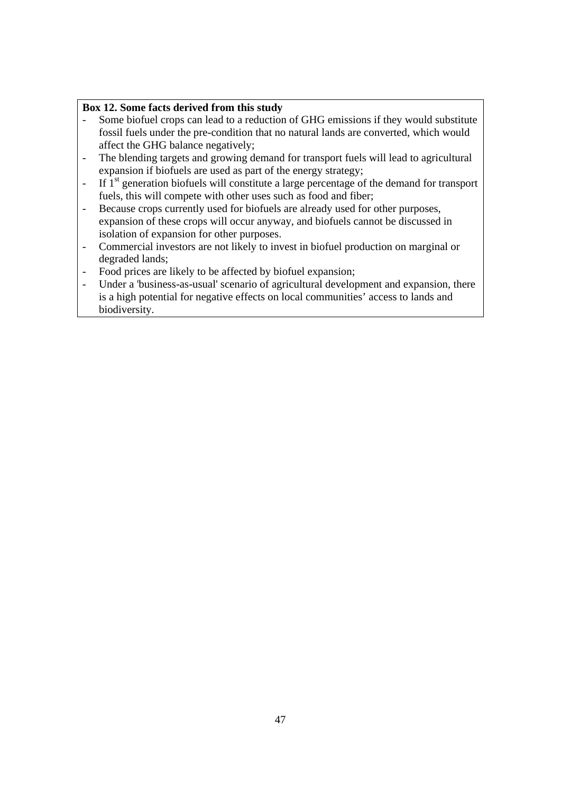# **Box 12. Some facts derived from this study**

- Some biofuel crops can lead to a reduction of GHG emissions if they would substitute fossil fuels under the pre-condition that no natural lands are converted, which would affect the GHG balance negatively;
- The blending targets and growing demand for transport fuels will lead to agricultural expansion if biofuels are used as part of the energy strategy;
- $\overline{a}$  If  $\overline{a}$ <sup>st</sup> generation biofuels will constitute a large percentage of the demand for transport fuels, this will compete with other uses such as food and fiber;
- Because crops currently used for biofuels are already used for other purposes, expansion of these crops will occur anyway, and biofuels cannot be discussed in isolation of expansion for other purposes.
- Commercial investors are not likely to invest in biofuel production on marginal or degraded lands;
- Food prices are likely to be affected by biofuel expansion;
- Under a 'business-as-usual' scenario of agricultural development and expansion, there is a high potential for negative effects on local communities' access to lands and biodiversity.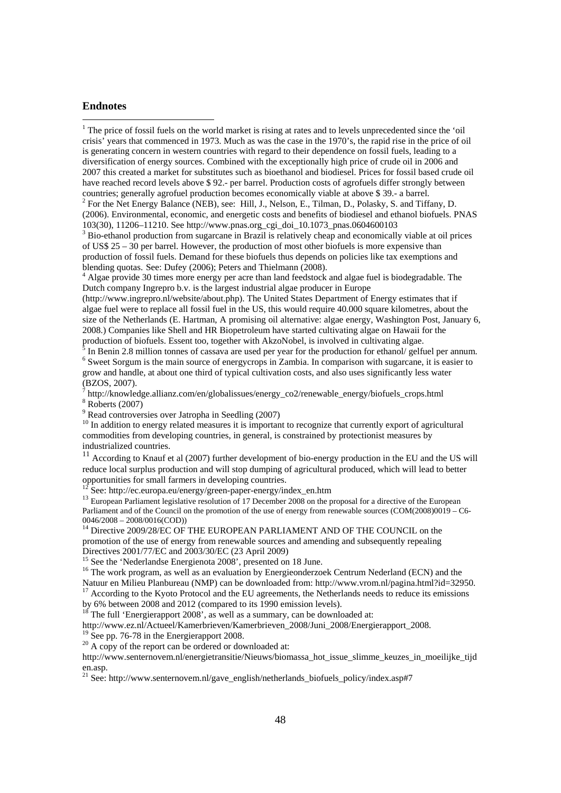### **Endnotes**

<sup>1</sup> The price of fossil fuels on the world market is rising at rates and to levels unprecedented since the 'oil crisis' years that commenced in 1973. Much as was the case in the 1970's, the rapid rise in the price of oil is generating concern in western countries with regard to their dependence on fossil fuels, leading to a diversification of energy sources. Combined with the exceptionally high price of crude oil in 2006 and 2007 this created a market for substitutes such as bioethanol and biodiesel. Prices for fossil based crude oil have reached record levels above \$ 92.- per barrel. Production costs of agrofuels differ strongly between countries; generally agrofuel production becomes economically viable at above \$ 39.- a barrel.

<sup>2</sup> For the Net Energy Balance (NEB), see: Hill, J., Nelson, E., Tilman, D., Polasky, S. and Tiffany, D. (2006). Environmental, economic, and energetic costs and benefits of biodiesel and ethanol biofuels. PNAS 103(30), 11206–11210. See http://www.pnas.org\_cgi\_doi\_10.1073\_pnas.0604600103

 $3$  Bio-ethanol production from sugarcane in Brazil is relatively cheap and economically viable at oil prices of US\$ 25 – 30 per barrel. However, the production of most other biofuels is more expensive than production of fossil fuels. Demand for these biofuels thus depends on policies like tax exemptions and blending quotas. See: Dufey (2006); Peters and Thielmann (2008).

 Algae provide 30 times more energy per acre than land feedstock and algae fuel is biodegradable. The Dutch company Ingrepro b.v. is the largest industrial algae producer in Europe

(http://www.ingrepro.nl/website/about.php). The United States Department of Energy estimates that if algae fuel were to replace all fossil fuel in the US, this would require 40.000 square kilometres, about the size of the Netherlands (E. Hartman, A promising oil alternative: algae energy, Washington Post, January 6, 2008.) Companies like Shell and HR Biopetroleum have started cultivating algae on Hawaii for the production of biofuels. Essent too, together with AkzoNobel, is involved in cultivating algae.<br><sup>5</sup> In Bonin 2.8 million tonnes of assesses are used not user for the production for ethanol. calfu

In Benin 2.8 million tonnes of cassava are used per year for the production for ethanol/ gelfuel per annum. <sup>6</sup> Sweet Sorgum is the main source of energycrops in Zambia. In comparison with sugarcane, it is easier to grow and handle, at about one third of typical cultivation costs, and also uses significantly less water (BZOS, 2007).

<sup>7</sup> http://knowledge.allianz.com/en/globalissues/energy\_co2/renewable\_energy/biofuels\_crops.html

8 Roberts (2007)

<sup>9</sup> Read controversies over Jatropha in Seedling (2007)

<sup>10</sup> In addition to energy related measures it is important to recognize that currently export of agricultural commodities from developing countries, in general, is constrained by protectionist measures by industrialized countries.

<sup>11</sup> According to Knauf et al (2007) further development of bio-energy production in the EU and the US will reduce local surplus production and will stop dumping of agricultural produced, which will lead to better opportunities for small farmers in developing countries.

 $12$  See: http://ec.europa.eu/energy/green-paper-energy/index\_en.htm

<sup>13</sup> European Parliament legislative resolution of 17 December 2008 on the proposal for a directive of the European Parliament and of the Council on the promotion of the use of energy from renewable sources (COM(2008)0019 – C6- 0046/2008 – 2008/0016(COD))

<sup>14</sup> Directive 2009/28/EC OF THE EUROPEAN PARLIAMENT AND OF THE COUNCIL on the promotion of the use of energy from renewable sources and amending and subsequently repealing Directives 2001/77/EC and 2003/30/EC (23 April 2009)

<sup>15</sup> See the 'Nederlandse Energienota 2008', presented on 18 June.

<sup>16</sup> The work program, as well as an evaluation by Energieonderzoek Centrum Nederland (ECN) and the Natuur en Milieu Planbureau (NMP) can be downloaded from: http://www.vrom.nl/pagina.html?id=32950.

<sup>17</sup> According to the Kyoto Protocol and the EU agreements, the Netherlands needs to reduce its emissions by 6% between 2008 and 2012 (compared to its 1990 emission levels).

 $18^{\circ}$  The full 'Energierapport 2008', as well as a summary, can be downloaded at:

http://www.ez.nl/Actueel/Kamerbrieven/Kamerbrieven\_2008/Juni\_2008/Energierapport\_2008.<br><sup>19</sup> See pp. 76-78 in the Energierapport 2008.

 $1^{20}$  A copy of the report can be ordered or downloaded at:

http://www.senternovem.nl/energietransitie/Nieuws/biomassa\_hot\_issue\_slimme\_keuzes\_in\_moeilijke\_tijd en.asp.

<sup>21</sup> See: http://www.senternovem.nl/gave\_english/netherlands\_biofuels\_policy/index.asp#7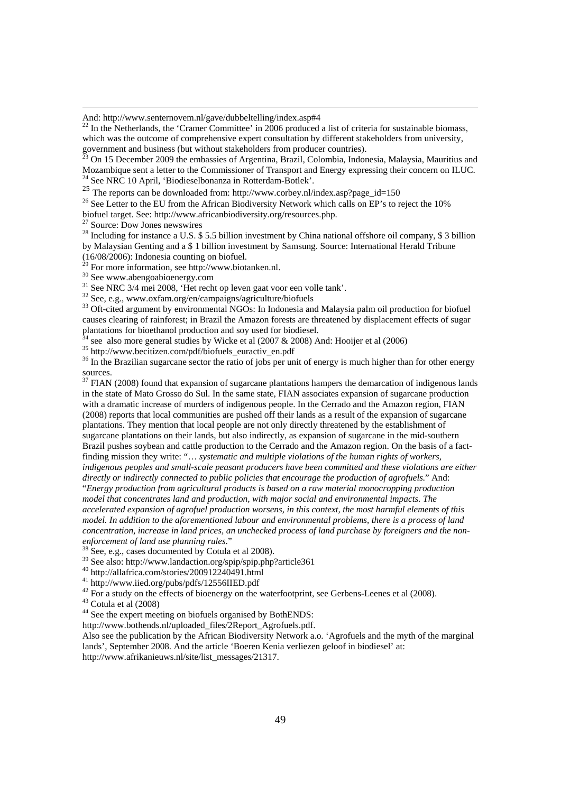And: http://www.senternovem.nl/gave/dubbeltelling/index.asp#4

 $^{22}$  In the Netherlands, the 'Cramer Committee' in 2006 produced a list of criteria for sustainable biomass, which was the outcome of comprehensive expert consultation by different stakeholders from university, government and business (but without stakeholders from producer countries).

23 On 15 December 2009 the embassies of Argentina, Brazil, Colombia, Indonesia, Malaysia, Mauritius and Mozambique sent a letter to the Commissioner of Transport and Energy expressing their concern on ILUC. <sup>24</sup> See NRC 10 April, 'Biodieselbonanza in Rotterdam-Botlek'.

25 The reports can be downloaded from: http://www.corbey.nl/index.asp?page\_id=150  $^{26}$  See Letter to the EU from the African Biodiversity Network which calls on EP's to reject the 10% biofuel target. See: http://www.africanbiodiversity.org/resources.php.

<sup>27</sup> Source: Dow Jones newswires

<sup>28</sup> Including for instance a U.S. \$5.5 billion investment by China national offshore oil company, \$3 billion by Malaysian Genting and a \$ 1 billion investment by Samsung. Source: International Herald Tribune (16/08/2006): Indonesia counting on biofuel.

 $^{29}$  For more information, see http://www.biotanken.nl.

<sup>30</sup> See www.abengoabioenergy.com<br><sup>31</sup> See NRC 3/4 mei 2008, 'Het recht op leven gaat voor een volle tank'.

 $32$  See, e.g., www.oxfam.org/en/campaigns/agriculture/biofuels

<sup>33</sup> Oft-cited argument by environmental NGOs: In Indonesia and Malaysia palm oil production for biofuel causes clearing of rainforest; in Brazil the Amazon forests are threatened by displacement effects of sugar plantations for bioethanol production and soy used for biodiesel.

<sup>4</sup> see also more general studies by Wicke et al (2007 & 2008) And: Hooijer et al (2006)

35 http://www.becitizen.com/pdf/biofuels\_euractiv\_en.pdf

 $36$  In the Brazilian sugarcane sector the ratio of jobs per unit of energy is much higher than for other energy sources.

<sup>37</sup> FIAN (2008) found that expansion of sugarcane plantations hampers the demarcation of indigenous lands in the state of Mato Grosso do Sul. In the same state, FIAN associates expansion of sugarcane production with a dramatic increase of murders of indigenous people. In the Cerrado and the Amazon region, FIAN (2008) reports that local communities are pushed off their lands as a result of the expansion of sugarcane plantations. They mention that local people are not only directly threatened by the establishment of sugarcane plantations on their lands, but also indirectly, as expansion of sugarcane in the mid-southern Brazil pushes soybean and cattle production to the Cerrado and the Amazon region. On the basis of a factfinding mission they write: "… *systematic and multiple violations of the human rights of workers, indigenous peoples and small-scale peasant producers have been committed and these violations are either directly or indirectly connected to public policies that encourage the production of agrofuels*." And: "*Energy production from agricultural products is based on a raw material monocropping production model that concentrates land and production, with major social and environmental impacts. The* 

*accelerated expansion of agrofuel production worsens, in this context, the most harmful elements of this model. In addition to the aforementioned labour and environmental problems, there is a process of land concentration, increase in land prices, an unchecked process of land purchase by foreigners and the non-*

<sup>38</sup> See, e.g., cases documented by Cotula et al 2008).

39 See also: http://www.landaction.org/spip/spip.php?article361

40 http://allafrica.com/stories/200912240491.html

41 http://www.iied.org/pubs/pdfs/12556IIED.pdf

 $^{42}$  For a study on the effects of bioenergy on the waterfootprint, see Gerbens-Leenes et al (2008).

 $43$  Cotula et al (2008)

<sup>44</sup> See the expert meeting on biofuels organised by BothENDS:

http://www.bothends.nl/uploaded\_files/2Report\_Agrofuels.pdf.

Also see the publication by the African Biodiversity Network a.o. 'Agrofuels and the myth of the marginal lands', September 2008. And the article 'Boeren Kenia verliezen geloof in biodiesel' at: http://www.afrikanieuws.nl/site/list\_messages/21317.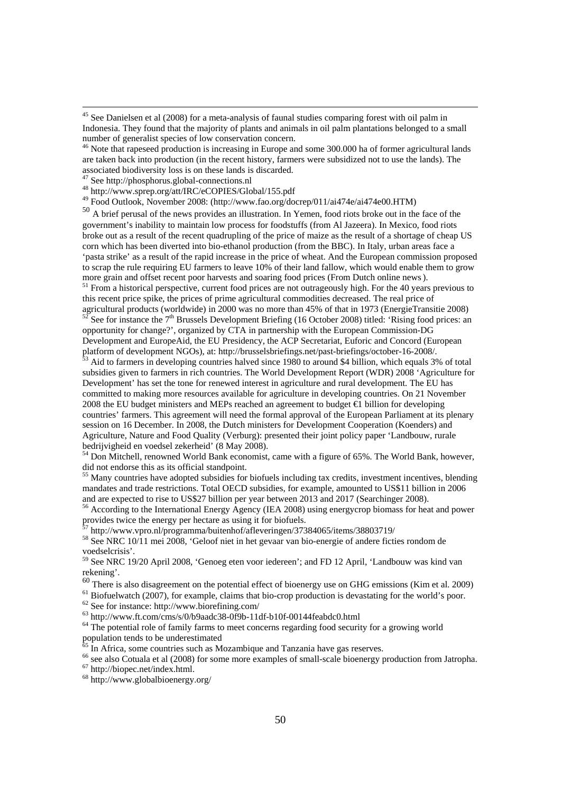<sup>46</sup> Note that rapeseed production is increasing in Europe and some 300.000 ha of former agricultural lands are taken back into production (in the recent history, farmers were subsidized not to use the lands). The associated biodiversity loss is on these lands is discarded.

47 See http://phosphorus.global-connections.nl

48 http://www.sprep.org/att/IRC/eCOPIES/Global/155.pdf

49 Food Outlook, November 2008: (http://www.fao.org/docrep/011/ai474e/ai474e00.HTM)

<sup>50</sup> A brief perusal of the news provides an illustration. In Yemen, food riots broke out in the face of the government's inability to maintain low process for foodstuffs (from Al Jazeera). In Mexico, food riots broke out as a result of the recent quadrupling of the price of maize as the result of a shortage of cheap US corn which has been diverted into bio-ethanol production (from the BBC). In Italy, urban areas face a 'pasta strike' as a result of the rapid increase in the price of wheat. And the European commission proposed to scrap the rule requiring EU farmers to leave 10% of their land fallow, which would enable them to grow more grain and offset recent poor harvests and soaring food prices (From Dutch online news).<br><sup>51</sup> From a historical perspective, current food prices are not outrageously high. For the 40 years previous to

this recent price spike, the prices of prime agricultural commodities decreased. The real price of agricultural products (worldwide) in 2000 was no more than 45% of that in 1973 (EnergieTransitie 2008)

See for instance the  $7<sup>th</sup>$  Brussels Development Briefing (16 October 2008) titled: 'Rising food prices: an opportunity for change?', organized by CTA in partnership with the European Commission-DG Development and EuropeAid, the EU Presidency, the ACP Secretariat, Euforic and Concord (European platform of development NGOs), at: http://brusselsbriefings.net/past-briefings/october-16-2008/.

53 Aid to farmers in developing countries halved since 1980 to around \$4 billion, which equals 3% of total subsidies given to farmers in rich countries. The World Development Report (WDR) 2008 'Agriculture for Development' has set the tone for renewed interest in agriculture and rural development. The EU has committed to making more resources available for agriculture in developing countries. On 21 November 2008 the EU budget ministers and MEPs reached an agreement to budget €1 billion for developing countries' farmers. This agreement will need the formal approval of the European Parliament at its plenary session on 16 December. In 2008, the Dutch ministers for Development Cooperation (Koenders) and Agriculture, Nature and Food Quality (Verburg): presented their joint policy paper 'Landbouw, rurale bedrijvigheid en voedsel zekerheid' (8 May 2008).

<sup>54</sup> Don Mitchell, renowned World Bank economist, came with a figure of 65%. The World Bank, however, did not endorse this as its official standpoint.

<sup>55</sup> Many countries have adopted subsidies for biofuels including tax credits, investment incentives, blending mandates and trade restrictions. Total OECD subsidies, for example, amounted to US\$11 billion in 2006 and are expected to rise to US\$27 billion per year between 2013 and 2017 (Searchinger 2008).

56 According to the International Energy Agency (IEA 2008) using energycrop biomass for heat and power provides twice the energy per hectare as using it for biofuels.

<sup>7</sup> http://www.vpro.nl/programma/buitenhof/afleveringen/37384065/items/38803719/

<sup>58</sup> See NRC 10/11 mei 2008, 'Geloof niet in het gevaar van bio-energie of andere ficties rondom de voedselcrisis'.

59 See NRC 19/20 April 2008, 'Genoeg eten voor iedereen'; and FD 12 April, 'Landbouw was kind van rekening'.

 $^{60}$  There is also disagreement on the potential effect of bioenergy use on GHG emissions (Kim et al. 2009)  $^{61}$  Biofuelwatch (2007), for example, claims that bio-crop production is devastating for the world's poor.

 $62$  See for instance: http://www.biorefining.com/

 $^{63}$  http://www.ft.com/cms/s/0/b9aadc38-0f9b-11df-b10f-00144feabdc0.html

 $64$  The potential role of family farms to meet concerns regarding food security for a growing world population tends to be underestimated

 $65$  In Africa, some countries such as Mozambique and Tanzania have gas reserves.

<sup>66</sup> see also Cotuala et al (2008) for some more examples of small-scale bioenergy production from Jatropha.

67 http://biopec.net/index.html.

68 http://www.globalbioenergy.org/

<sup>&</sup>lt;sup>45</sup> See Danielsen et al (2008) for a meta-analysis of faunal studies comparing forest with oil palm in Indonesia. They found that the majority of plants and animals in oil palm plantations belonged to a small number of generalist species of low conservation concern.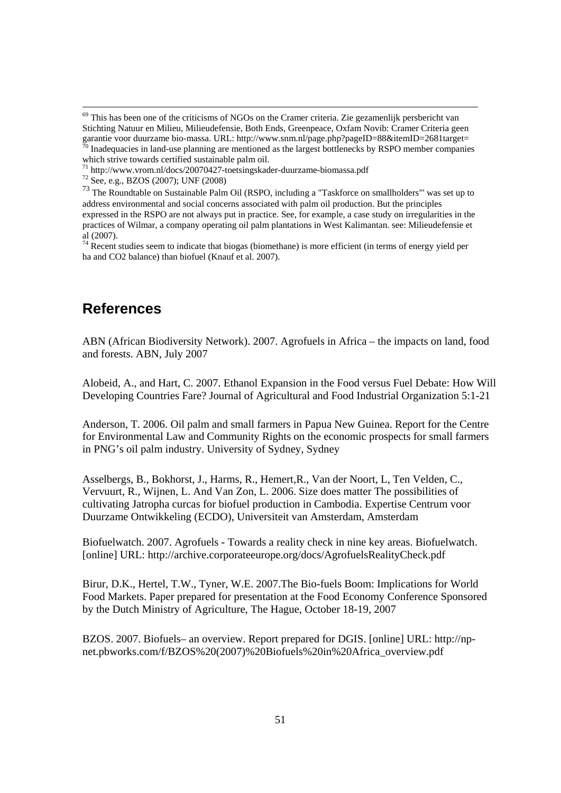# **References**

ABN (African Biodiversity Network). 2007. Agrofuels in Africa – the impacts on land, food and forests. ABN, July 2007

Alobeid, A., and Hart, C. 2007. Ethanol Expansion in the Food versus Fuel Debate: How Will Developing Countries Fare? Journal of Agricultural and Food Industrial Organization 5:1-21

Anderson, T. 2006. Oil palm and small farmers in Papua New Guinea. Report for the Centre for Environmental Law and Community Rights on the economic prospects for small farmers in PNG's oil palm industry. University of Sydney, Sydney

Asselbergs, B., Bokhorst, J., Harms, R., Hemert,R., Van der Noort, L, Ten Velden, C., Vervuurt, R., Wijnen, L. And Van Zon, L. 2006. Size does matter The possibilities of cultivating Jatropha curcas for biofuel production in Cambodia. Expertise Centrum voor Duurzame Ontwikkeling (ECDO), Universiteit van Amsterdam, Amsterdam

Biofuelwatch. 2007. Agrofuels - Towards a reality check in nine key areas. Biofuelwatch. [online] URL: http://archive.corporateeurope.org/docs/AgrofuelsRealityCheck.pdf

Birur, D.K., Hertel, T.W., Tyner, W.E. 2007.The Bio-fuels Boom: Implications for World Food Markets. Paper prepared for presentation at the Food Economy Conference Sponsored by the Dutch Ministry of Agriculture, The Hague, October 18-19, 2007

BZOS. 2007. Biofuels– an overview. Report prepared for DGIS. [online] URL: http://npnet.pbworks.com/f/BZOS%20(2007)%20Biofuels%20in%20Africa\_overview.pdf

<sup>&</sup>lt;sup>69</sup> This has been one of the criticisms of NGOs on the Cramer criteria. Zie gezamenlijk persbericht van Stichting Natuur en Milieu, Milieudefensie, Both Ends, Greenpeace, Oxfam Novib: Cramer Criteria geen garantie voor duurzame bio-massa. URL: http://www.snm.nl/page.php?pageID=88&itemID=2681target=<br><sup>70</sup> Inadamusius is described as Inadequacies in land-use planning are mentioned as the largest bottlenecks by RSPO member companies

which strive towards certified sustainable palm oil.

<sup>71</sup> http://www.vrom.nl/docs/20070427-toetsingskader-duurzame-biomassa.pdf

 $72$  See, e.g., BZOS (2007); UNF (2008)

<sup>73</sup> The Roundtable on Sustainable Palm Oil (RSPO, including a "Taskforce on smallholders"' was set up to address environmental and social concerns associated with palm oil production. But the principles expressed in the RSPO are not always put in practice. See, for example, a case study on irregularities in the practices of Wilmar, a company operating oil palm plantations in West Kalimantan. see: Milieudefensie et al (2007).

 $74$  Recent studies seem to indicate that biogas (biomethane) is more efficient (in terms of energy yield per ha and CO2 balance) than biofuel (Knauf et al. 2007).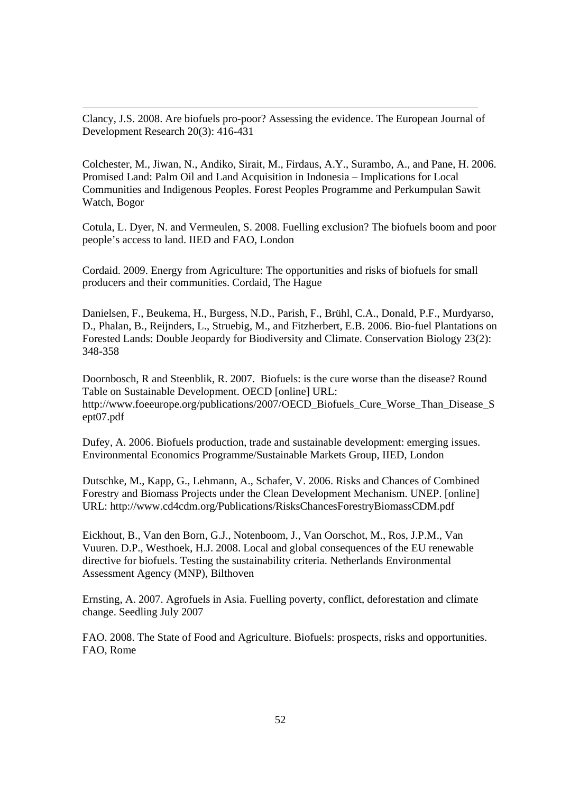Clancy, J.S. 2008. Are biofuels pro-poor? Assessing the evidence. The European Journal of Development Research 20(3): 416-431

Colchester, M., Jiwan, N., Andiko, Sirait, M., Firdaus, A.Y., Surambo, A., and Pane, H. 2006. Promised Land: Palm Oil and Land Acquisition in Indonesia – Implications for Local Communities and Indigenous Peoples. Forest Peoples Programme and Perkumpulan Sawit Watch, Bogor

Cotula, L. Dyer, N. and Vermeulen, S. 2008. Fuelling exclusion? The biofuels boom and poor people's access to land. IIED and FAO, London

Cordaid. 2009. Energy from Agriculture: The opportunities and risks of biofuels for small producers and their communities. Cordaid, The Hague

Danielsen, F., Beukema, H., Burgess, N.D., Parish, F., Brühl, C.A., Donald, P.F., Murdyarso, D., Phalan, B., Reijnders, L., Struebig, M., and Fitzherbert, E.B. 2006. Bio-fuel Plantations on Forested Lands: Double Jeopardy for Biodiversity and Climate. Conservation Biology 23(2): 348-358

Doornbosch, R and Steenblik, R. 2007. Biofuels: is the cure worse than the disease? Round Table on Sustainable Development. OECD [online] URL: http://www.foeeurope.org/publications/2007/OECD\_Biofuels\_Cure\_Worse\_Than\_Disease\_S ept07.pdf

Dufey, A. 2006. Biofuels production, trade and sustainable development: emerging issues. Environmental Economics Programme/Sustainable Markets Group, IIED, London

Dutschke, M., Kapp, G., Lehmann, A., Schafer, V. 2006. Risks and Chances of Combined Forestry and Biomass Projects under the Clean Development Mechanism. UNEP. [online] URL: http://www.cd4cdm.org/Publications/RisksChancesForestryBiomassCDM.pdf

Eickhout, B., Van den Born, G.J., Notenboom, J., Van Oorschot, M., Ros, J.P.M., Van Vuuren. D.P., Westhoek, H.J. 2008. Local and global consequences of the EU renewable directive for biofuels. Testing the sustainability criteria. Netherlands Environmental Assessment Agency (MNP), Bilthoven

Ernsting, A. 2007. Agrofuels in Asia. Fuelling poverty, conflict, deforestation and climate change. Seedling July 2007

FAO. 2008. The State of Food and Agriculture. Biofuels: prospects, risks and opportunities. FAO, Rome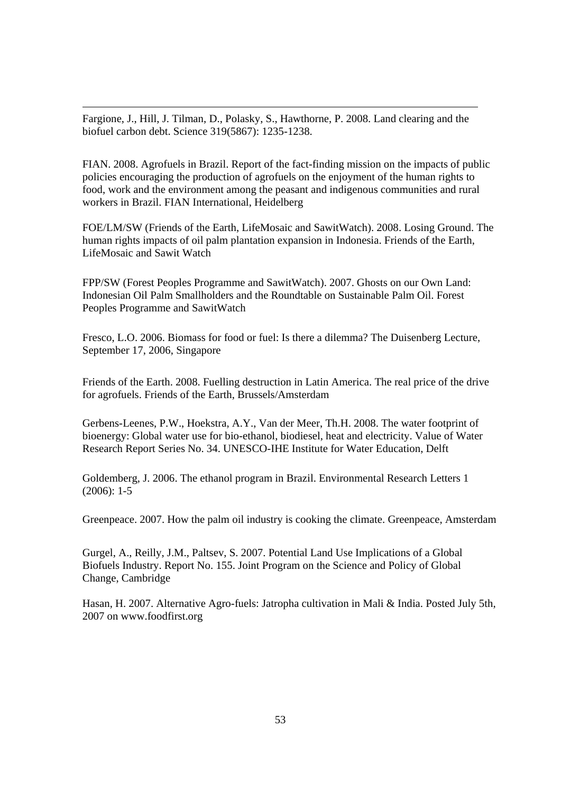Fargione, J., Hill, J. Tilman, D., Polasky, S., Hawthorne, P. 2008. Land clearing and the biofuel carbon debt. Science 319(5867): 1235-1238.

FIAN. 2008. Agrofuels in Brazil. Report of the fact-finding mission on the impacts of public policies encouraging the production of agrofuels on the enjoyment of the human rights to food, work and the environment among the peasant and indigenous communities and rural workers in Brazil. FIAN International, Heidelberg

FOE/LM/SW (Friends of the Earth, LifeMosaic and SawitWatch). 2008. Losing Ground. The human rights impacts of oil palm plantation expansion in Indonesia. Friends of the Earth, LifeMosaic and Sawit Watch

FPP/SW (Forest Peoples Programme and SawitWatch). 2007. Ghosts on our Own Land: Indonesian Oil Palm Smallholders and the Roundtable on Sustainable Palm Oil. Forest Peoples Programme and SawitWatch

Fresco, L.O. 2006. Biomass for food or fuel: Is there a dilemma? The Duisenberg Lecture, September 17, 2006, Singapore

Friends of the Earth. 2008. Fuelling destruction in Latin America. The real price of the drive for agrofuels. Friends of the Earth, Brussels/Amsterdam

Gerbens-Leenes, P.W., Hoekstra, A.Y., Van der Meer, Th.H. 2008. The water footprint of bioenergy: Global water use for bio-ethanol, biodiesel, heat and electricity. Value of Water Research Report Series No. 34. UNESCO-IHE Institute for Water Education, Delft

Goldemberg, J. 2006. The ethanol program in Brazil. Environmental Research Letters 1  $(2006): 1-5$ 

Greenpeace. 2007. How the palm oil industry is cooking the climate. Greenpeace, Amsterdam

Gurgel, A., Reilly, J.M., Paltsev, S. 2007. Potential Land Use Implications of a Global Biofuels Industry. Report No. 155. Joint Program on the Science and Policy of Global Change, Cambridge

Hasan, H. 2007. Alternative Agro-fuels: Jatropha cultivation in Mali & India. Posted July 5th, 2007 on www.foodfirst.org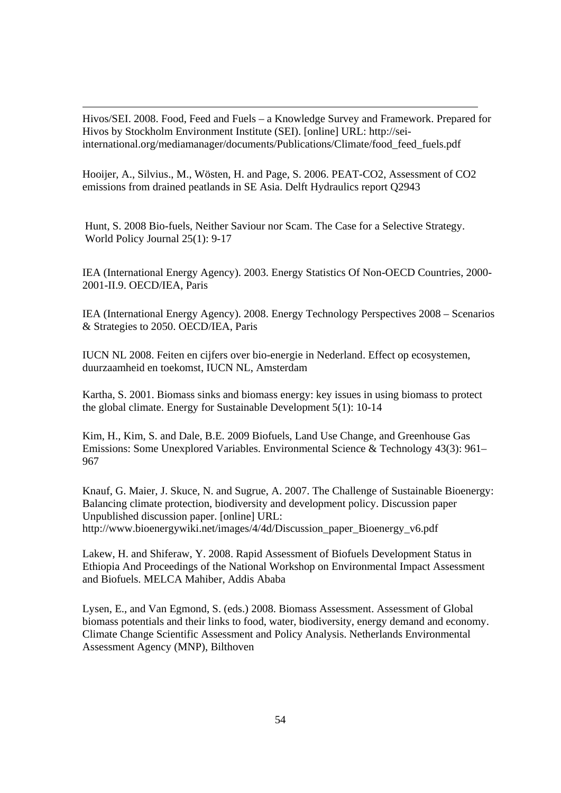Hivos/SEI. 2008. Food, Feed and Fuels – a Knowledge Survey and Framework. Prepared for Hivos by Stockholm Environment Institute (SEI). [online] URL: http://seiinternational.org/mediamanager/documents/Publications/Climate/food\_feed\_fuels.pdf

Hooijer, A., Silvius., M., Wösten, H. and Page, S. 2006. PEAT-CO2, Assessment of CO2 emissions from drained peatlands in SE Asia. Delft Hydraulics report Q2943

Hunt, S. 2008 Bio-fuels, Neither Saviour nor Scam. The Case for a Selective Strategy. World Policy Journal 25(1): 9-17

IEA (International Energy Agency). 2003. Energy Statistics Of Non-OECD Countries, 2000- 2001-II.9. OECD/IEA, Paris

IEA (International Energy Agency). 2008. Energy Technology Perspectives 2008 – Scenarios & Strategies to 2050. OECD/IEA, Paris

IUCN NL 2008. Feiten en cijfers over bio-energie in Nederland. Effect op ecosystemen, duurzaamheid en toekomst, IUCN NL, Amsterdam

Kartha, S. 2001. Biomass sinks and biomass energy: key issues in using biomass to protect the global climate. Energy for Sustainable Development 5(1): 10-14

Kim, H., Kim, S. and Dale, B.E. 2009 Biofuels, Land Use Change, and Greenhouse Gas Emissions: Some Unexplored Variables. Environmental Science & Technology 43(3): 961– 967

Knauf, G. Maier, J. Skuce, N. and Sugrue, A. 2007. The Challenge of Sustainable Bioenergy: Balancing climate protection, biodiversity and development policy. Discussion paper Unpublished discussion paper. [online] URL: http://www.bioenergywiki.net/images/4/4d/Discussion\_paper\_Bioenergy\_v6.pdf

Lakew, H. and Shiferaw, Y. 2008. Rapid Assessment of Biofuels Development Status in Ethiopia And Proceedings of the National Workshop on Environmental Impact Assessment and Biofuels. MELCA Mahiber, Addis Ababa

Lysen, E., and Van Egmond, S. (eds.) 2008. Biomass Assessment. Assessment of Global biomass potentials and their links to food, water, biodiversity, energy demand and economy. Climate Change Scientific Assessment and Policy Analysis. Netherlands Environmental Assessment Agency (MNP), Bilthoven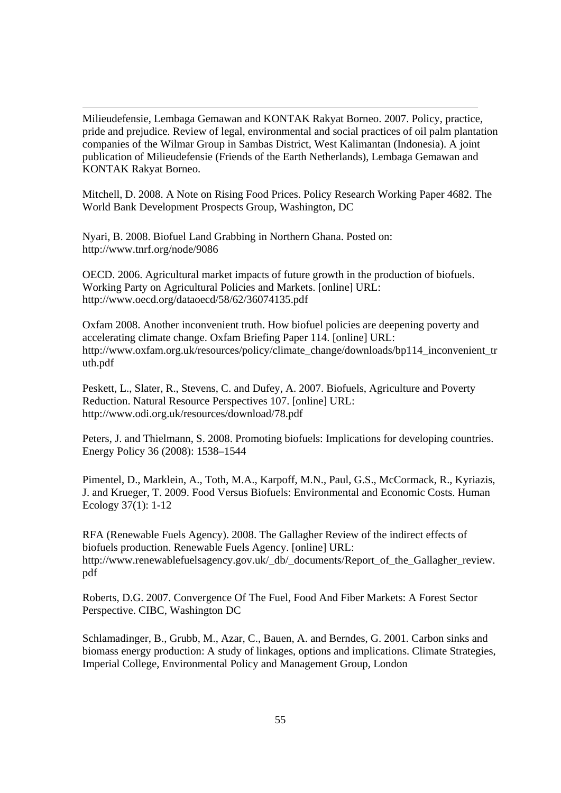Milieudefensie, Lembaga Gemawan and KONTAK Rakyat Borneo. 2007. Policy, practice, pride and prejudice. Review of legal, environmental and social practices of oil palm plantation companies of the Wilmar Group in Sambas District, West Kalimantan (Indonesia). A joint publication of Milieudefensie (Friends of the Earth Netherlands), Lembaga Gemawan and KONTAK Rakyat Borneo.

Mitchell, D. 2008. A Note on Rising Food Prices. Policy Research Working Paper 4682. The World Bank Development Prospects Group, Washington, DC

Nyari, B. 2008. Biofuel Land Grabbing in Northern Ghana. Posted on: http://www.tnrf.org/node/9086

OECD. 2006. Agricultural market impacts of future growth in the production of biofuels. Working Party on Agricultural Policies and Markets. [online] URL: http://www.oecd.org/dataoecd/58/62/36074135.pdf

Oxfam 2008. Another inconvenient truth. How biofuel policies are deepening poverty and accelerating climate change. Oxfam Briefing Paper 114. [online] URL: http://www.oxfam.org.uk/resources/policy/climate\_change/downloads/bp114\_inconvenient\_tr uth.pdf

Peskett, L., Slater, R., Stevens, C. and Dufey, A. 2007. Biofuels, Agriculture and Poverty Reduction. Natural Resource Perspectives 107. [online] URL: http://www.odi.org.uk/resources/download/78.pdf

Peters, J. and Thielmann, S. 2008. Promoting biofuels: Implications for developing countries. Energy Policy 36 (2008): 1538–1544

Pimentel, D., Marklein, A., Toth, M.A., Karpoff, M.N., Paul, G.S., McCormack, R., Kyriazis, J. and Krueger, T. 2009. Food Versus Biofuels: Environmental and Economic Costs. Human Ecology 37(1): 1-12

RFA (Renewable Fuels Agency). 2008. The Gallagher Review of the indirect effects of biofuels production. Renewable Fuels Agency. [online] URL: http://www.renewablefuelsagency.gov.uk/\_db/\_documents/Report\_of\_the\_Gallagher\_review. pdf

Roberts, D.G. 2007. Convergence Of The Fuel, Food And Fiber Markets: A Forest Sector Perspective. CIBC, Washington DC

Schlamadinger, B., Grubb, M., Azar, C., Bauen, A. and Berndes, G. 2001. Carbon sinks and biomass energy production: A study of linkages, options and implications. Climate Strategies, Imperial College, Environmental Policy and Management Group, London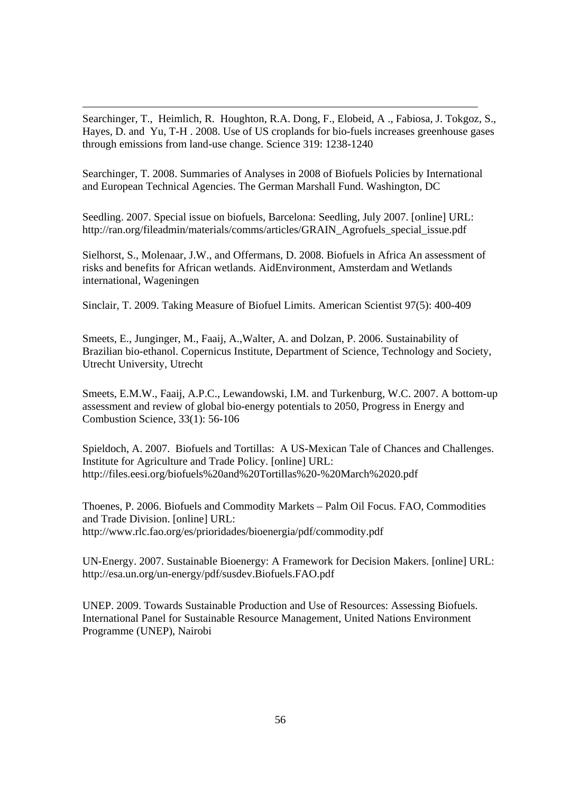Searchinger, T., Heimlich, R. Houghton, R.A. Dong, F., Elobeid, A ., Fabiosa, J. Tokgoz, S., Hayes, D. and Yu, T-H . 2008. Use of US croplands for bio-fuels increases greenhouse gases through emissions from land-use change. Science 319: 1238-1240

Searchinger, T. 2008. Summaries of Analyses in 2008 of Biofuels Policies by International and European Technical Agencies. The German Marshall Fund. Washington, DC

Seedling. 2007. Special issue on biofuels, Barcelona: Seedling, July 2007. [online] URL: http://ran.org/fileadmin/materials/comms/articles/GRAIN\_Agrofuels\_special\_issue.pdf

Sielhorst, S., Molenaar, J.W., and Offermans, D. 2008. Biofuels in Africa An assessment of risks and benefits for African wetlands. AidEnvironment, Amsterdam and Wetlands international, Wageningen

Sinclair, T. 2009. Taking Measure of Biofuel Limits. American Scientist 97(5): 400-409

Smeets, E., Junginger, M., Faaij, A.,Walter, A. and Dolzan, P. 2006. Sustainability of Brazilian bio-ethanol. Copernicus Institute, Department of Science, Technology and Society, Utrecht University, Utrecht

Smeets, E.M.W., Faaij, A.P.C., Lewandowski, I.M. and Turkenburg, W.C. 2007. A bottom-up assessment and review of global bio-energy potentials to 2050, Progress in Energy and Combustion Science, 33(1): 56-106

Spieldoch, A. 2007. Biofuels and Tortillas: A US-Mexican Tale of Chances and Challenges. Institute for Agriculture and Trade Policy. [online] URL: http://files.eesi.org/biofuels%20and%20Tortillas%20-%20March%2020.pdf

Thoenes, P. 2006. Biofuels and Commodity Markets – Palm Oil Focus. FAO, Commodities and Trade Division. [online] URL: http://www.rlc.fao.org/es/prioridades/bioenergia/pdf/commodity.pdf

UN-Energy. 2007. Sustainable Bioenergy: A Framework for Decision Makers. [online] URL: http://esa.un.org/un-energy/pdf/susdev.Biofuels.FAO.pdf

UNEP. 2009. Towards Sustainable Production and Use of Resources: Assessing Biofuels. International Panel for Sustainable Resource Management, United Nations Environment Programme (UNEP), Nairobi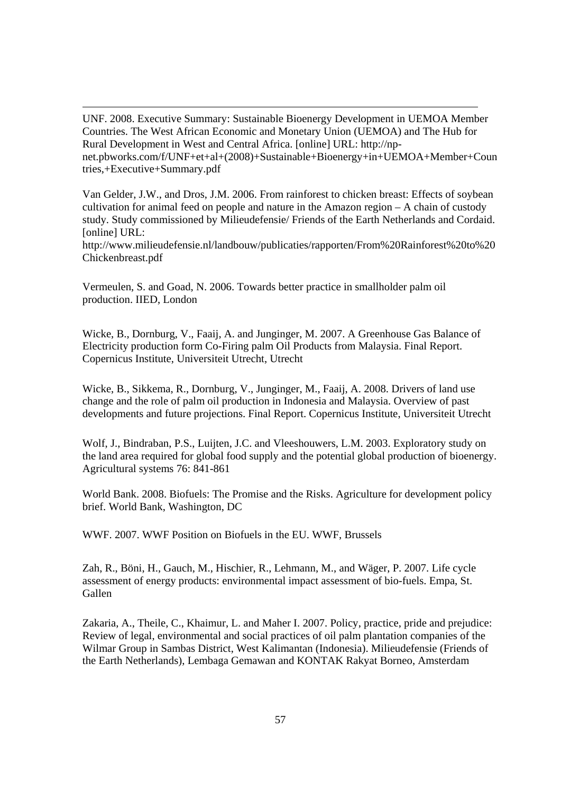UNF. 2008. Executive Summary: Sustainable Bioenergy Development in UEMOA Member Countries. The West African Economic and Monetary Union (UEMOA) and The Hub for Rural Development in West and Central Africa. [online] URL: http://npnet.pbworks.com/f/UNF+et+al+(2008)+Sustainable+Bioenergy+in+UEMOA+Member+Coun tries,+Executive+Summary.pdf

Van Gelder, J.W., and Dros, J.M. 2006. From rainforest to chicken breast: Effects of soybean cultivation for animal feed on people and nature in the Amazon region – A chain of custody study. Study commissioned by Milieudefensie/ Friends of the Earth Netherlands and Cordaid. [online] URL:

http://www.milieudefensie.nl/landbouw/publicaties/rapporten/From%20Rainforest%20to%20 Chickenbreast.pdf

Vermeulen, S. and Goad, N. 2006. Towards better practice in smallholder palm oil production. IIED, London

Wicke, B., Dornburg, V., Faaij, A. and Junginger, M. 2007. A Greenhouse Gas Balance of Electricity production form Co-Firing palm Oil Products from Malaysia. Final Report. Copernicus Institute, Universiteit Utrecht, Utrecht

Wicke, B., Sikkema, R., Dornburg, V., Junginger, M., Faaij, A. 2008. Drivers of land use change and the role of palm oil production in Indonesia and Malaysia. Overview of past developments and future projections. Final Report. Copernicus Institute, Universiteit Utrecht

Wolf, J., Bindraban, P.S., Luijten, J.C. and Vleeshouwers, L.M. 2003. Exploratory study on the land area required for global food supply and the potential global production of bioenergy. Agricultural systems 76: 841-861

World Bank. 2008. Biofuels: The Promise and the Risks. Agriculture for development policy brief. World Bank, Washington, DC

WWF. 2007. WWF Position on Biofuels in the EU. WWF, Brussels

Zah, R., Böni, H., Gauch, M., Hischier, R., Lehmann, M., and Wäger, P. 2007. Life cycle assessment of energy products: environmental impact assessment of bio-fuels. Empa, St. Gallen

Zakaria, A., Theile, C., Khaimur, L. and Maher I. 2007. Policy, practice, pride and prejudice: Review of legal, environmental and social practices of oil palm plantation companies of the Wilmar Group in Sambas District, West Kalimantan (Indonesia). Milieudefensie (Friends of the Earth Netherlands), Lembaga Gemawan and KONTAK Rakyat Borneo, Amsterdam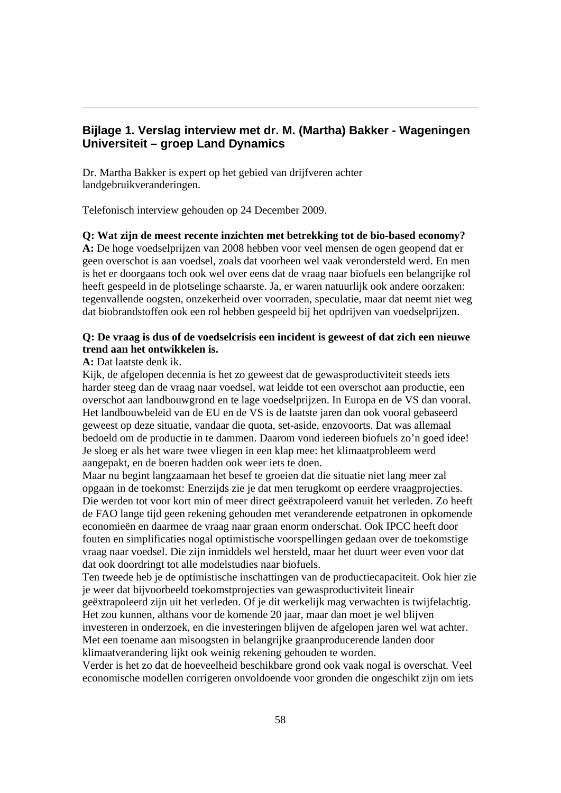# **Bijlage 1. Verslag interview met dr. M. (Martha) Bakker - Wageningen Universiteit – groep Land Dynamics**

Dr. Martha Bakker is expert op het gebied van drijfveren achter landgebruikveranderingen.

Telefonisch interview gehouden op 24 December 2009.

**Q: Wat zijn de meest recente inzichten met betrekking tot de bio-based economy?** 

**A:** De hoge voedselprijzen van 2008 hebben voor veel mensen de ogen geopend dat er geen overschot is aan voedsel, zoals dat voorheen wel vaak verondersteld werd. En men is het er doorgaans toch ook wel over eens dat de vraag naar biofuels een belangrijke rol heeft gespeeld in de plotselinge schaarste. Ja, er waren natuurlijk ook andere oorzaken: tegenvallende oogsten, onzekerheid over voorraden, speculatie, maar dat neemt niet weg dat biobrandstoffen ook een rol hebben gespeeld bij het opdrijven van voedselprijzen.

# **Q: De vraag is dus of de voedselcrisis een incident is geweest of dat zich een nieuwe trend aan het ontwikkelen is.**

**A:** Dat laatste denk ik.

Kijk, de afgelopen decennia is het zo geweest dat de gewasproductiviteit steeds iets harder steeg dan de vraag naar voedsel, wat leidde tot een overschot aan productie, een overschot aan landbouwgrond en te lage voedselprijzen. In Europa en de VS dan vooral. Het landbouwbeleid van de EU en de VS is de laatste jaren dan ook vooral gebaseerd geweest op deze situatie, vandaar die quota, set-aside, enzovoorts. Dat was allemaal bedoeld om de productie in te dammen. Daarom vond iedereen biofuels zo'n goed idee! Je sloeg er als het ware twee vliegen in een klap mee: het klimaatprobleem werd aangepakt, en de boeren hadden ook weer iets te doen.

Maar nu begint langzaamaan het besef te groeien dat die situatie niet lang meer zal opgaan in de toekomst: Enerzijds zie je dat men terugkomt op eerdere vraagprojecties. Die werden tot voor kort min of meer direct geëxtrapoleerd vanuit het verleden. Zo heeft de FAO lange tijd geen rekening gehouden met veranderende eetpatronen in opkomende economieën en daarmee de vraag naar graan enorm onderschat. Ook IPCC heeft door fouten en simplificaties nogal optimistische voorspellingen gedaan over de toekomstige vraag naar voedsel. Die zijn inmiddels wel hersteld, maar het duurt weer even voor dat dat ook doordringt tot alle modelstudies naar biofuels.

Ten tweede heb je de optimistische inschattingen van de productiecapaciteit. Ook hier zie je weer dat bijvoorbeeld toekomstprojecties van gewasproductiviteit lineair

geëxtrapoleerd zijn uit het verleden. Of je dit werkelijk mag verwachten is twijfelachtig. Het zou kunnen, althans voor de komende 20 jaar, maar dan moet je wel blijven investeren in onderzoek, en die investeringen blijven de afgelopen jaren wel wat achter. Met een toename aan misoogsten in belangrijke graanproducerende landen door klimaatverandering lijkt ook weinig rekening gehouden te worden.

Verder is het zo dat de hoeveelheid beschikbare grond ook vaak nogal is overschat. Veel economische modellen corrigeren onvoldoende voor gronden die ongeschikt zijn om iets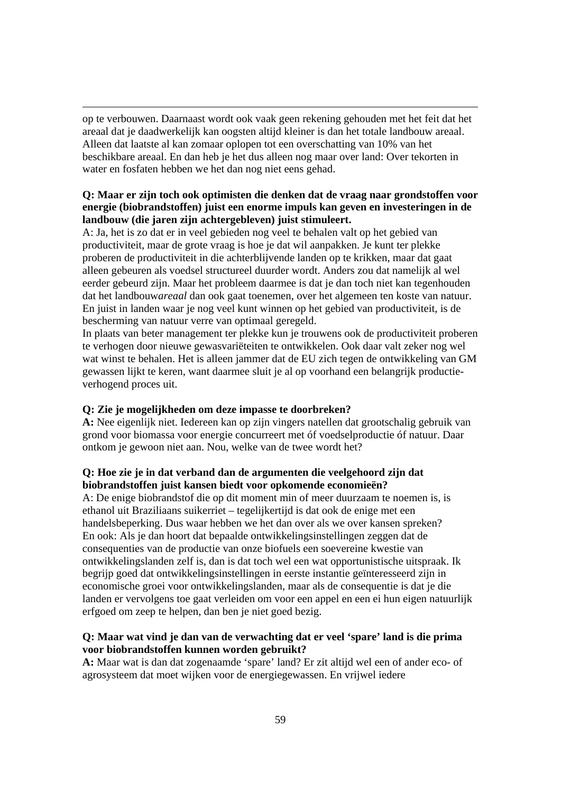op te verbouwen. Daarnaast wordt ook vaak geen rekening gehouden met het feit dat het areaal dat je daadwerkelijk kan oogsten altijd kleiner is dan het totale landbouw areaal. Alleen dat laatste al kan zomaar oplopen tot een overschatting van 10% van het beschikbare areaal. En dan heb je het dus alleen nog maar over land: Over tekorten in water en fosfaten hebben we het dan nog niet eens gehad.

# **Q: Maar er zijn toch ook optimisten die denken dat de vraag naar grondstoffen voor energie (biobrandstoffen) juist een enorme impuls kan geven en investeringen in de landbouw (die jaren zijn achtergebleven) juist stimuleert.**

A: Ja, het is zo dat er in veel gebieden nog veel te behalen valt op het gebied van productiviteit, maar de grote vraag is hoe je dat wil aanpakken. Je kunt ter plekke proberen de productiviteit in die achterblijvende landen op te krikken, maar dat gaat alleen gebeuren als voedsel structureel duurder wordt. Anders zou dat namelijk al wel eerder gebeurd zijn. Maar het probleem daarmee is dat je dan toch niet kan tegenhouden dat het landbouw*areaal* dan ook gaat toenemen, over het algemeen ten koste van natuur. En juist in landen waar je nog veel kunt winnen op het gebied van productiviteit, is de bescherming van natuur verre van optimaal geregeld.

In plaats van beter management ter plekke kun je trouwens ook de productiviteit proberen te verhogen door nieuwe gewasvariëteiten te ontwikkelen. Ook daar valt zeker nog wel wat winst te behalen. Het is alleen jammer dat de EU zich tegen de ontwikkeling van GM gewassen lijkt te keren, want daarmee sluit je al op voorhand een belangrijk productieverhogend proces uit.

### **Q: Zie je mogelijkheden om deze impasse te doorbreken?**

**A:** Nee eigenlijk niet. Iedereen kan op zijn vingers natellen dat grootschalig gebruik van grond voor biomassa voor energie concurreert met óf voedselproductie óf natuur. Daar ontkom je gewoon niet aan. Nou, welke van de twee wordt het?

# **Q: Hoe zie je in dat verband dan de argumenten die veelgehoord zijn dat biobrandstoffen juist kansen biedt voor opkomende economieën?**

A: De enige biobrandstof die op dit moment min of meer duurzaam te noemen is, is ethanol uit Braziliaans suikerriet – tegelijkertijd is dat ook de enige met een handelsbeperking. Dus waar hebben we het dan over als we over kansen spreken? En ook: Als je dan hoort dat bepaalde ontwikkelingsinstellingen zeggen dat de consequenties van de productie van onze biofuels een soevereine kwestie van ontwikkelingslanden zelf is, dan is dat toch wel een wat opportunistische uitspraak. Ik begrijp goed dat ontwikkelingsinstellingen in eerste instantie geïnteresseerd zijn in economische groei voor ontwikkelingslanden, maar als de consequentie is dat je die landen er vervolgens toe gaat verleiden om voor een appel en een ei hun eigen natuurlijk erfgoed om zeep te helpen, dan ben je niet goed bezig.

# **Q: Maar wat vind je dan van de verwachting dat er veel 'spare' land is die prima voor biobrandstoffen kunnen worden gebruikt?**

**A:** Maar wat is dan dat zogenaamde 'spare' land? Er zit altijd wel een of ander eco- of agrosysteem dat moet wijken voor de energiegewassen. En vrijwel iedere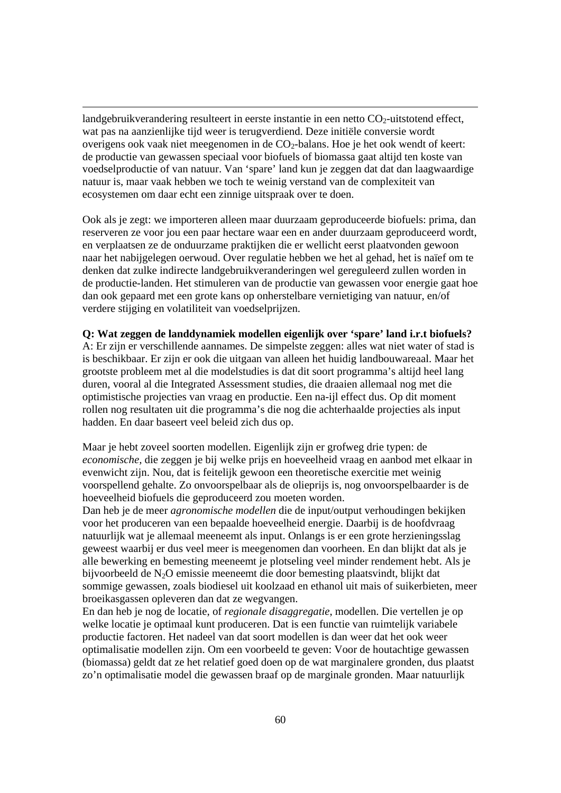landgebruikverandering resulteert in eerste instantie in een netto  $CO<sub>2</sub>$ -uitstotend effect, wat pas na aanzienlijke tijd weer is terugverdiend. Deze initiële conversie wordt overigens ook vaak niet meegenomen in de  $CO<sub>2</sub>$ -balans. Hoe je het ook wendt of keert: de productie van gewassen speciaal voor biofuels of biomassa gaat altijd ten koste van voedselproductie of van natuur. Van 'spare' land kun je zeggen dat dat dan laagwaardige natuur is, maar vaak hebben we toch te weinig verstand van de complexiteit van ecosystemen om daar echt een zinnige uitspraak over te doen.

Ook als je zegt: we importeren alleen maar duurzaam geproduceerde biofuels: prima, dan reserveren ze voor jou een paar hectare waar een en ander duurzaam geproduceerd wordt, en verplaatsen ze de onduurzame praktijken die er wellicht eerst plaatvonden gewoon naar het nabijgelegen oerwoud. Over regulatie hebben we het al gehad, het is naïef om te denken dat zulke indirecte landgebruikveranderingen wel gereguleerd zullen worden in de productie-landen. Het stimuleren van de productie van gewassen voor energie gaat hoe dan ook gepaard met een grote kans op onherstelbare vernietiging van natuur, en/of verdere stijging en volatiliteit van voedselprijzen.

### **Q: Wat zeggen de landdynamiek modellen eigenlijk over 'spare' land i.r.t biofuels?**

A: Er zijn er verschillende aannames. De simpelste zeggen: alles wat niet water of stad is is beschikbaar. Er zijn er ook die uitgaan van alleen het huidig landbouwareaal. Maar het grootste probleem met al die modelstudies is dat dit soort programma's altijd heel lang duren, vooral al die Integrated Assessment studies, die draaien allemaal nog met die optimistische projecties van vraag en productie. Een na-ijl effect dus. Op dit moment rollen nog resultaten uit die programma's die nog die achterhaalde projecties als input hadden. En daar baseert veel beleid zich dus op.

Maar je hebt zoveel soorten modellen. Eigenlijk zijn er grofweg drie typen: de *economische,* die zeggen je bij welke prijs en hoeveelheid vraag en aanbod met elkaar in evenwicht zijn. Nou, dat is feitelijk gewoon een theoretische exercitie met weinig voorspellend gehalte. Zo onvoorspelbaar als de olieprijs is, nog onvoorspelbaarder is de hoeveelheid biofuels die geproduceerd zou moeten worden.

Dan heb je de meer *agronomische modellen* die de input/output verhoudingen bekijken voor het produceren van een bepaalde hoeveelheid energie. Daarbij is de hoofdvraag natuurlijk wat je allemaal meeneemt als input. Onlangs is er een grote herzieningsslag geweest waarbij er dus veel meer is meegenomen dan voorheen. En dan blijkt dat als je alle bewerking en bemesting meeneemt je plotseling veel minder rendement hebt. Als je bijvoorbeeld de N2O emissie meeneemt die door bemesting plaatsvindt, blijkt dat sommige gewassen, zoals biodiesel uit koolzaad en ethanol uit mais of suikerbieten, meer broeikasgassen opleveren dan dat ze wegvangen.

En dan heb je nog de locatie, of *regionale disaggregatie*, modellen. Die vertellen je op welke locatie je optimaal kunt produceren. Dat is een functie van ruimtelijk variabele productie factoren. Het nadeel van dat soort modellen is dan weer dat het ook weer optimalisatie modellen zijn. Om een voorbeeld te geven: Voor de houtachtige gewassen (biomassa) geldt dat ze het relatief goed doen op de wat marginalere gronden, dus plaatst zo'n optimalisatie model die gewassen braaf op de marginale gronden. Maar natuurlijk